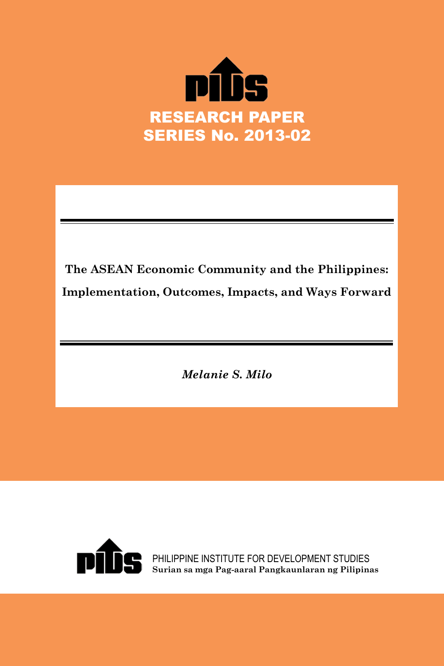

**The ASEAN Economic Community and the Philippines: Implementation, Outcomes, Impacts, and Ways Forward**

*Melanie S. Milo*



PHILIPPINE INSTITUTE FOR DEVELOPMENT STUDIES **Surian sa mga Pag-aaral Pangkaunlaran ng Pilipinas**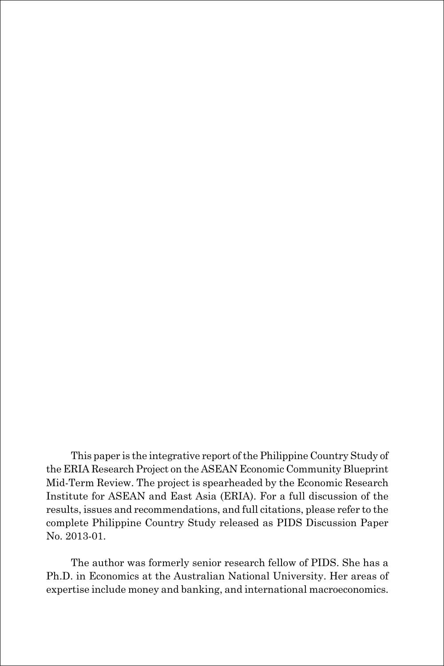This paper is the integrative report of the Philippine Country Study of the ERIA Research Project on the ASEAN Economic Community Blueprint Mid-Term Review. The project is spearheaded by the Economic Research Institute for ASEAN and East Asia (ERIA). For a full discussion of the results, issues and recommendations, and full citations, please refer to the complete Philippine Country Study released as PIDS Discussion Paper No. 2013-01.

The author was formerly senior research fellow of PIDS. She has a Ph.D. in Economics at the Australian National University. Her areas of expertise include money and banking, and international macroeconomics.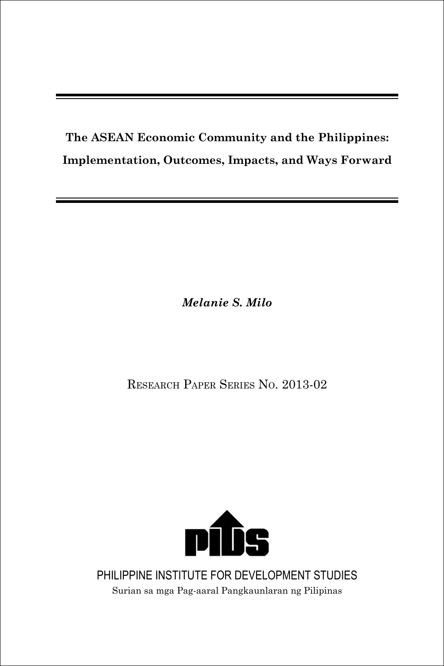## **The ASEAN Economic Community and the Philippines: Implementation, Outcomes, Impacts, and Ways Forward**

*Melanie S. Milo*

Research Paper Series No. 2013-02



PHILIPPINE INSTITUTE FOR DEVELOPMENT STUDIES Surian sa mga Pag-aaral Pangkaunlaran ng Pilipinas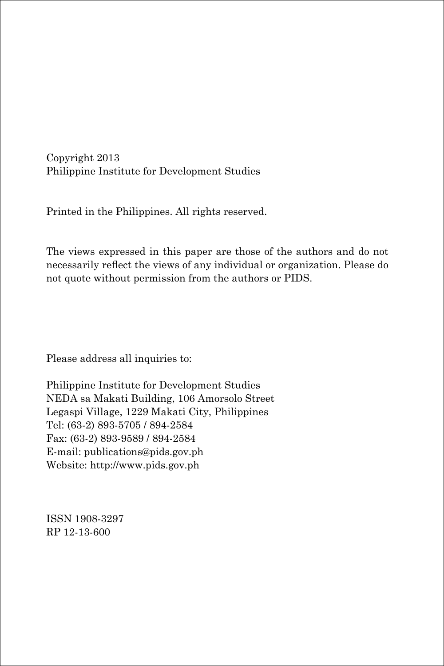Copyright 2013 Philippine Institute for Development Studies

Printed in the Philippines. All rights reserved.

The views expressed in this paper are those of the authors and do not necessarily reflect the views of any individual or organization. Please do not quote without permission from the authors or PIDS.

Please address all inquiries to:

Philippine Institute for Development Studies NEDA sa Makati Building, 106 Amorsolo Street Legaspi Village, 1229 Makati City, Philippines Tel: (63-2) 893-5705 / 894-2584 Fax: (63-2) 893-9589 / 894-2584 E-mail: publications@pids.gov.ph Website: http://www.pids.gov.ph

ISSN 1908-3297 RP 12-13-600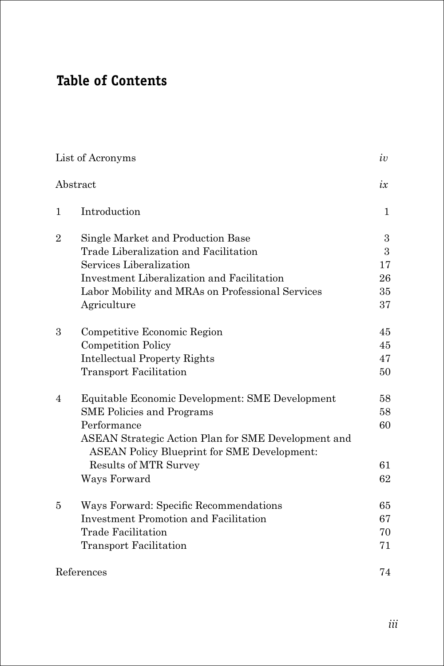## **Table of Contents**

|                | List of Acronyms                                                            | iv           |
|----------------|-----------------------------------------------------------------------------|--------------|
|                | Abstract                                                                    | ix           |
| $\mathbf{1}$   | Introduction                                                                | $\mathbf{1}$ |
| $\overline{2}$ | Single Market and Production Base                                           | 3            |
|                | Trade Liberalization and Facilitation                                       | 3            |
|                | Services Liberalization                                                     | 17           |
|                | Investment Liberalization and Facilitation                                  | 26           |
|                | Labor Mobility and MRAs on Professional Services                            | 35           |
|                | Agriculture                                                                 | 37           |
| 3              | Competitive Economic Region                                                 | 45           |
|                | <b>Competition Policy</b>                                                   | 45           |
|                | <b>Intellectual Property Rights</b>                                         | 47           |
|                | <b>Transport Facilitation</b>                                               | 50           |
| $\overline{4}$ | Equitable Economic Development: SME Development                             | 58           |
|                | <b>SME</b> Policies and Programs                                            | 58           |
|                | Performance                                                                 | 60           |
|                | ASEAN Strategic Action Plan for SME Development and                         |              |
|                | <b>ASEAN Policy Blueprint for SME Development:</b><br>Results of MTR Survey | 61           |
|                |                                                                             | 62           |
|                | Ways Forward                                                                |              |
| 5              | Ways Forward: Specific Recommendations                                      | 65           |
|                | <b>Investment Promotion and Facilitation</b>                                | 67           |
|                | Trade Facilitation                                                          | 70           |
|                | <b>Transport Facilitation</b>                                               | 71           |
|                | References                                                                  | 74           |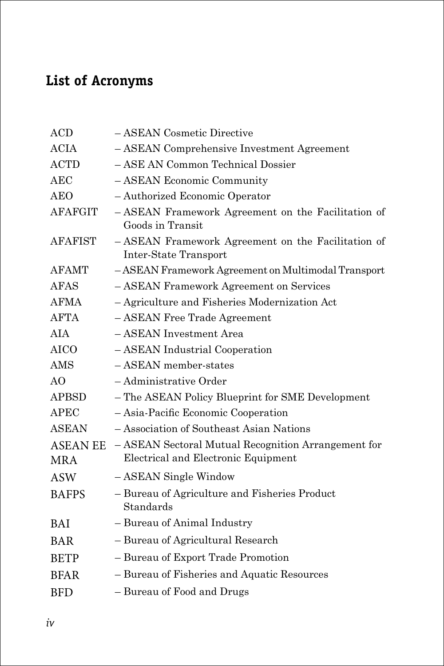## **List of Acronyms**

| ACD                           | - ASEAN Cosmetic Directive                                                                 |
|-------------------------------|--------------------------------------------------------------------------------------------|
| <b>ACIA</b>                   | - ASEAN Comprehensive Investment Agreement                                                 |
| <b>ACTD</b>                   | - ASE AN Common Technical Dossier                                                          |
| AEC                           | - ASEAN Economic Community                                                                 |
| <b>AEO</b>                    | - Authorized Economic Operator                                                             |
| <b>AFAFGIT</b>                | - ASEAN Framework Agreement on the Facilitation of<br>Goods in Transit                     |
| <b>AFAFIST</b>                | - ASEAN Framework Agreement on the Facilitation of<br>Inter-State Transport                |
| <b>AFAMT</b>                  | - ASEAN Framework Agreement on Multimodal Transport                                        |
| <b>AFAS</b>                   | - ASEAN Framework Agreement on Services                                                    |
| <b>AFMA</b>                   | - Agriculture and Fisheries Modernization Act                                              |
| <b>AFTA</b>                   | - ASEAN Free Trade Agreement                                                               |
| <b>AIA</b>                    | - ASEAN Investment Area                                                                    |
| AICO                          | - ASEAN Industrial Cooperation                                                             |
| AMS                           | $-$ ASEAN member-states                                                                    |
| AO                            | - Administrative Order                                                                     |
| <b>APBSD</b>                  | - The ASEAN Policy Blueprint for SME Development                                           |
| <b>APEC</b>                   | - Asia-Pacific Economic Cooperation                                                        |
| <b>ASEAN</b>                  | - Association of Southeast Asian Nations                                                   |
| <b>ASEAN EE</b><br><b>MRA</b> | - ASEAN Sectoral Mutual Recognition Arrangement for<br>Electrical and Electronic Equipment |
| <b>ASW</b>                    | - ASEAN Single Window                                                                      |
| <b>BAFPS</b>                  | - Bureau of Agriculture and Fisheries Product<br>Standards                                 |
| <b>BAI</b>                    | - Bureau of Animal Industry                                                                |
| <b>BAR</b>                    | - Bureau of Agricultural Research                                                          |
| <b>BETP</b>                   | - Bureau of Export Trade Promotion                                                         |
| <b>BFAR</b>                   | - Bureau of Fisheries and Aquatic Resources                                                |
| <b>BFD</b>                    | - Bureau of Food and Drugs                                                                 |
|                               |                                                                                            |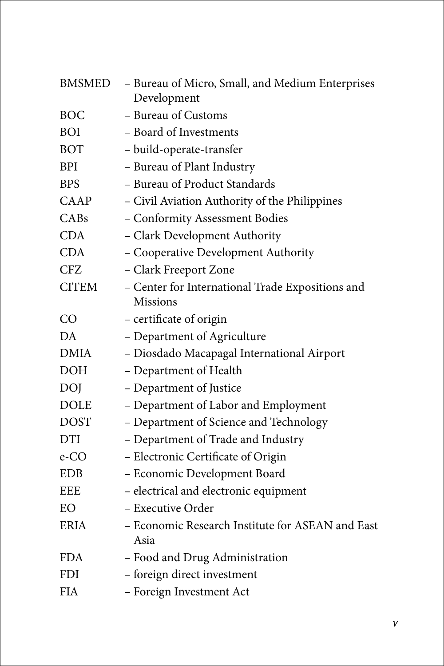| <b>BMSMED</b> | - Bureau of Micro, Small, and Medium Enterprises<br>Development     |
|---------------|---------------------------------------------------------------------|
| <b>BOC</b>    | - Bureau of Customs                                                 |
| <b>BOI</b>    | - Board of Investments                                              |
| <b>BOT</b>    | - build-operate-transfer                                            |
| <b>BPI</b>    | - Bureau of Plant Industry                                          |
| <b>BPS</b>    | - Bureau of Product Standards                                       |
| CAAP          | - Civil Aviation Authority of the Philippines                       |
| CABs          | - Conformity Assessment Bodies                                      |
| <b>CDA</b>    | - Clark Development Authority                                       |
| <b>CDA</b>    | - Cooperative Development Authority                                 |
| <b>CFZ</b>    | - Clark Freeport Zone                                               |
| <b>CITEM</b>  | - Center for International Trade Expositions and<br><b>Missions</b> |
| CO            | - certificate of origin                                             |
| DA            | - Department of Agriculture                                         |
| <b>DMIA</b>   | - Diosdado Macapagal International Airport                          |
| <b>DOH</b>    | - Department of Health                                              |
| <b>DOJ</b>    | – Department of Justice                                             |
| <b>DOLE</b>   | - Department of Labor and Employment                                |
| <b>DOST</b>   | - Department of Science and Technology                              |
| <b>DTI</b>    | - Department of Trade and Industry                                  |
| e-CO          | - Electronic Certificate of Origin                                  |
| <b>EDB</b>    | - Economic Development Board                                        |
| EEE           | - electrical and electronic equipment                               |
| EO            | - Executive Order                                                   |
| <b>ERIA</b>   | - Economic Research Institute for ASEAN and East<br>Asia            |
| <b>FDA</b>    | - Food and Drug Administration                                      |
| <b>FDI</b>    | - foreign direct investment                                         |
| <b>FIA</b>    | - Foreign Investment Act                                            |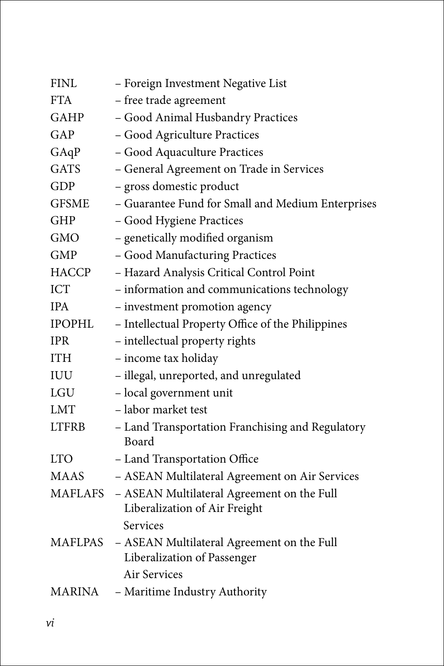| - Foreign Investment Negative List                |
|---------------------------------------------------|
|                                                   |
| - Good Animal Husbandry Practices                 |
|                                                   |
|                                                   |
| - General Agreement on Trade in Services          |
|                                                   |
| - Guarantee Fund for Small and Medium Enterprises |
|                                                   |
|                                                   |
|                                                   |
| - Hazard Analysis Critical Control Point          |
| - information and communications technology       |
|                                                   |
| - Intellectual Property Office of the Philippines |
|                                                   |
|                                                   |
| - illegal, unreported, and unregulated            |
|                                                   |
|                                                   |
| - Land Transportation Franchising and Regulatory  |
|                                                   |
| - ASEAN Multilateral Agreement on Air Services    |
| - ASEAN Multilateral Agreement on the Full        |
|                                                   |
| - ASEAN Multilateral Agreement on the Full        |
|                                                   |
|                                                   |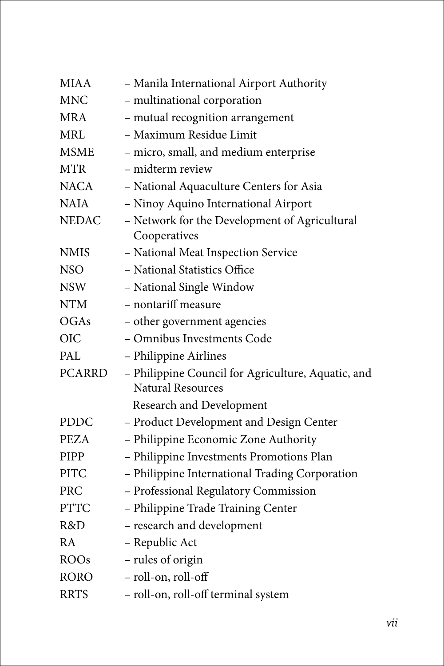| <b>MIAA</b>   | - Manila International Airport Authority                                       |
|---------------|--------------------------------------------------------------------------------|
| <b>MNC</b>    | - multinational corporation                                                    |
| <b>MRA</b>    | - mutual recognition arrangement                                               |
| <b>MRL</b>    | - Maximum Residue Limit                                                        |
| <b>MSME</b>   | - micro, small, and medium enterprise                                          |
| <b>MTR</b>    | - midterm review                                                               |
| <b>NACA</b>   | - National Aquaculture Centers for Asia                                        |
| <b>NAIA</b>   | - Ninoy Aquino International Airport                                           |
| <b>NEDAC</b>  | - Network for the Development of Agricultural<br>Cooperatives                  |
| <b>NMIS</b>   | - National Meat Inspection Service                                             |
| <b>NSO</b>    | - National Statistics Office                                                   |
| <b>NSW</b>    | - National Single Window                                                       |
| <b>NTM</b>    | - nontariff measure                                                            |
| OGAs          | - other government agencies                                                    |
| <b>OIC</b>    | - Omnibus Investments Code                                                     |
| PAL.          | - Philippine Airlines                                                          |
| <b>PCARRD</b> | - Philippine Council for Agriculture, Aquatic, and<br><b>Natural Resources</b> |
|               | Research and Development                                                       |
| <b>PDDC</b>   | - Product Development and Design Center                                        |
| <b>PEZA</b>   | - Philippine Economic Zone Authority                                           |
| <b>PIPP</b>   | - Philippine Investments Promotions Plan                                       |
| <b>PITC</b>   | - Philippine International Trading Corporation                                 |
| <b>PRC</b>    | - Professional Regulatory Commission                                           |
| <b>PTTC</b>   | - Philippine Trade Training Center                                             |
| R&D           | - research and development                                                     |
| RA            | - Republic Act                                                                 |
| <b>ROOs</b>   | - rules of origin                                                              |
| <b>RORO</b>   | - roll-on, roll-off                                                            |
| <b>RRTS</b>   | - roll-on, roll-off terminal system                                            |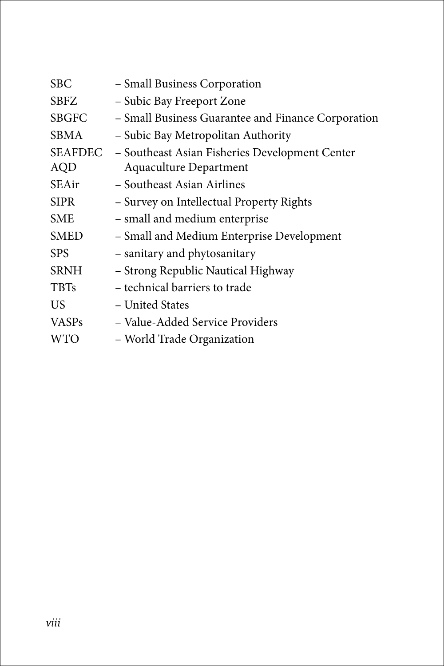| <b>SBC</b>            | - Small Business Corporation                                                    |
|-----------------------|---------------------------------------------------------------------------------|
| <b>SBFZ</b>           | - Subic Bay Freeport Zone                                                       |
| <b>SBGFC</b>          | - Small Business Guarantee and Finance Corporation                              |
| <b>SBMA</b>           | - Subic Bay Metropolitan Authority                                              |
| SEAFDEC<br><b>AQD</b> | - Southeast Asian Fisheries Development Center<br><b>Aquaculture Department</b> |
| SEAir                 | - Southeast Asian Airlines                                                      |
| <b>SIPR</b>           | - Survey on Intellectual Property Rights                                        |
| <b>SME</b>            | - small and medium enterprise                                                   |
| <b>SMED</b>           | - Small and Medium Enterprise Development                                       |
| <b>SPS</b>            | - sanitary and phytosanitary                                                    |
| <b>SRNH</b>           | - Strong Republic Nautical Highway                                              |
| <b>TBTs</b>           | – technical barriers to trade                                                   |
| US                    | - United States                                                                 |
| <b>VASPs</b>          | – Value-Added Service Providers                                                 |
| <b>WTO</b>            | - World Trade Organization                                                      |
|                       |                                                                                 |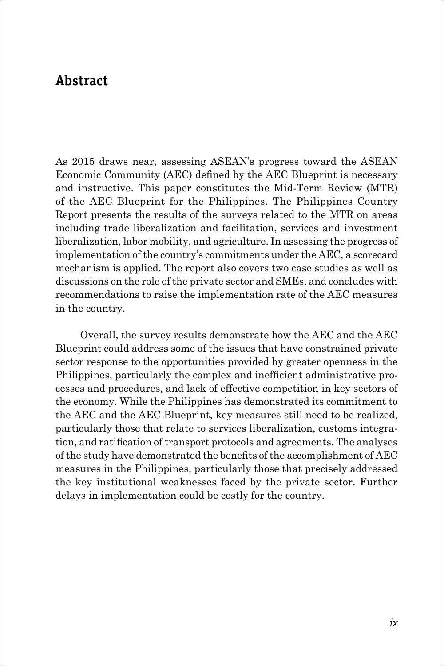## **Abstract**

As 2015 draws near, assessing ASEAN's progress toward the ASEAN Economic Community (AEC) defined by the AEC Blueprint is necessary and instructive. This paper constitutes the Mid-Term Review (MTR) of the AEC Blueprint for the Philippines. The Philippines Country Report presents the results of the surveys related to the MTR on areas including trade liberalization and facilitation, services and investment liberalization, labor mobility, and agriculture. In assessing the progress of implementation of the country's commitments under the AEC, a scorecard mechanism is applied. The report also covers two case studies as well as discussions on the role of the private sector and SMEs, and concludes with recommendations to raise the implementation rate of the AEC measures in the country.

Overall, the survey results demonstrate how the AEC and the AEC Blueprint could address some of the issues that have constrained private sector response to the opportunities provided by greater openness in the Philippines, particularly the complex and inefficient administrative processes and procedures, and lack of effective competition in key sectors of the economy. While the Philippines has demonstrated its commitment to the AEC and the AEC Blueprint, key measures still need to be realized, particularly those that relate to services liberalization, customs integration, and ratification of transport protocols and agreements. The analyses of the study have demonstrated the benefits of the accomplishment of AEC measures in the Philippines, particularly those that precisely addressed the key institutional weaknesses faced by the private sector. Further delays in implementation could be costly for the country.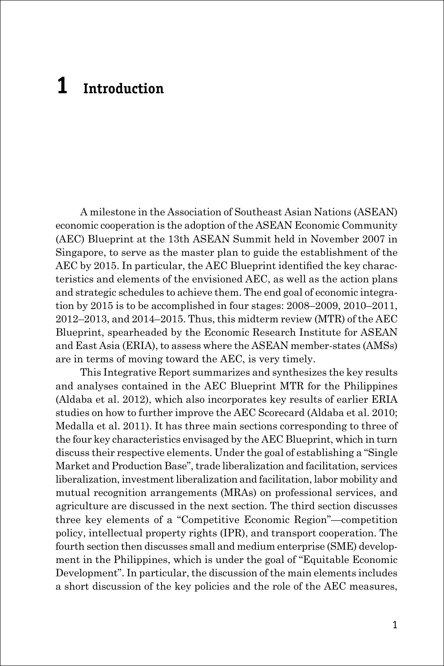# **1 Introduction**

A milestone in the Association of Southeast Asian Nations (ASEAN) economic cooperation is the adoption of the ASEAN Economic Community (AEC) Blueprint at the 13th ASEAN Summit held in November 2007 in Singapore, to serve as the master plan to guide the establishment of the AEC by 2015. In particular, the AEC Blueprint identified the key characteristics and elements of the envisioned AEC, as well as the action plans and strategic schedules to achieve them. The end goal of economic integration by 2015 is to be accomplished in four stages: 2008–2009, 2010–2011, 2012–2013, and 2014–2015. Thus, this midterm review (MTR) of the AEC Blueprint, spearheaded by the Economic Research Institute for ASEAN and East Asia (ERIA), to assess where the ASEAN member-states (AMSs) are in terms of moving toward the AEC, is very timely.

This Integrative Report summarizes and synthesizes the key results and analyses contained in the AEC Blueprint MTR for the Philippines (Aldaba et al. 2012), which also incorporates key results of earlier ERIA studies on how to further improve the AEC Scorecard (Aldaba et al. 2010; Medalla et al. 2011). It has three main sections corresponding to three of the four key characteristics envisaged by the AEC Blueprint, which in turn discuss their respective elements. Under the goal of establishing a "Single Market and Production Base", trade liberalization and facilitation, services liberalization, investment liberalization and facilitation, labor mobility and mutual recognition arrangements (MRAs) on professional services, and agriculture are discussed in the next section. The third section discusses three key elements of a "Competitive Economic Region"—competition policy, intellectual property rights (IPR), and transport cooperation. The fourth section then discusses small and medium enterprise (SME) development in the Philippines, which is under the goal of "Equitable Economic Development". In particular, the discussion of the main elements includes a short discussion of the key policies and the role of the AEC measures,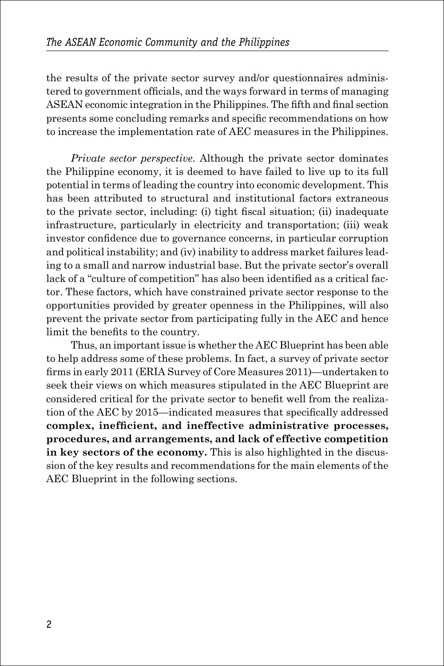the results of the private sector survey and/or questionnaires administered to government officials, and the ways forward in terms of managing ASEAN economic integration in the Philippines. The fifth and final section presents some concluding remarks and specific recommendations on how to increase the implementation rate of AEC measures in the Philippines.

*Private sector perspective*. Although the private sector dominates the Philippine economy, it is deemed to have failed to live up to its full potential in terms of leading the country into economic development. This has been attributed to structural and institutional factors extraneous to the private sector, including: (i) tight fiscal situation; (ii) inadequate infrastructure, particularly in electricity and transportation; (iii) weak investor confidence due to governance concerns, in particular corruption and political instability; and (iv) inability to address market failures leading to a small and narrow industrial base. But the private sector's overall lack of a "culture of competition" has also been identified as a critical factor. These factors, which have constrained private sector response to the opportunities provided by greater openness in the Philippines, will also prevent the private sector from participating fully in the AEC and hence limit the benefits to the country.

Thus, an important issue is whether the AEC Blueprint has been able to help address some of these problems. In fact, a survey of private sector firms in early 2011 (ERIA Survey of Core Measures 2011)—undertaken to seek their views on which measures stipulated in the AEC Blueprint are considered critical for the private sector to benefit well from the realization of the AEC by 2015—indicated measures that specifically addressed **complex, inefficient, and ineffective administrative processes, procedures, and arrangements, and lack of effective competition in key sectors of the economy.** This is also highlighted in the discussion of the key results and recommendations for the main elements of the AEC Blueprint in the following sections.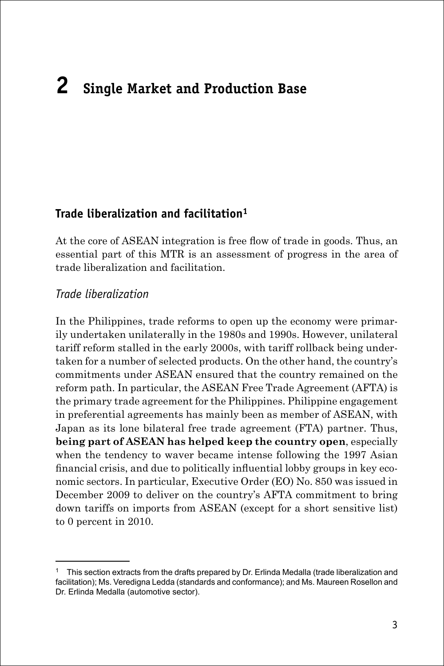# **2 Single Market and Production Base**

#### **Trade liberalization and facilitation1**

At the core of ASEAN integration is free flow of trade in goods. Thus, an essential part of this MTR is an assessment of progress in the area of trade liberalization and facilitation.

#### *Trade liberalization*

In the Philippines, trade reforms to open up the economy were primarily undertaken unilaterally in the 1980s and 1990s. However, unilateral tariff reform stalled in the early 2000s, with tariff rollback being undertaken for a number of selected products. On the other hand, the country's commitments under ASEAN ensured that the country remained on the reform path. In particular, the ASEAN Free Trade Agreement (AFTA) is the primary trade agreement for the Philippines. Philippine engagement in preferential agreements has mainly been as member of ASEAN, with Japan as its lone bilateral free trade agreement (FTA) partner. Thus, **being part of ASEAN has helped keep the country open**, especially when the tendency to waver became intense following the 1997 Asian financial crisis, and due to politically influential lobby groups in key economic sectors. In particular, Executive Order (EO) No. 850 was issued in December 2009 to deliver on the country's AFTA commitment to bring down tariffs on imports from ASEAN (except for a short sensitive list) to 0 percent in 2010.

<sup>1</sup> This section extracts from the drafts prepared by Dr. Erlinda Medalla (trade liberalization and facilitation); Ms. Veredigna Ledda (standards and conformance); and Ms. Maureen Rosellon and Dr. Erlinda Medalla (automotive sector).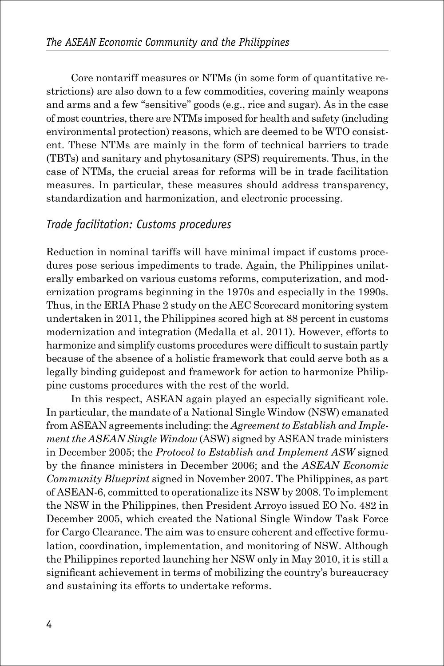Core nontariff measures or NTMs (in some form of quantitative restrictions) are also down to a few commodities, covering mainly weapons and arms and a few "sensitive" goods (e.g., rice and sugar). As in the case of most countries, there are NTMs imposed for health and safety (including environmental protection) reasons, which are deemed to be WTO consistent. These NTMs are mainly in the form of technical barriers to trade (TBTs) and sanitary and phytosanitary (SPS) requirements. Thus, in the case of NTMs, the crucial areas for reforms will be in trade facilitation measures. In particular, these measures should address transparency, standardization and harmonization, and electronic processing.

#### *Trade facilitation: Customs procedures*

Reduction in nominal tariffs will have minimal impact if customs procedures pose serious impediments to trade. Again, the Philippines unilaterally embarked on various customs reforms, computerization, and modernization programs beginning in the 1970s and especially in the 1990s. Thus, in the ERIA Phase 2 study on the AEC Scorecard monitoring system undertaken in 2011, the Philippines scored high at 88 percent in customs modernization and integration (Medalla et al. 2011). However, efforts to harmonize and simplify customs procedures were difficult to sustain partly because of the absence of a holistic framework that could serve both as a legally binding guidepost and framework for action to harmonize Philippine customs procedures with the rest of the world.

In this respect, ASEAN again played an especially significant role. In particular, the mandate of a National Single Window (NSW) emanated from ASEAN agreements including: the *Agreement to Establish and Implement the ASEAN Single Window* (ASW) signed by ASEAN trade ministers in December 2005; the *Protocol to Establish and Implement ASW* signed by the finance ministers in December 2006; and the *ASEAN Economic Community Blueprint* signed in November 2007. The Philippines, as part of ASEAN-6, committed to operationalize its NSW by 2008. To implement the NSW in the Philippines, then President Arroyo issued EO No. 482 in December 2005, which created the National Single Window Task Force for Cargo Clearance. The aim was to ensure coherent and effective formulation, coordination, implementation, and monitoring of NSW. Although the Philippines reported launching her NSW only in May 2010, it is still a significant achievement in terms of mobilizing the country's bureaucracy and sustaining its efforts to undertake reforms.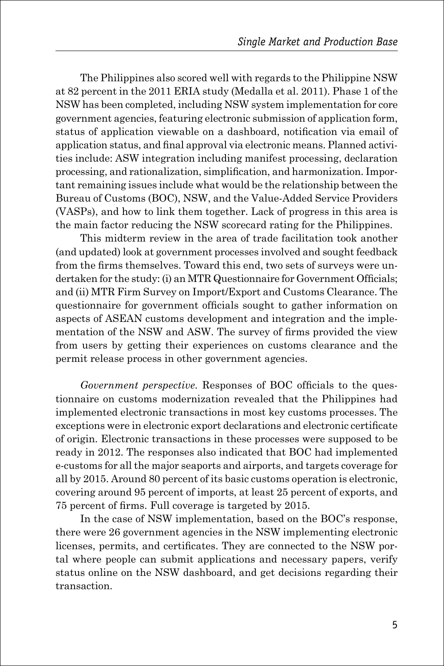The Philippines also scored well with regards to the Philippine NSW at 82 percent in the 2011 ERIA study (Medalla et al. 2011). Phase 1 of the NSW has been completed, including NSW system implementation for core government agencies, featuring electronic submission of application form, status of application viewable on a dashboard, notification via email of application status, and final approval via electronic means. Planned activities include: ASW integration including manifest processing, declaration processing, and rationalization, simplification, and harmonization. Important remaining issues include what would be the relationship between the Bureau of Customs (BOC), NSW, and the Value-Added Service Providers (VASPs), and how to link them together. Lack of progress in this area is the main factor reducing the NSW scorecard rating for the Philippines.

This midterm review in the area of trade facilitation took another (and updated) look at government processes involved and sought feedback from the firms themselves. Toward this end, two sets of surveys were undertaken for the study: (i) an MTR Questionnaire for Government Officials; and (ii) MTR Firm Survey on Import/Export and Customs Clearance. The questionnaire for government officials sought to gather information on aspects of ASEAN customs development and integration and the implementation of the NSW and ASW. The survey of firms provided the view from users by getting their experiences on customs clearance and the permit release process in other government agencies.

*Government perspective.* Responses of BOC officials to the questionnaire on customs modernization revealed that the Philippines had implemented electronic transactions in most key customs processes. The exceptions were in electronic export declarations and electronic certificate of origin. Electronic transactions in these processes were supposed to be ready in 2012. The responses also indicated that BOC had implemented e-customs for all the major seaports and airports, and targets coverage for all by 2015. Around 80 percent of its basic customs operation is electronic, covering around 95 percent of imports, at least 25 percent of exports, and 75 percent of firms. Full coverage is targeted by 2015.

In the case of NSW implementation, based on the BOC's response, there were 26 government agencies in the NSW implementing electronic licenses, permits, and certificates. They are connected to the NSW portal where people can submit applications and necessary papers, verify status online on the NSW dashboard, and get decisions regarding their transaction.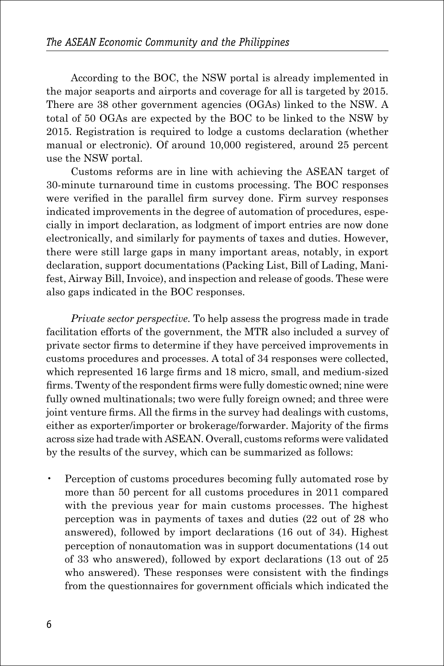According to the BOC, the NSW portal is already implemented in the major seaports and airports and coverage for all is targeted by 2015. There are 38 other government agencies (OGAs) linked to the NSW. A total of 50 OGAs are expected by the BOC to be linked to the NSW by 2015. Registration is required to lodge a customs declaration (whether manual or electronic). Of around 10,000 registered, around 25 percent use the NSW portal.

Customs reforms are in line with achieving the ASEAN target of 30-minute turnaround time in customs processing. The BOC responses were verified in the parallel firm survey done. Firm survey responses indicated improvements in the degree of automation of procedures, especially in import declaration, as lodgment of import entries are now done electronically, and similarly for payments of taxes and duties. However, there were still large gaps in many important areas, notably, in export declaration, support documentations (Packing List, Bill of Lading, Manifest, Airway Bill, Invoice), and inspection and release of goods. These were also gaps indicated in the BOC responses.

*Private sector perspective.* To help assess the progress made in trade facilitation efforts of the government, the MTR also included a survey of private sector firms to determine if they have perceived improvements in customs procedures and processes. A total of 34 responses were collected, which represented 16 large firms and 18 micro, small, and medium-sized firms. Twenty of the respondent firms were fully domestic owned; nine were fully owned multinationals; two were fully foreign owned; and three were joint venture firms. All the firms in the survey had dealings with customs, either as exporter/importer or brokerage/forwarder. Majority of the firms across size had trade with ASEAN. Overall, customs reforms were validated by the results of the survey, which can be summarized as follows:

• Perception of customs procedures becoming fully automated rose by more than 50 percent for all customs procedures in 2011 compared with the previous year for main customs processes. The highest perception was in payments of taxes and duties (22 out of 28 who answered), followed by import declarations (16 out of 34). Highest perception of nonautomation was in support documentations (14 out of 33 who answered), followed by export declarations (13 out of 25 who answered). These responses were consistent with the findings from the questionnaires for government officials which indicated the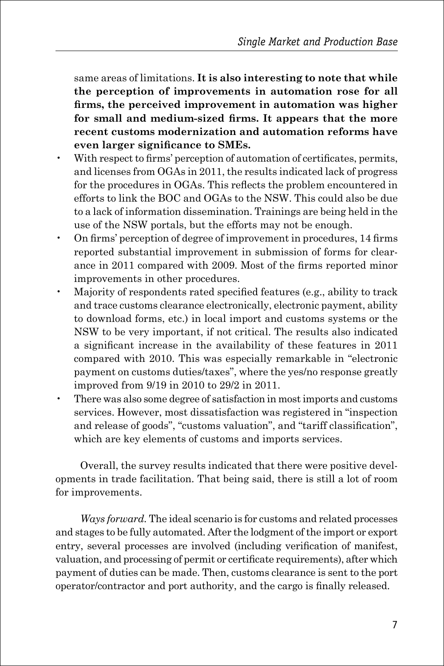same areas of limitations. **It is also interesting to note that while the perception of improvements in automation rose for all firms, the perceived improvement in automation was higher for small and medium-sized firms. It appears that the more recent customs modernization and automation reforms have even larger significance to SMEs.**

- With respect to firms' perception of automation of certificates, permits, and licenses from OGAs in 2011, the results indicated lack of progress for the procedures in OGAs. This reflects the problem encountered in efforts to link the BOC and OGAs to the NSW. This could also be due to a lack of information dissemination. Trainings are being held in the use of the NSW portals, but the efforts may not be enough.
- On firms' perception of degree of improvement in procedures, 14 firms reported substantial improvement in submission of forms for clearance in 2011 compared with 2009. Most of the firms reported minor improvements in other procedures.
- Majority of respondents rated specified features (e.g., ability to track and trace customs clearance electronically, electronic payment, ability to download forms, etc.) in local import and customs systems or the NSW to be very important, if not critical. The results also indicated a significant increase in the availability of these features in 2011 compared with 2010. This was especially remarkable in "electronic payment on customs duties/taxes", where the yes/no response greatly improved from 9/19 in 2010 to 29/2 in 2011.
- There was also some degree of satisfaction in most imports and customs services. However, most dissatisfaction was registered in "inspection and release of goods", "customs valuation", and "tariff classification", which are key elements of customs and imports services.

Overall, the survey results indicated that there were positive developments in trade facilitation. That being said, there is still a lot of room for improvements.

*Ways forward.* The ideal scenario is for customs and related processes and stages to be fully automated. After the lodgment of the import or export entry, several processes are involved (including verification of manifest, valuation, and processing of permit or certificate requirements), after which payment of duties can be made. Then, customs clearance is sent to the port operator/contractor and port authority, and the cargo is finally released.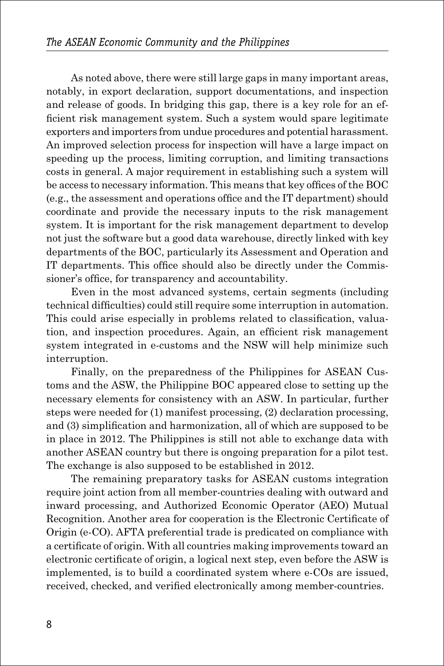As noted above, there were still large gaps in many important areas, notably, in export declaration, support documentations, and inspection and release of goods. In bridging this gap, there is a key role for an efficient risk management system. Such a system would spare legitimate exporters and importers from undue procedures and potential harassment. An improved selection process for inspection will have a large impact on speeding up the process, limiting corruption, and limiting transactions costs in general. A major requirement in establishing such a system will be access to necessary information. This means that key offices of the BOC (e.g., the assessment and operations office and the IT department) should coordinate and provide the necessary inputs to the risk management system. It is important for the risk management department to develop not just the software but a good data warehouse, directly linked with key departments of the BOC, particularly its Assessment and Operation and IT departments. This office should also be directly under the Commissioner's office, for transparency and accountability.

Even in the most advanced systems, certain segments (including technical difficulties) could still require some interruption in automation. This could arise especially in problems related to classification, valuation, and inspection procedures. Again, an efficient risk management system integrated in e-customs and the NSW will help minimize such interruption.

Finally, on the preparedness of the Philippines for ASEAN Customs and the ASW, the Philippine BOC appeared close to setting up the necessary elements for consistency with an ASW. In particular, further steps were needed for (1) manifest processing, (2) declaration processing, and (3) simplification and harmonization, all of which are supposed to be in place in 2012. The Philippines is still not able to exchange data with another ASEAN country but there is ongoing preparation for a pilot test. The exchange is also supposed to be established in 2012.

The remaining preparatory tasks for ASEAN customs integration require joint action from all member-countries dealing with outward and inward processing, and Authorized Economic Operator (AEO) Mutual Recognition. Another area for cooperation is the Electronic Certificate of Origin (e-CO). AFTA preferential trade is predicated on compliance with a certificate of origin. With all countries making improvements toward an electronic certificate of origin, a logical next step, even before the ASW is implemented, is to build a coordinated system where e-COs are issued, received, checked, and verified electronically among member-countries.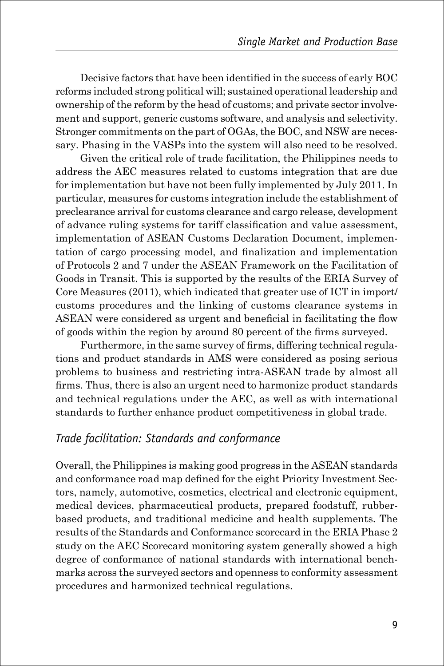Decisive factors that have been identified in the success of early BOC reforms included strong political will; sustained operational leadership and ownership of the reform by the head of customs; and private sector involvement and support, generic customs software, and analysis and selectivity. Stronger commitments on the part of OGAs, the BOC, and NSW are necessary. Phasing in the VASPs into the system will also need to be resolved.

Given the critical role of trade facilitation, the Philippines needs to address the AEC measures related to customs integration that are due for implementation but have not been fully implemented by July 2011. In particular, measures for customs integration include the establishment of preclearance arrival for customs clearance and cargo release, development of advance ruling systems for tariff classification and value assessment, implementation of ASEAN Customs Declaration Document, implementation of cargo processing model, and finalization and implementation of Protocols 2 and 7 under the ASEAN Framework on the Facilitation of Goods in Transit. This is supported by the results of the ERIA Survey of Core Measures (2011), which indicated that greater use of ICT in import/ customs procedures and the linking of customs clearance systems in ASEAN were considered as urgent and beneficial in facilitating the flow of goods within the region by around 80 percent of the firms surveyed.

Furthermore, in the same survey of firms, differing technical regulations and product standards in AMS were considered as posing serious problems to business and restricting intra-ASEAN trade by almost all firms. Thus, there is also an urgent need to harmonize product standards and technical regulations under the AEC, as well as with international standards to further enhance product competitiveness in global trade.

#### *Trade facilitation: Standards and conformance*

Overall, the Philippines is making good progress in the ASEAN standards and conformance road map defined for the eight Priority Investment Sectors, namely, automotive, cosmetics, electrical and electronic equipment, medical devices, pharmaceutical products, prepared foodstuff, rubberbased products, and traditional medicine and health supplements. The results of the Standards and Conformance scorecard in the ERIA Phase 2 study on the AEC Scorecard monitoring system generally showed a high degree of conformance of national standards with international benchmarks across the surveyed sectors and openness to conformity assessment procedures and harmonized technical regulations.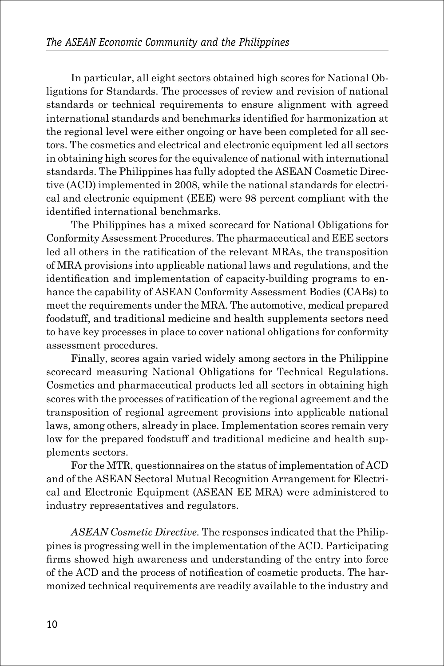In particular, all eight sectors obtained high scores for National Obligations for Standards. The processes of review and revision of national standards or technical requirements to ensure alignment with agreed international standards and benchmarks identified for harmonization at the regional level were either ongoing or have been completed for all sectors. The cosmetics and electrical and electronic equipment led all sectors in obtaining high scores for the equivalence of national with international standards. The Philippines has fully adopted the ASEAN Cosmetic Directive (ACD) implemented in 2008, while the national standards for electrical and electronic equipment (EEE) were 98 percent compliant with the identified international benchmarks.

The Philippines has a mixed scorecard for National Obligations for Conformity Assessment Procedures. The pharmaceutical and EEE sectors led all others in the ratification of the relevant MRAs, the transposition of MRA provisions into applicable national laws and regulations, and the identification and implementation of capacity-building programs to enhance the capability of ASEAN Conformity Assessment Bodies (CABs) to meet the requirements under the MRA. The automotive, medical prepared foodstuff, and traditional medicine and health supplements sectors need to have key processes in place to cover national obligations for conformity assessment procedures.

Finally, scores again varied widely among sectors in the Philippine scorecard measuring National Obligations for Technical Regulations. Cosmetics and pharmaceutical products led all sectors in obtaining high scores with the processes of ratification of the regional agreement and the transposition of regional agreement provisions into applicable national laws, among others, already in place. Implementation scores remain very low for the prepared foodstuff and traditional medicine and health supplements sectors.

For the MTR, questionnaires on the status of implementation of ACD and of the ASEAN Sectoral Mutual Recognition Arrangement for Electrical and Electronic Equipment (ASEAN EE MRA) were administered to industry representatives and regulators.

*ASEAN Cosmetic Directive.* The responses indicated that the Philippines is progressing well in the implementation of the ACD. Participating firms showed high awareness and understanding of the entry into force of the ACD and the process of notification of cosmetic products. The harmonized technical requirements are readily available to the industry and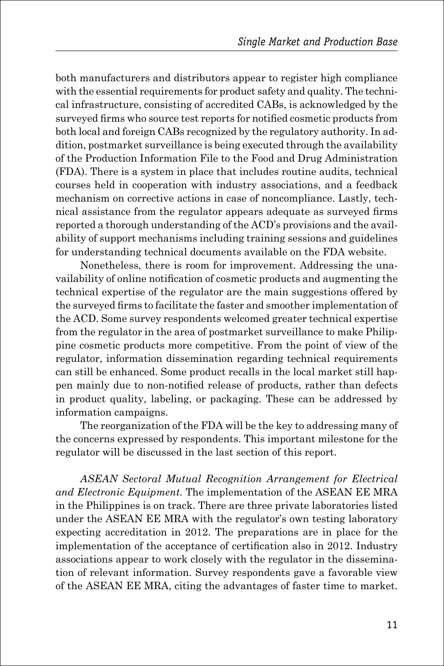both manufacturers and distributors appear to register high compliance with the essential requirements for product safety and quality. The technical infrastructure, consisting of accredited CABs, is acknowledged by the surveyed firms who source test reports for notified cosmetic products from both local and foreign CABs recognized by the regulatory authority. In addition, postmarket surveillance is being executed through the availability of the Production Information File to the Food and Drug Administration (FDA). There is a system in place that includes routine audits, technical courses held in cooperation with industry associations, and a feedback mechanism on corrective actions in case of noncompliance. Lastly, technical assistance from the regulator appears adequate as surveyed firms reported a thorough understanding of the ACD's provisions and the availability of support mechanisms including training sessions and guidelines for understanding technical documents available on the FDA website.

Nonetheless, there is room for improvement. Addressing the unavailability of online notification of cosmetic products and augmenting the technical expertise of the regulator are the main suggestions offered by the surveyed firms to facilitate the faster and smoother implementation of the ACD. Some survey respondents welcomed greater technical expertise from the regulator in the area of postmarket surveillance to make Philippine cosmetic products more competitive. From the point of view of the regulator, information dissemination regarding technical requirements can still be enhanced. Some product recalls in the local market still happen mainly due to non-notified release of products, rather than defects in product quality, labeling, or packaging. These can be addressed by information campaigns.

The reorganization of the FDA will be the key to addressing many of the concerns expressed by respondents. This important milestone for the regulator will be discussed in the last section of this report.

*ASEAN Sectoral Mutual Recognition Arrangement for Electrical and Electronic Equipment.* The implementation of the ASEAN EE MRA in the Philippines is on track. There are three private laboratories listed under the ASEAN EE MRA with the regulator's own testing laboratory expecting accreditation in 2012. The preparations are in place for the implementation of the acceptance of certification also in 2012. Industry associations appear to work closely with the regulator in the dissemination of relevant information. Survey respondents gave a favorable view of the ASEAN EE MRA, citing the advantages of faster time to market.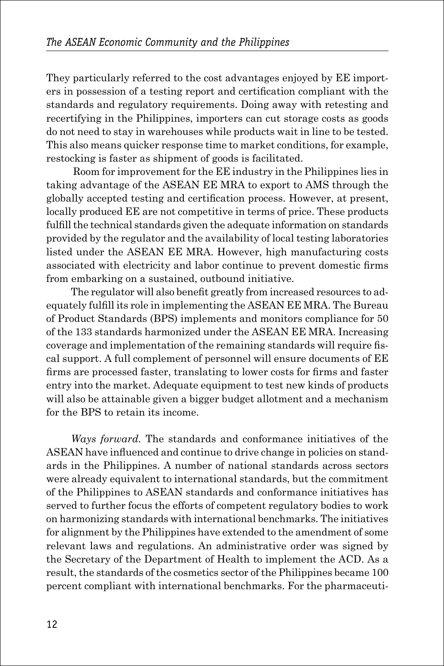They particularly referred to the cost advantages enjoyed by EE importers in possession of a testing report and certification compliant with the standards and regulatory requirements. Doing away with retesting and recertifying in the Philippines, importers can cut storage costs as goods do not need to stay in warehouses while products wait in line to be tested. This also means quicker response time to market conditions, for example, restocking is faster as shipment of goods is facilitated.

 Room for improvement for the EE industry in the Philippines lies in taking advantage of the ASEAN EE MRA to export to AMS through the globally accepted testing and certification process. However, at present, locally produced EE are not competitive in terms of price. These products fulfill the technical standards given the adequate information on standards provided by the regulator and the availability of local testing laboratories listed under the ASEAN EE MRA. However, high manufacturing costs associated with electricity and labor continue to prevent domestic firms from embarking on a sustained, outbound initiative.

The regulator will also benefit greatly from increased resources to adequately fulfill its role in implementing the ASEAN EE MRA. The Bureau of Product Standards (BPS) implements and monitors compliance for 50 of the 133 standards harmonized under the ASEAN EE MRA. Increasing coverage and implementation of the remaining standards will require fiscal support. A full complement of personnel will ensure documents of EE firms are processed faster, translating to lower costs for firms and faster entry into the market. Adequate equipment to test new kinds of products will also be attainable given a bigger budget allotment and a mechanism for the BPS to retain its income.

*Ways forward.* The standards and conformance initiatives of the ASEAN have influenced and continue to drive change in policies on standards in the Philippines. A number of national standards across sectors were already equivalent to international standards, but the commitment of the Philippines to ASEAN standards and conformance initiatives has served to further focus the efforts of competent regulatory bodies to work on harmonizing standards with international benchmarks. The initiatives for alignment by the Philippines have extended to the amendment of some relevant laws and regulations. An administrative order was signed by the Secretary of the Department of Health to implement the ACD. As a result, the standards of the cosmetics sector of the Philippines became 100 percent compliant with international benchmarks. For the pharmaceuti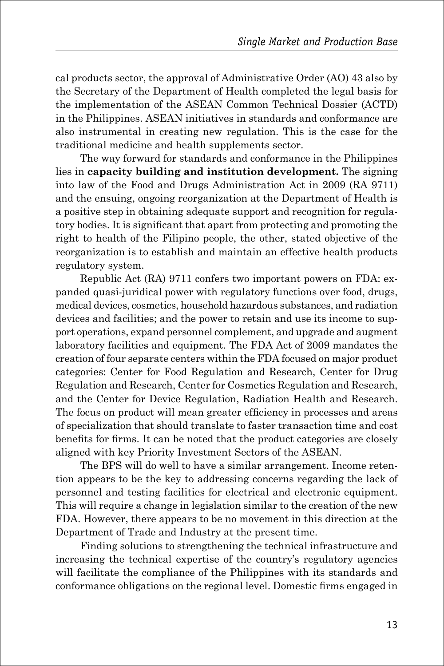cal products sector, the approval of Administrative Order (AO) 43 also by the Secretary of the Department of Health completed the legal basis for the implementation of the ASEAN Common Technical Dossier (ACTD) in the Philippines. ASEAN initiatives in standards and conformance are also instrumental in creating new regulation. This is the case for the traditional medicine and health supplements sector.

The way forward for standards and conformance in the Philippines lies in **capacity building and institution development.** The signing into law of the Food and Drugs Administration Act in 2009 (RA 9711) and the ensuing, ongoing reorganization at the Department of Health is a positive step in obtaining adequate support and recognition for regulatory bodies. It is significant that apart from protecting and promoting the right to health of the Filipino people, the other, stated objective of the reorganization is to establish and maintain an effective health products regulatory system.

Republic Act (RA) 9711 confers two important powers on FDA: expanded quasi-juridical power with regulatory functions over food, drugs, medical devices, cosmetics, household hazardous substances, and radiation devices and facilities; and the power to retain and use its income to support operations, expand personnel complement, and upgrade and augment laboratory facilities and equipment. The FDA Act of 2009 mandates the creation of four separate centers within the FDA focused on major product categories: Center for Food Regulation and Research, Center for Drug Regulation and Research, Center for Cosmetics Regulation and Research, and the Center for Device Regulation, Radiation Health and Research. The focus on product will mean greater efficiency in processes and areas of specialization that should translate to faster transaction time and cost benefits for firms. It can be noted that the product categories are closely aligned with key Priority Investment Sectors of the ASEAN.

The BPS will do well to have a similar arrangement. Income retention appears to be the key to addressing concerns regarding the lack of personnel and testing facilities for electrical and electronic equipment. This will require a change in legislation similar to the creation of the new FDA. However, there appears to be no movement in this direction at the Department of Trade and Industry at the present time.

Finding solutions to strengthening the technical infrastructure and increasing the technical expertise of the country's regulatory agencies will facilitate the compliance of the Philippines with its standards and conformance obligations on the regional level. Domestic firms engaged in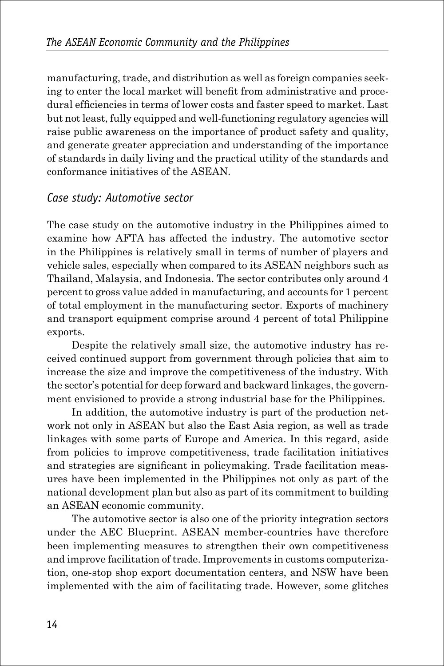manufacturing, trade, and distribution as well as foreign companies seeking to enter the local market will benefit from administrative and procedural efficiencies in terms of lower costs and faster speed to market. Last but not least, fully equipped and well-functioning regulatory agencies will raise public awareness on the importance of product safety and quality, and generate greater appreciation and understanding of the importance of standards in daily living and the practical utility of the standards and conformance initiatives of the ASEAN.

#### *Case study: Automotive sector*

The case study on the automotive industry in the Philippines aimed to examine how AFTA has affected the industry. The automotive sector in the Philippines is relatively small in terms of number of players and vehicle sales, especially when compared to its ASEAN neighbors such as Thailand, Malaysia, and Indonesia. The sector contributes only around 4 percent to gross value added in manufacturing, and accounts for 1 percent of total employment in the manufacturing sector. Exports of machinery and transport equipment comprise around 4 percent of total Philippine exports.

Despite the relatively small size, the automotive industry has received continued support from government through policies that aim to increase the size and improve the competitiveness of the industry. With the sector's potential for deep forward and backward linkages, the government envisioned to provide a strong industrial base for the Philippines.

In addition, the automotive industry is part of the production network not only in ASEAN but also the East Asia region, as well as trade linkages with some parts of Europe and America. In this regard, aside from policies to improve competitiveness, trade facilitation initiatives and strategies are significant in policymaking. Trade facilitation measures have been implemented in the Philippines not only as part of the national development plan but also as part of its commitment to building an ASEAN economic community.

The automotive sector is also one of the priority integration sectors under the AEC Blueprint. ASEAN member-countries have therefore been implementing measures to strengthen their own competitiveness and improve facilitation of trade. Improvements in customs computerization, one-stop shop export documentation centers, and NSW have been implemented with the aim of facilitating trade. However, some glitches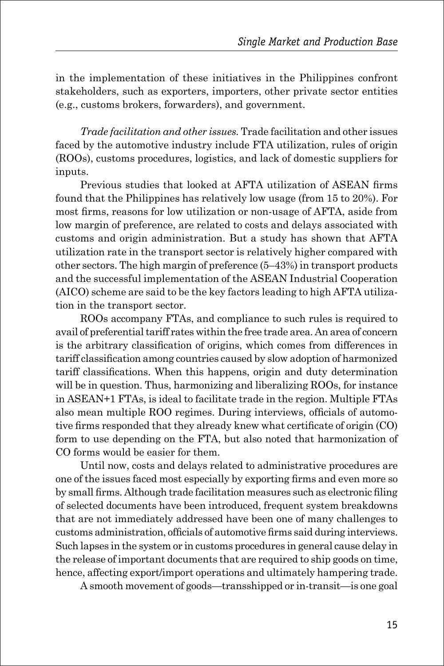in the implementation of these initiatives in the Philippines confront stakeholders, such as exporters, importers, other private sector entities (e.g., customs brokers, forwarders), and government.

*Trade facilitation and other issues.* Trade facilitation and other issues faced by the automotive industry include FTA utilization, rules of origin (ROOs), customs procedures, logistics, and lack of domestic suppliers for inputs.

Previous studies that looked at AFTA utilization of ASEAN firms found that the Philippines has relatively low usage (from 15 to 20%). For most firms, reasons for low utilization or non-usage of AFTA, aside from low margin of preference, are related to costs and delays associated with customs and origin administration. But a study has shown that AFTA utilization rate in the transport sector is relatively higher compared with other sectors. The high margin of preference (5–43%) in transport products and the successful implementation of the ASEAN Industrial Cooperation (AICO) scheme are said to be the key factors leading to high AFTA utilization in the transport sector.

ROOs accompany FTAs, and compliance to such rules is required to avail of preferential tariff rates within the free trade area. An area of concern is the arbitrary classification of origins, which comes from differences in tariff classification among countries caused by slow adoption of harmonized tariff classifications. When this happens, origin and duty determination will be in question. Thus, harmonizing and liberalizing ROOs, for instance in ASEAN+1 FTAs, is ideal to facilitate trade in the region. Multiple FTAs also mean multiple ROO regimes. During interviews, officials of automotive firms responded that they already knew what certificate of origin (CO) form to use depending on the FTA, but also noted that harmonization of CO forms would be easier for them.

Until now, costs and delays related to administrative procedures are one of the issues faced most especially by exporting firms and even more so by small firms. Although trade facilitation measures such as electronic filing of selected documents have been introduced, frequent system breakdowns that are not immediately addressed have been one of many challenges to customs administration, officials of automotive firms said during interviews. Such lapses in the system or in customs procedures in general cause delay in the release of important documents that are required to ship goods on time, hence, affecting export/import operations and ultimately hampering trade.

A smooth movement of goods—transshipped or in-transit—is one goal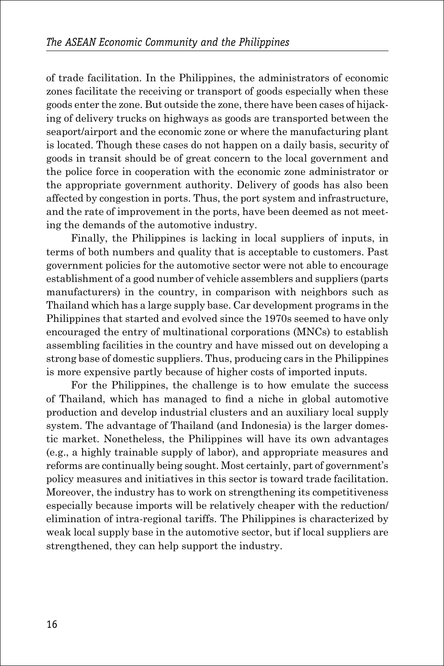of trade facilitation. In the Philippines, the administrators of economic zones facilitate the receiving or transport of goods especially when these goods enter the zone. But outside the zone, there have been cases of hijacking of delivery trucks on highways as goods are transported between the seaport/airport and the economic zone or where the manufacturing plant is located. Though these cases do not happen on a daily basis, security of goods in transit should be of great concern to the local government and the police force in cooperation with the economic zone administrator or the appropriate government authority. Delivery of goods has also been affected by congestion in ports. Thus, the port system and infrastructure, and the rate of improvement in the ports, have been deemed as not meeting the demands of the automotive industry.

Finally, the Philippines is lacking in local suppliers of inputs, in terms of both numbers and quality that is acceptable to customers. Past government policies for the automotive sector were not able to encourage establishment of a good number of vehicle assemblers and suppliers (parts manufacturers) in the country, in comparison with neighbors such as Thailand which has a large supply base. Car development programs in the Philippines that started and evolved since the 1970s seemed to have only encouraged the entry of multinational corporations (MNCs) to establish assembling facilities in the country and have missed out on developing a strong base of domestic suppliers. Thus, producing cars in the Philippines is more expensive partly because of higher costs of imported inputs.

For the Philippines, the challenge is to how emulate the success of Thailand, which has managed to find a niche in global automotive production and develop industrial clusters and an auxiliary local supply system. The advantage of Thailand (and Indonesia) is the larger domestic market. Nonetheless, the Philippines will have its own advantages (e.g., a highly trainable supply of labor), and appropriate measures and reforms are continually being sought. Most certainly, part of government's policy measures and initiatives in this sector is toward trade facilitation. Moreover, the industry has to work on strengthening its competitiveness especially because imports will be relatively cheaper with the reduction/ elimination of intra-regional tariffs. The Philippines is characterized by weak local supply base in the automotive sector, but if local suppliers are strengthened, they can help support the industry.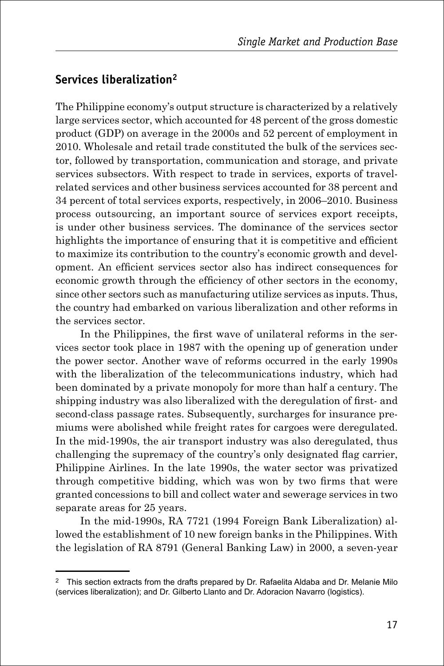## **Services liberalization2**

The Philippine economy's output structure is characterized by a relatively large services sector, which accounted for 48 percent of the gross domestic product (GDP) on average in the 2000s and 52 percent of employment in 2010. Wholesale and retail trade constituted the bulk of the services sector, followed by transportation, communication and storage, and private services subsectors. With respect to trade in services, exports of travelrelated services and other business services accounted for 38 percent and 34 percent of total services exports, respectively, in 2006–2010. Business process outsourcing, an important source of services export receipts, is under other business services. The dominance of the services sector highlights the importance of ensuring that it is competitive and efficient to maximize its contribution to the country's economic growth and development. An efficient services sector also has indirect consequences for economic growth through the efficiency of other sectors in the economy, since other sectors such as manufacturing utilize services as inputs. Thus, the country had embarked on various liberalization and other reforms in the services sector.

In the Philippines, the first wave of unilateral reforms in the services sector took place in 1987 with the opening up of generation under the power sector. Another wave of reforms occurred in the early 1990s with the liberalization of the telecommunications industry, which had been dominated by a private monopoly for more than half a century. The shipping industry was also liberalized with the deregulation of first- and second-class passage rates. Subsequently, surcharges for insurance premiums were abolished while freight rates for cargoes were deregulated. In the mid-1990s, the air transport industry was also deregulated, thus challenging the supremacy of the country's only designated flag carrier, Philippine Airlines. In the late 1990s, the water sector was privatized through competitive bidding, which was won by two firms that were granted concessions to bill and collect water and sewerage services in two separate areas for 25 years.

In the mid-1990s, RA 7721 (1994 Foreign Bank Liberalization) allowed the establishment of 10 new foreign banks in the Philippines. With the legislation of RA 8791 (General Banking Law) in 2000, a seven-year

 $2$  This section extracts from the drafts prepared by Dr. Rafaelita Aldaba and Dr. Melanie Milo (services liberalization); and Dr. Gilberto Llanto and Dr. Adoracion Navarro (logistics).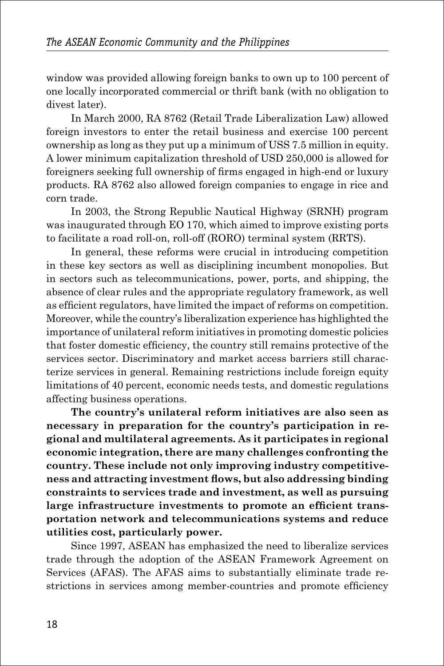window was provided allowing foreign banks to own up to 100 percent of one locally incorporated commercial or thrift bank (with no obligation to divest later).

In March 2000, RA 8762 (Retail Trade Liberalization Law) allowed foreign investors to enter the retail business and exercise 100 percent ownership as long as they put up a minimum of USS 7.5 million in equity. A lower minimum capitalization threshold of USD 250,000 is allowed for foreigners seeking full ownership of firms engaged in high-end or luxury products. RA 8762 also allowed foreign companies to engage in rice and corn trade.

In 2003, the Strong Republic Nautical Highway (SRNH) program was inaugurated through EO 170, which aimed to improve existing ports to facilitate a road roll-on, roll-off (RORO) terminal system (RRTS).

In general, these reforms were crucial in introducing competition in these key sectors as well as disciplining incumbent monopolies. But in sectors such as telecommunications, power, ports, and shipping, the absence of clear rules and the appropriate regulatory framework, as well as efficient regulators, have limited the impact of reforms on competition. Moreover, while the country's liberalization experience has highlighted the importance of unilateral reform initiatives in promoting domestic policies that foster domestic efficiency, the country still remains protective of the services sector. Discriminatory and market access barriers still characterize services in general. Remaining restrictions include foreign equity limitations of 40 percent, economic needs tests, and domestic regulations affecting business operations.

**The country's unilateral reform initiatives are also seen as necessary in preparation for the country's participation in regional and multilateral agreements. As it participates in regional economic integration, there are many challenges confronting the country. These include not only improving industry competitiveness and attracting investment flows, but also addressing binding constraints to services trade and investment, as well as pursuing large infrastructure investments to promote an efficient transportation network and telecommunications systems and reduce utilities cost, particularly power.**

Since 1997, ASEAN has emphasized the need to liberalize services trade through the adoption of the ASEAN Framework Agreement on Services (AFAS). The AFAS aims to substantially eliminate trade restrictions in services among member-countries and promote efficiency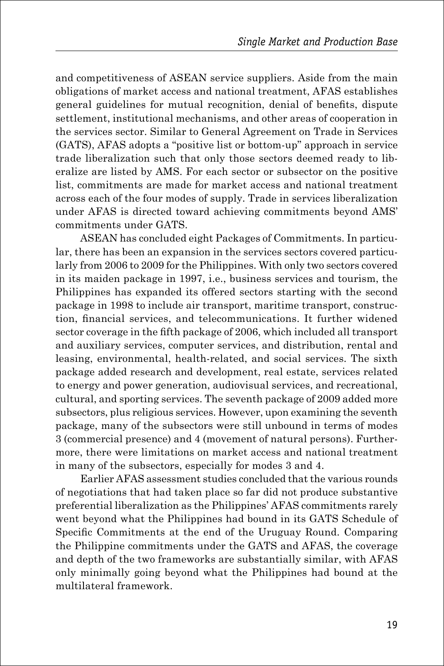and competitiveness of ASEAN service suppliers. Aside from the main obligations of market access and national treatment, AFAS establishes general guidelines for mutual recognition, denial of benefits, dispute settlement, institutional mechanisms, and other areas of cooperation in the services sector. Similar to General Agreement on Trade in Services (GATS), AFAS adopts a "positive list or bottom-up" approach in service trade liberalization such that only those sectors deemed ready to liberalize are listed by AMS. For each sector or subsector on the positive list, commitments are made for market access and national treatment across each of the four modes of supply. Trade in services liberalization under AFAS is directed toward achieving commitments beyond AMS' commitments under GATS.

ASEAN has concluded eight Packages of Commitments. In particular, there has been an expansion in the services sectors covered particularly from 2006 to 2009 for the Philippines. With only two sectors covered in its maiden package in 1997, i.e., business services and tourism, the Philippines has expanded its offered sectors starting with the second package in 1998 to include air transport, maritime transport, construction, financial services, and telecommunications. It further widened sector coverage in the fifth package of 2006, which included all transport and auxiliary services, computer services, and distribution, rental and leasing, environmental, health-related, and social services. The sixth package added research and development, real estate, services related to energy and power generation, audiovisual services, and recreational, cultural, and sporting services. The seventh package of 2009 added more subsectors, plus religious services. However, upon examining the seventh package, many of the subsectors were still unbound in terms of modes 3 (commercial presence) and 4 (movement of natural persons). Furthermore, there were limitations on market access and national treatment in many of the subsectors, especially for modes 3 and 4.

Earlier AFAS assessment studies concluded that the various rounds of negotiations that had taken place so far did not produce substantive preferential liberalization as the Philippines' AFAS commitments rarely went beyond what the Philippines had bound in its GATS Schedule of Specific Commitments at the end of the Uruguay Round. Comparing the Philippine commitments under the GATS and AFAS, the coverage and depth of the two frameworks are substantially similar, with AFAS only minimally going beyond what the Philippines had bound at the multilateral framework.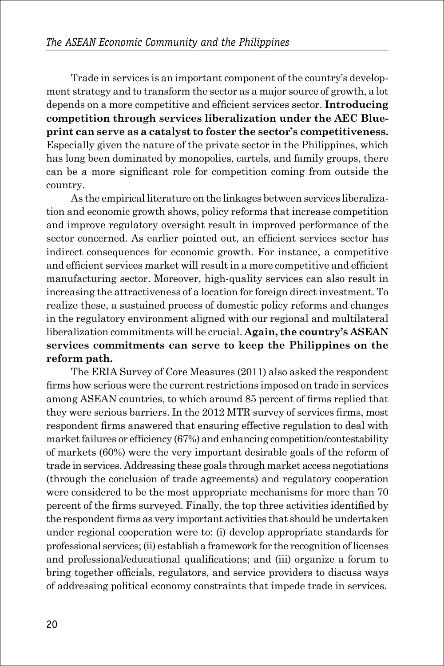Trade in services is an important component of the country's development strategy and to transform the sector as a major source of growth, a lot depends on a more competitive and efficient services sector. **Introducing competition through services liberalization under the AEC Blueprint can serve as a catalyst to foster the sector's competitiveness.**  Especially given the nature of the private sector in the Philippines, which has long been dominated by monopolies, cartels, and family groups, there can be a more significant role for competition coming from outside the country.

As the empirical literature on the linkages between services liberalization and economic growth shows, policy reforms that increase competition and improve regulatory oversight result in improved performance of the sector concerned. As earlier pointed out, an efficient services sector has indirect consequences for economic growth. For instance, a competitive and efficient services market will result in a more competitive and efficient manufacturing sector. Moreover, high-quality services can also result in increasing the attractiveness of a location for foreign direct investment. To realize these, a sustained process of domestic policy reforms and changes in the regulatory environment aligned with our regional and multilateral liberalization commitments will be crucial. **Again, the country's ASEAN services commitments can serve to keep the Philippines on the reform path.** 

The ERIA Survey of Core Measures (2011) also asked the respondent firms how serious were the current restrictions imposed on trade in services among ASEAN countries, to which around 85 percent of firms replied that they were serious barriers. In the 2012 MTR survey of services firms, most respondent firms answered that ensuring effective regulation to deal with market failures or efficiency (67%) and enhancing competition/contestability of markets (60%) were the very important desirable goals of the reform of trade in services. Addressing these goals through market access negotiations (through the conclusion of trade agreements) and regulatory cooperation were considered to be the most appropriate mechanisms for more than 70 percent of the firms surveyed. Finally, the top three activities identified by the respondent firms as very important activities that should be undertaken under regional cooperation were to: (i) develop appropriate standards for professional services; (ii) establish a framework for the recognition of licenses and professional/educational qualifications; and (iii) organize a forum to bring together officials, regulators, and service providers to discuss ways of addressing political economy constraints that impede trade in services.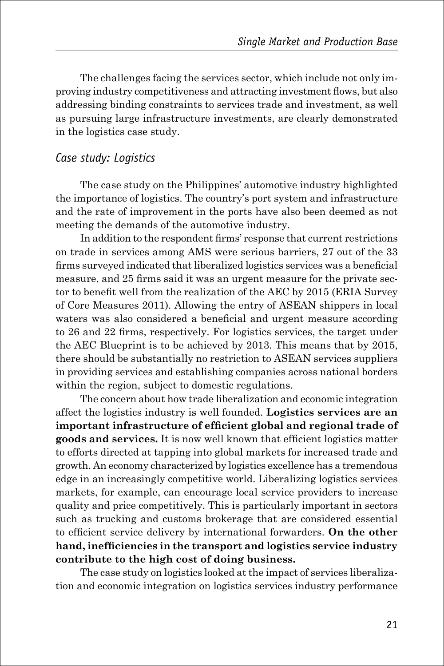The challenges facing the services sector, which include not only improving industry competitiveness and attracting investment flows, but also addressing binding constraints to services trade and investment, as well as pursuing large infrastructure investments, are clearly demonstrated in the logistics case study.

#### *Case study: Logistics*

The case study on the Philippines' automotive industry highlighted the importance of logistics. The country's port system and infrastructure and the rate of improvement in the ports have also been deemed as not meeting the demands of the automotive industry.

In addition to the respondent firms' response that current restrictions on trade in services among AMS were serious barriers, 27 out of the 33 firms surveyed indicated that liberalized logistics services was a beneficial measure, and 25 firms said it was an urgent measure for the private sector to benefit well from the realization of the AEC by 2015 (ERIA Survey of Core Measures 2011). Allowing the entry of ASEAN shippers in local waters was also considered a beneficial and urgent measure according to 26 and 22 firms, respectively. For logistics services, the target under the AEC Blueprint is to be achieved by 2013. This means that by 2015, there should be substantially no restriction to ASEAN services suppliers in providing services and establishing companies across national borders within the region, subject to domestic regulations.

The concern about how trade liberalization and economic integration affect the logistics industry is well founded. **Logistics services are an important infrastructure of efficient global and regional trade of goods and services.** It is now well known that efficient logistics matter to efforts directed at tapping into global markets for increased trade and growth. An economy characterized by logistics excellence has a tremendous edge in an increasingly competitive world. Liberalizing logistics services markets, for example, can encourage local service providers to increase quality and price competitively. This is particularly important in sectors such as trucking and customs brokerage that are considered essential to efficient service delivery by international forwarders. **On the other hand, inefficiencies in the transport and logistics service industry contribute to the high cost of doing business.** 

The case study on logistics looked at the impact of services liberalization and economic integration on logistics services industry performance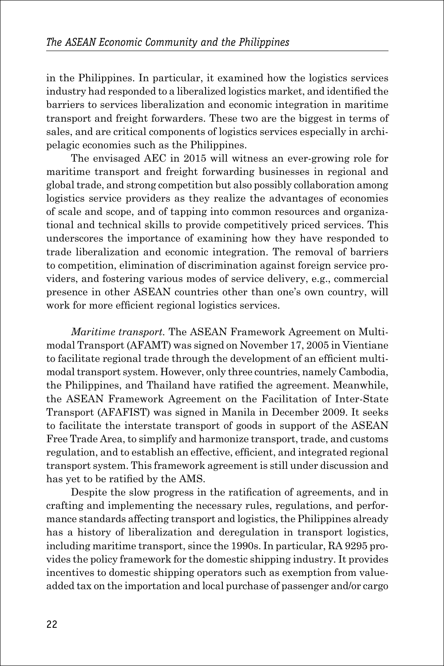in the Philippines. In particular, it examined how the logistics services industry had responded to a liberalized logistics market, and identified the barriers to services liberalization and economic integration in maritime transport and freight forwarders. These two are the biggest in terms of sales, and are critical components of logistics services especially in archipelagic economies such as the Philippines.

The envisaged AEC in 2015 will witness an ever-growing role for maritime transport and freight forwarding businesses in regional and global trade, and strong competition but also possibly collaboration among logistics service providers as they realize the advantages of economies of scale and scope, and of tapping into common resources and organizational and technical skills to provide competitively priced services. This underscores the importance of examining how they have responded to trade liberalization and economic integration. The removal of barriers to competition, elimination of discrimination against foreign service providers, and fostering various modes of service delivery, e.g., commercial presence in other ASEAN countries other than one's own country, will work for more efficient regional logistics services.

*Maritime transport.* The ASEAN Framework Agreement on Multimodal Transport (AFAMT) was signed on November 17, 2005 in Vientiane to facilitate regional trade through the development of an efficient multimodal transport system. However, only three countries, namely Cambodia, the Philippines, and Thailand have ratified the agreement. Meanwhile, the ASEAN Framework Agreement on the Facilitation of Inter-State Transport (AFAFIST) was signed in Manila in December 2009. It seeks to facilitate the interstate transport of goods in support of the ASEAN Free Trade Area, to simplify and harmonize transport, trade, and customs regulation, and to establish an effective, efficient, and integrated regional transport system. This framework agreement is still under discussion and has yet to be ratified by the AMS.

Despite the slow progress in the ratification of agreements, and in crafting and implementing the necessary rules, regulations, and performance standards affecting transport and logistics, the Philippines already has a history of liberalization and deregulation in transport logistics, including maritime transport, since the 1990s. In particular, RA 9295 provides the policy framework for the domestic shipping industry. It provides incentives to domestic shipping operators such as exemption from valueadded tax on the importation and local purchase of passenger and/or cargo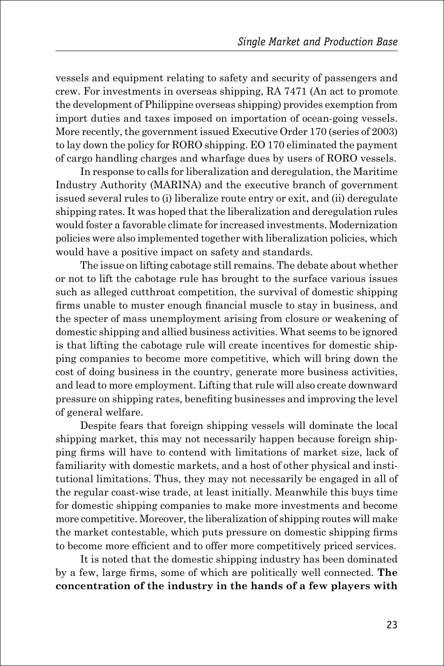vessels and equipment relating to safety and security of passengers and crew. For investments in overseas shipping, RA 7471 (An act to promote the development of Philippine overseas shipping) provides exemption from import duties and taxes imposed on importation of ocean-going vessels. More recently, the government issued Executive Order 170 (series of 2003) to lay down the policy for RORO shipping. EO 170 eliminated the payment of cargo handling charges and wharfage dues by users of RORO vessels.

In response to calls for liberalization and deregulation, the Maritime Industry Authority (MARINA) and the executive branch of government issued several rules to (i) liberalize route entry or exit, and (ii) deregulate shipping rates. It was hoped that the liberalization and deregulation rules would foster a favorable climate for increased investments. Modernization policies were also implemented together with liberalization policies, which would have a positive impact on safety and standards.

The issue on lifting cabotage still remains. The debate about whether or not to lift the cabotage rule has brought to the surface various issues such as alleged cutthroat competition, the survival of domestic shipping firms unable to muster enough financial muscle to stay in business, and the specter of mass unemployment arising from closure or weakening of domestic shipping and allied business activities. What seems to be ignored is that lifting the cabotage rule will create incentives for domestic shipping companies to become more competitive, which will bring down the cost of doing business in the country, generate more business activities, and lead to more employment. Lifting that rule will also create downward pressure on shipping rates, benefiting businesses and improving the level of general welfare.

Despite fears that foreign shipping vessels will dominate the local shipping market, this may not necessarily happen because foreign shipping firms will have to contend with limitations of market size, lack of familiarity with domestic markets, and a host of other physical and institutional limitations. Thus, they may not necessarily be engaged in all of the regular coast-wise trade, at least initially. Meanwhile this buys time for domestic shipping companies to make more investments and become more competitive. Moreover, the liberalization of shipping routes will make the market contestable, which puts pressure on domestic shipping firms to become more efficient and to offer more competitively priced services.

It is noted that the domestic shipping industry has been dominated by a few, large firms, some of which are politically well connected. **The concentration of the industry in the hands of a few players with**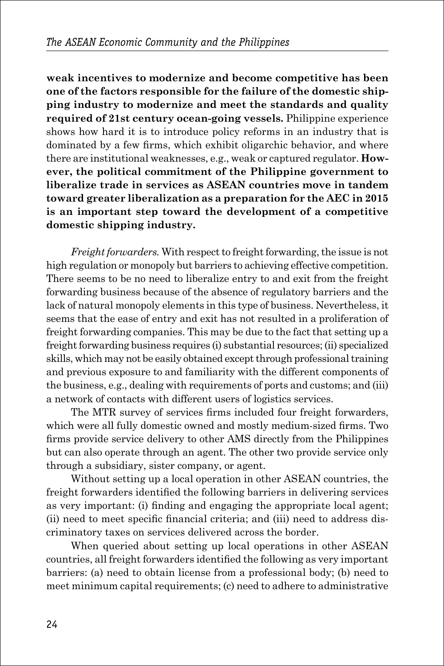**weak incentives to modernize and become competitive has been one of the factors responsible for the failure of the domestic shipping industry to modernize and meet the standards and quality required of 21st century ocean-going vessels.** Philippine experience shows how hard it is to introduce policy reforms in an industry that is dominated by a few firms, which exhibit oligarchic behavior, and where there are institutional weaknesses, e.g., weak or captured regulator. **However, the political commitment of the Philippine government to liberalize trade in services as ASEAN countries move in tandem toward greater liberalization as a preparation for the AEC in 2015 is an important step toward the development of a competitive domestic shipping industry.**

*Freight forwarders.* With respect to freight forwarding, the issue is not high regulation or monopoly but barriers to achieving effective competition. There seems to be no need to liberalize entry to and exit from the freight forwarding business because of the absence of regulatory barriers and the lack of natural monopoly elements in this type of business. Nevertheless, it seems that the ease of entry and exit has not resulted in a proliferation of freight forwarding companies. This may be due to the fact that setting up a freight forwarding business requires (i) substantial resources; (ii) specialized skills, which may not be easily obtained except through professional training and previous exposure to and familiarity with the different components of the business, e.g., dealing with requirements of ports and customs; and (iii) a network of contacts with different users of logistics services.

The MTR survey of services firms included four freight forwarders, which were all fully domestic owned and mostly medium-sized firms. Two firms provide service delivery to other AMS directly from the Philippines but can also operate through an agent. The other two provide service only through a subsidiary, sister company, or agent.

Without setting up a local operation in other ASEAN countries, the freight forwarders identified the following barriers in delivering services as very important: (i) finding and engaging the appropriate local agent; (ii) need to meet specific financial criteria; and (iii) need to address discriminatory taxes on services delivered across the border.

When queried about setting up local operations in other ASEAN countries, all freight forwarders identified the following as very important barriers: (a) need to obtain license from a professional body; (b) need to meet minimum capital requirements; (c) need to adhere to administrative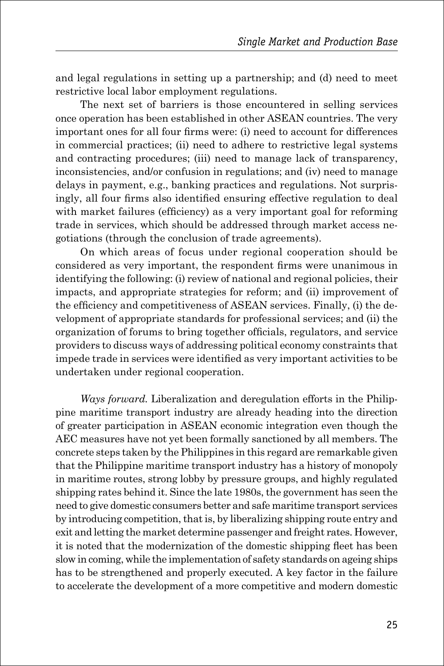and legal regulations in setting up a partnership; and (d) need to meet restrictive local labor employment regulations.

The next set of barriers is those encountered in selling services once operation has been established in other ASEAN countries. The very important ones for all four firms were: (i) need to account for differences in commercial practices; (ii) need to adhere to restrictive legal systems and contracting procedures; (iii) need to manage lack of transparency, inconsistencies, and/or confusion in regulations; and (iv) need to manage delays in payment, e.g., banking practices and regulations. Not surprisingly, all four firms also identified ensuring effective regulation to deal with market failures (efficiency) as a very important goal for reforming trade in services, which should be addressed through market access negotiations (through the conclusion of trade agreements).

On which areas of focus under regional cooperation should be considered as very important, the respondent firms were unanimous in identifying the following: (i) review of national and regional policies, their impacts, and appropriate strategies for reform; and (ii) improvement of the efficiency and competitiveness of ASEAN services. Finally, (i) the development of appropriate standards for professional services; and (ii) the organization of forums to bring together officials, regulators, and service providers to discuss ways of addressing political economy constraints that impede trade in services were identified as very important activities to be undertaken under regional cooperation.

*Ways forward.* Liberalization and deregulation efforts in the Philippine maritime transport industry are already heading into the direction of greater participation in ASEAN economic integration even though the AEC measures have not yet been formally sanctioned by all members. The concrete steps taken by the Philippines in this regard are remarkable given that the Philippine maritime transport industry has a history of monopoly in maritime routes, strong lobby by pressure groups, and highly regulated shipping rates behind it. Since the late 1980s, the government has seen the need to give domestic consumers better and safe maritime transport services by introducing competition, that is, by liberalizing shipping route entry and exit and letting the market determine passenger and freight rates. However, it is noted that the modernization of the domestic shipping fleet has been slow in coming, while the implementation of safety standards on ageing ships has to be strengthened and properly executed. A key factor in the failure to accelerate the development of a more competitive and modern domestic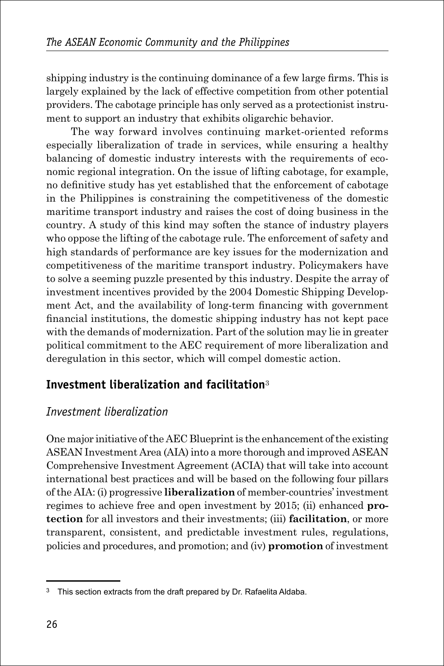shipping industry is the continuing dominance of a few large firms. This is largely explained by the lack of effective competition from other potential providers. The cabotage principle has only served as a protectionist instrument to support an industry that exhibits oligarchic behavior.

The way forward involves continuing market-oriented reforms especially liberalization of trade in services, while ensuring a healthy balancing of domestic industry interests with the requirements of economic regional integration. On the issue of lifting cabotage, for example, no definitive study has yet established that the enforcement of cabotage in the Philippines is constraining the competitiveness of the domestic maritime transport industry and raises the cost of doing business in the country. A study of this kind may soften the stance of industry players who oppose the lifting of the cabotage rule. The enforcement of safety and high standards of performance are key issues for the modernization and competitiveness of the maritime transport industry. Policymakers have to solve a seeming puzzle presented by this industry. Despite the array of investment incentives provided by the 2004 Domestic Shipping Development Act, and the availability of long-term financing with government financial institutions, the domestic shipping industry has not kept pace with the demands of modernization. Part of the solution may lie in greater political commitment to the AEC requirement of more liberalization and deregulation in this sector, which will compel domestic action.

#### **Investment liberalization and facilitation**<sup>3</sup>

#### *Investment liberalization*

One major initiative of the AEC Blueprint is the enhancement of the existing ASEAN Investment Area (AIA) into a more thorough and improved ASEAN Comprehensive Investment Agreement (ACIA) that will take into account international best practices and will be based on the following four pillars of the AIA: (i) progressive **liberalization** of member-countries' investment regimes to achieve free and open investment by 2015; (ii) enhanced **protection** for all investors and their investments; (iii) **facilitation**, or more transparent, consistent, and predictable investment rules, regulations, policies and procedures, and promotion; and (iv) **promotion** of investment

<sup>&</sup>lt;sup>3</sup> This section extracts from the draft prepared by Dr. Rafaelita Aldaba.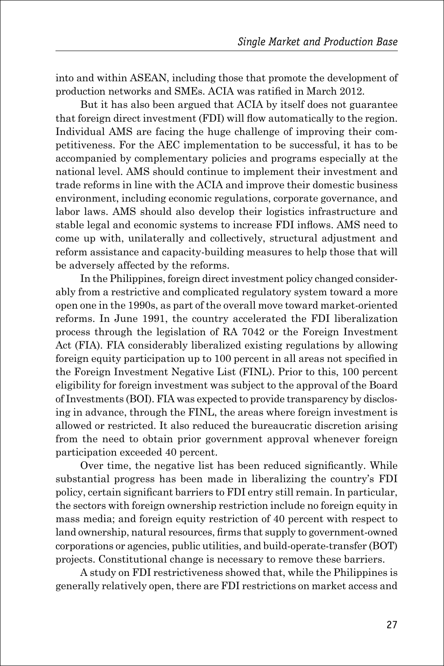into and within ASEAN, including those that promote the development of production networks and SMEs. ACIA was ratified in March 2012.

But it has also been argued that ACIA by itself does not guarantee that foreign direct investment (FDI) will flow automatically to the region. Individual AMS are facing the huge challenge of improving their competitiveness. For the AEC implementation to be successful, it has to be accompanied by complementary policies and programs especially at the national level. AMS should continue to implement their investment and trade reforms in line with the ACIA and improve their domestic business environment, including economic regulations, corporate governance, and labor laws. AMS should also develop their logistics infrastructure and stable legal and economic systems to increase FDI inflows. AMS need to come up with, unilaterally and collectively, structural adjustment and reform assistance and capacity-building measures to help those that will be adversely affected by the reforms.

In the Philippines, foreign direct investment policy changed considerably from a restrictive and complicated regulatory system toward a more open one in the 1990s, as part of the overall move toward market-oriented reforms. In June 1991, the country accelerated the FDI liberalization process through the legislation of RA 7042 or the Foreign Investment Act (FIA). FIA considerably liberalized existing regulations by allowing foreign equity participation up to 100 percent in all areas not specified in the Foreign Investment Negative List (FINL). Prior to this, 100 percent eligibility for foreign investment was subject to the approval of the Board of Investments (BOI). FIA was expected to provide transparency by disclosing in advance, through the FINL, the areas where foreign investment is allowed or restricted. It also reduced the bureaucratic discretion arising from the need to obtain prior government approval whenever foreign participation exceeded 40 percent.

Over time, the negative list has been reduced significantly. While substantial progress has been made in liberalizing the country's FDI policy, certain significant barriers to FDI entry still remain. In particular, the sectors with foreign ownership restriction include no foreign equity in mass media; and foreign equity restriction of 40 percent with respect to land ownership, natural resources, firms that supply to government-owned corporations or agencies, public utilities, and build-operate-transfer (BOT) projects. Constitutional change is necessary to remove these barriers.

A study on FDI restrictiveness showed that, while the Philippines is generally relatively open, there are FDI restrictions on market access and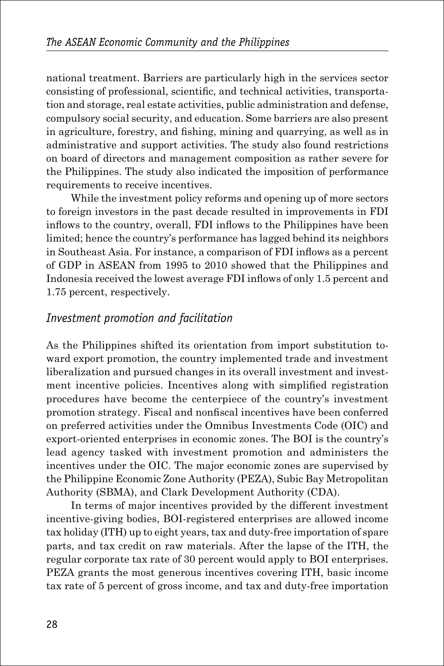national treatment. Barriers are particularly high in the services sector consisting of professional, scientific, and technical activities, transportation and storage, real estate activities, public administration and defense, compulsory social security, and education. Some barriers are also present in agriculture, forestry, and fishing, mining and quarrying, as well as in administrative and support activities. The study also found restrictions on board of directors and management composition as rather severe for the Philippines. The study also indicated the imposition of performance requirements to receive incentives.

While the investment policy reforms and opening up of more sectors to foreign investors in the past decade resulted in improvements in FDI inflows to the country, overall, FDI inflows to the Philippines have been limited; hence the country's performance has lagged behind its neighbors in Southeast Asia. For instance, a comparison of FDI inflows as a percent of GDP in ASEAN from 1995 to 2010 showed that the Philippines and Indonesia received the lowest average FDI inflows of only 1.5 percent and 1.75 percent, respectively.

#### *Investment promotion and facilitation*

As the Philippines shifted its orientation from import substitution toward export promotion, the country implemented trade and investment liberalization and pursued changes in its overall investment and investment incentive policies. Incentives along with simplified registration procedures have become the centerpiece of the country's investment promotion strategy. Fiscal and nonfiscal incentives have been conferred on preferred activities under the Omnibus Investments Code (OIC) and export-oriented enterprises in economic zones. The BOI is the country's lead agency tasked with investment promotion and administers the incentives under the OIC. The major economic zones are supervised by the Philippine Economic Zone Authority (PEZA), Subic Bay Metropolitan Authority (SBMA), and Clark Development Authority (CDA).

In terms of major incentives provided by the different investment incentive-giving bodies, BOI-registered enterprises are allowed income tax holiday (ITH) up to eight years, tax and duty-free importation of spare parts, and tax credit on raw materials. After the lapse of the ITH, the regular corporate tax rate of 30 percent would apply to BOI enterprises. PEZA grants the most generous incentives covering ITH, basic income tax rate of 5 percent of gross income, and tax and duty-free importation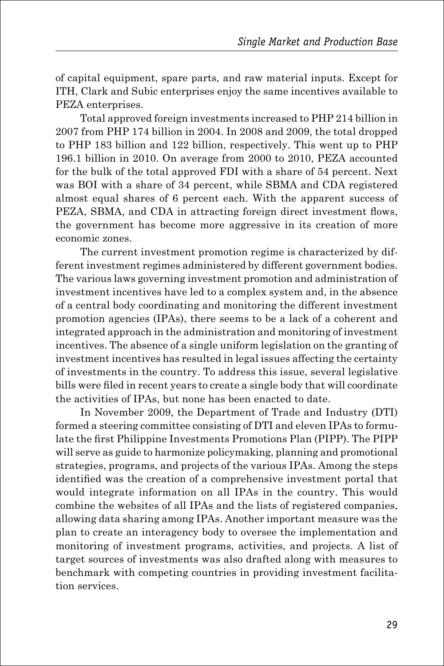of capital equipment, spare parts, and raw material inputs. Except for ITH, Clark and Subic enterprises enjoy the same incentives available to PEZA enterprises.

Total approved foreign investments increased to PHP 214 billion in 2007 from PHP 174 billion in 2004. In 2008 and 2009, the total dropped to PHP 183 billion and 122 billion, respectively. This went up to PHP 196.1 billion in 2010. On average from 2000 to 2010, PEZA accounted for the bulk of the total approved FDI with a share of 54 percent. Next was BOI with a share of 34 percent, while SBMA and CDA registered almost equal shares of 6 percent each. With the apparent success of PEZA, SBMA, and CDA in attracting foreign direct investment flows, the government has become more aggressive in its creation of more economic zones.

The current investment promotion regime is characterized by different investment regimes administered by different government bodies. The various laws governing investment promotion and administration of investment incentives have led to a complex system and, in the absence of a central body coordinating and monitoring the different investment promotion agencies (IPAs), there seems to be a lack of a coherent and integrated approach in the administration and monitoring of investment incentives. The absence of a single uniform legislation on the granting of investment incentives has resulted in legal issues affecting the certainty of investments in the country. To address this issue, several legislative bills were filed in recent years to create a single body that will coordinate the activities of IPAs, but none has been enacted to date.

In November 2009, the Department of Trade and Industry (DTI) formed a steering committee consisting of DTI and eleven IPAs to formulate the first Philippine Investments Promotions Plan (PIPP). The PIPP will serve as guide to harmonize policymaking, planning and promotional strategies, programs, and projects of the various IPAs. Among the steps identified was the creation of a comprehensive investment portal that would integrate information on all IPAs in the country. This would combine the websites of all IPAs and the lists of registered companies, allowing data sharing among IPAs. Another important measure was the plan to create an interagency body to oversee the implementation and monitoring of investment programs, activities, and projects. A list of target sources of investments was also drafted along with measures to benchmark with competing countries in providing investment facilitation services.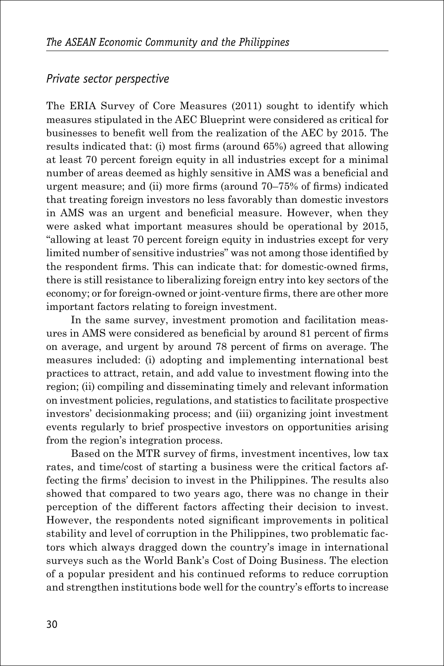#### *Private sector perspective*

The ERIA Survey of Core Measures (2011) sought to identify which measures stipulated in the AEC Blueprint were considered as critical for businesses to benefit well from the realization of the AEC by 2015. The results indicated that: (i) most firms (around 65%) agreed that allowing at least 70 percent foreign equity in all industries except for a minimal number of areas deemed as highly sensitive in AMS was a beneficial and urgent measure; and (ii) more firms (around 70–75% of firms) indicated that treating foreign investors no less favorably than domestic investors in AMS was an urgent and beneficial measure. However, when they were asked what important measures should be operational by 2015, "allowing at least 70 percent foreign equity in industries except for very limited number of sensitive industries" was not among those identified by the respondent firms. This can indicate that: for domestic-owned firms, there is still resistance to liberalizing foreign entry into key sectors of the economy; or for foreign-owned or joint-venture firms, there are other more important factors relating to foreign investment.

In the same survey, investment promotion and facilitation measures in AMS were considered as beneficial by around 81 percent of firms on average, and urgent by around 78 percent of firms on average. The measures included: (i) adopting and implementing international best practices to attract, retain, and add value to investment flowing into the region; (ii) compiling and disseminating timely and relevant information on investment policies, regulations, and statistics to facilitate prospective investors' decisionmaking process; and (iii) organizing joint investment events regularly to brief prospective investors on opportunities arising from the region's integration process.

Based on the MTR survey of firms, investment incentives, low tax rates, and time/cost of starting a business were the critical factors affecting the firms' decision to invest in the Philippines. The results also showed that compared to two years ago, there was no change in their perception of the different factors affecting their decision to invest. However, the respondents noted significant improvements in political stability and level of corruption in the Philippines, two problematic factors which always dragged down the country's image in international surveys such as the World Bank's Cost of Doing Business. The election of a popular president and his continued reforms to reduce corruption and strengthen institutions bode well for the country's efforts to increase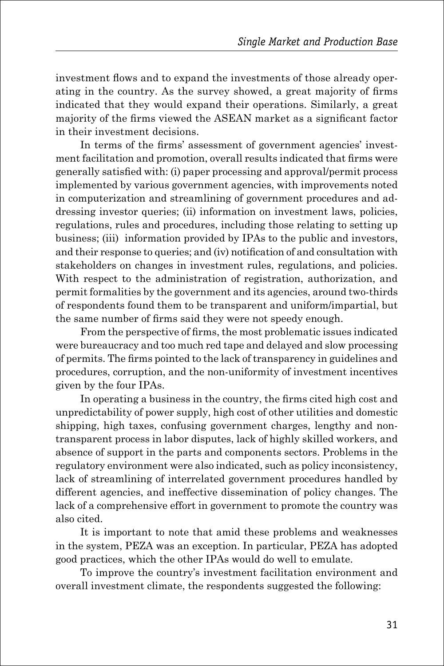investment flows and to expand the investments of those already operating in the country. As the survey showed, a great majority of firms indicated that they would expand their operations. Similarly, a great majority of the firms viewed the ASEAN market as a significant factor in their investment decisions.

In terms of the firms' assessment of government agencies' investment facilitation and promotion, overall results indicated that firms were generally satisfied with: (i) paper processing and approval/permit process implemented by various government agencies, with improvements noted in computerization and streamlining of government procedures and addressing investor queries; (ii) information on investment laws, policies, regulations, rules and procedures, including those relating to setting up business; (iii) information provided by IPAs to the public and investors, and their response to queries; and (iv) notification of and consultation with stakeholders on changes in investment rules, regulations, and policies. With respect to the administration of registration, authorization, and permit formalities by the government and its agencies, around two-thirds of respondents found them to be transparent and uniform/impartial, but the same number of firms said they were not speedy enough.

From the perspective of firms, the most problematic issues indicated were bureaucracy and too much red tape and delayed and slow processing of permits. The firms pointed to the lack of transparency in guidelines and procedures, corruption, and the non-uniformity of investment incentives given by the four IPAs.

In operating a business in the country, the firms cited high cost and unpredictability of power supply, high cost of other utilities and domestic shipping, high taxes, confusing government charges, lengthy and nontransparent process in labor disputes, lack of highly skilled workers, and absence of support in the parts and components sectors. Problems in the regulatory environment were also indicated, such as policy inconsistency, lack of streamlining of interrelated government procedures handled by different agencies, and ineffective dissemination of policy changes. The lack of a comprehensive effort in government to promote the country was also cited.

It is important to note that amid these problems and weaknesses in the system, PEZA was an exception. In particular, PEZA has adopted good practices, which the other IPAs would do well to emulate.

To improve the country's investment facilitation environment and overall investment climate, the respondents suggested the following: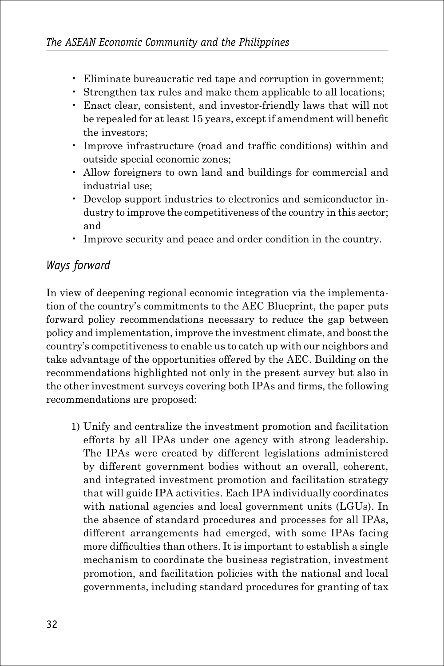- Eliminate bureaucratic red tape and corruption in government;
- Strengthen tax rules and make them applicable to all locations;
- Enact clear, consistent, and investor-friendly laws that will not be repealed for at least 15 years, except if amendment will benefit the investors;
- Improve infrastructure (road and traffic conditions) within and outside special economic zones;
- Allow foreigners to own land and buildings for commercial and industrial use;
- Develop support industries to electronics and semiconductor industry to improve the competitiveness of the country in this sector; and
- Improve security and peace and order condition in the country.

#### *Ways forward*

In view of deepening regional economic integration via the implementation of the country's commitments to the AEC Blueprint, the paper puts forward policy recommendations necessary to reduce the gap between policy and implementation, improve the investment climate, and boost the country's competitiveness to enable us to catch up with our neighbors and take advantage of the opportunities offered by the AEC. Building on the recommendations highlighted not only in the present survey but also in the other investment surveys covering both IPAs and firms, the following recommendations are proposed:

1) Unify and centralize the investment promotion and facilitation efforts by all IPAs under one agency with strong leadership. The IPAs were created by different legislations administered by different government bodies without an overall, coherent, and integrated investment promotion and facilitation strategy that will guide IPA activities. Each IPA individually coordinates with national agencies and local government units (LGUs). In the absence of standard procedures and processes for all IPAs, different arrangements had emerged, with some IPAs facing more difficulties than others. It is important to establish a single mechanism to coordinate the business registration, investment promotion, and facilitation policies with the national and local governments, including standard procedures for granting of tax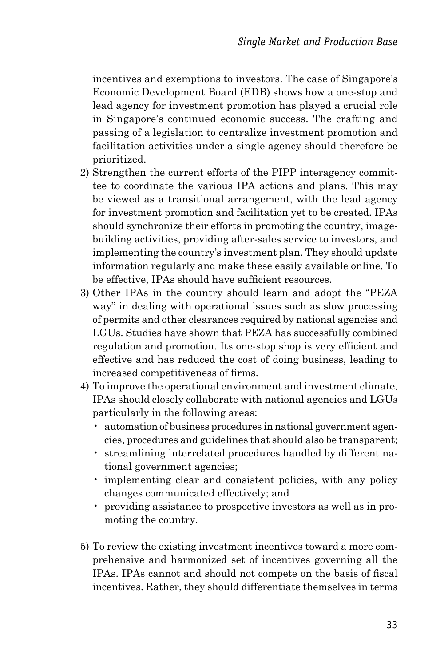incentives and exemptions to investors. The case of Singapore's Economic Development Board (EDB) shows how a one-stop and lead agency for investment promotion has played a crucial role in Singapore's continued economic success. The crafting and passing of a legislation to centralize investment promotion and facilitation activities under a single agency should therefore be prioritized.

- 2) Strengthen the current efforts of the PIPP interagency committee to coordinate the various IPA actions and plans. This may be viewed as a transitional arrangement, with the lead agency for investment promotion and facilitation yet to be created. IPAs should synchronize their efforts in promoting the country, imagebuilding activities, providing after-sales service to investors, and implementing the country's investment plan. They should update information regularly and make these easily available online. To be effective, IPAs should have sufficient resources.
- 3) Other IPAs in the country should learn and adopt the "PEZA way" in dealing with operational issues such as slow processing of permits and other clearances required by national agencies and LGUs. Studies have shown that PEZA has successfully combined regulation and promotion. Its one-stop shop is very efficient and effective and has reduced the cost of doing business, leading to increased competitiveness of firms.
- 4) To improve the operational environment and investment climate, IPAs should closely collaborate with national agencies and LGUs particularly in the following areas:
	- automation of business procedures in national government agencies, procedures and guidelines that should also be transparent;
	- streamlining interrelated procedures handled by different national government agencies;
	- implementing clear and consistent policies, with any policy changes communicated effectively; and
	- providing assistance to prospective investors as well as in promoting the country.
- 5) To review the existing investment incentives toward a more comprehensive and harmonized set of incentives governing all the IPAs. IPAs cannot and should not compete on the basis of fiscal incentives. Rather, they should differentiate themselves in terms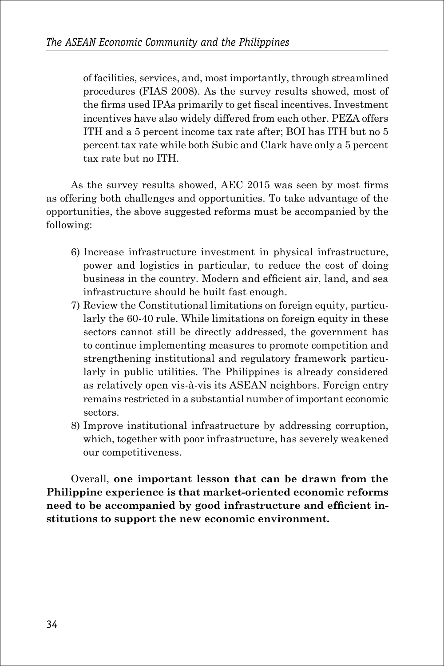of facilities, services, and, most importantly, through streamlined procedures (FIAS 2008). As the survey results showed, most of the firms used IPAs primarily to get fiscal incentives. Investment incentives have also widely differed from each other. PEZA offers ITH and a 5 percent income tax rate after; BOI has ITH but no 5 percent tax rate while both Subic and Clark have only a 5 percent tax rate but no ITH.

As the survey results showed, AEC 2015 was seen by most firms as offering both challenges and opportunities. To take advantage of the opportunities, the above suggested reforms must be accompanied by the following:

- 6) Increase infrastructure investment in physical infrastructure, power and logistics in particular, to reduce the cost of doing business in the country. Modern and efficient air, land, and sea infrastructure should be built fast enough.
- 7) Review the Constitutional limitations on foreign equity, particularly the 60-40 rule. While limitations on foreign equity in these sectors cannot still be directly addressed, the government has to continue implementing measures to promote competition and strengthening institutional and regulatory framework particularly in public utilities. The Philippines is already considered as relatively open vis-à-vis its ASEAN neighbors. Foreign entry remains restricted in a substantial number of important economic sectors.
- 8) Improve institutional infrastructure by addressing corruption, which, together with poor infrastructure, has severely weakened our competitiveness.

Overall, **one important lesson that can be drawn from the Philippine experience is that market-oriented economic reforms need to be accompanied by good infrastructure and efficient institutions to support the new economic environment.**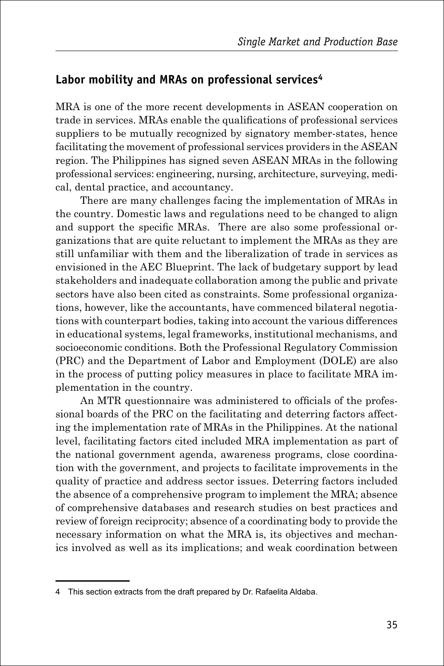#### **Labor mobility and MRAs on professional services4**

MRA is one of the more recent developments in ASEAN cooperation on trade in services. MRAs enable the qualifications of professional services suppliers to be mutually recognized by signatory member-states, hence facilitating the movement of professional services providers in the ASEAN region. The Philippines has signed seven ASEAN MRAs in the following professional services: engineering, nursing, architecture, surveying, medical, dental practice, and accountancy.

There are many challenges facing the implementation of MRAs in the country. Domestic laws and regulations need to be changed to align and support the specific MRAs. There are also some professional organizations that are quite reluctant to implement the MRAs as they are still unfamiliar with them and the liberalization of trade in services as envisioned in the AEC Blueprint. The lack of budgetary support by lead stakeholders and inadequate collaboration among the public and private sectors have also been cited as constraints. Some professional organizations, however, like the accountants, have commenced bilateral negotiations with counterpart bodies, taking into account the various differences in educational systems, legal frameworks, institutional mechanisms, and socioeconomic conditions. Both the Professional Regulatory Commission (PRC) and the Department of Labor and Employment (DOLE) are also in the process of putting policy measures in place to facilitate MRA implementation in the country.

An MTR questionnaire was administered to officials of the professional boards of the PRC on the facilitating and deterring factors affecting the implementation rate of MRAs in the Philippines. At the national level, facilitating factors cited included MRA implementation as part of the national government agenda, awareness programs, close coordination with the government, and projects to facilitate improvements in the quality of practice and address sector issues. Deterring factors included the absence of a comprehensive program to implement the MRA; absence of comprehensive databases and research studies on best practices and review of foreign reciprocity; absence of a coordinating body to provide the necessary information on what the MRA is, its objectives and mechanics involved as well as its implications; and weak coordination between

<sup>4</sup> This section extracts from the draft prepared by Dr. Rafaelita Aldaba.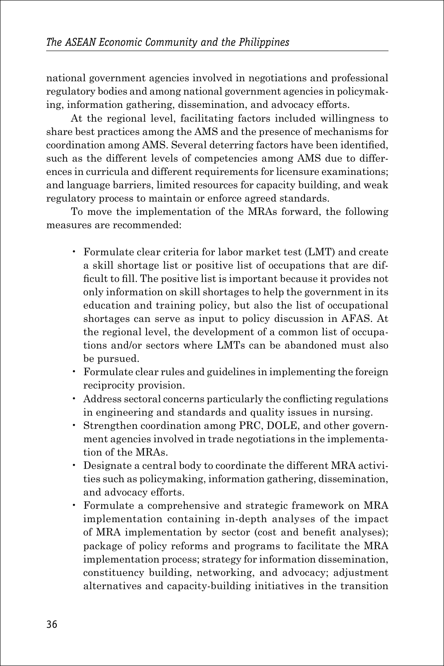national government agencies involved in negotiations and professional regulatory bodies and among national government agencies in policymaking, information gathering, dissemination, and advocacy efforts.

At the regional level, facilitating factors included willingness to share best practices among the AMS and the presence of mechanisms for coordination among AMS. Several deterring factors have been identified, such as the different levels of competencies among AMS due to differences in curricula and different requirements for licensure examinations; and language barriers, limited resources for capacity building, and weak regulatory process to maintain or enforce agreed standards.

To move the implementation of the MRAs forward, the following measures are recommended:

- Formulate clear criteria for labor market test (LMT) and create a skill shortage list or positive list of occupations that are difficult to fill. The positive list is important because it provides not only information on skill shortages to help the government in its education and training policy, but also the list of occupational shortages can serve as input to policy discussion in AFAS. At the regional level, the development of a common list of occupations and/or sectors where LMTs can be abandoned must also be pursued.
- Formulate clear rules and guidelines in implementing the foreign reciprocity provision.
- Address sectoral concerns particularly the conflicting regulations in engineering and standards and quality issues in nursing.
- Strengthen coordination among PRC, DOLE, and other government agencies involved in trade negotiations in the implementation of the MRAs.
- Designate a central body to coordinate the different MRA activities such as policymaking, information gathering, dissemination, and advocacy efforts.
- Formulate a comprehensive and strategic framework on MRA implementation containing in-depth analyses of the impact of MRA implementation by sector (cost and benefit analyses); package of policy reforms and programs to facilitate the MRA implementation process; strategy for information dissemination, constituency building, networking, and advocacy; adjustment alternatives and capacity-building initiatives in the transition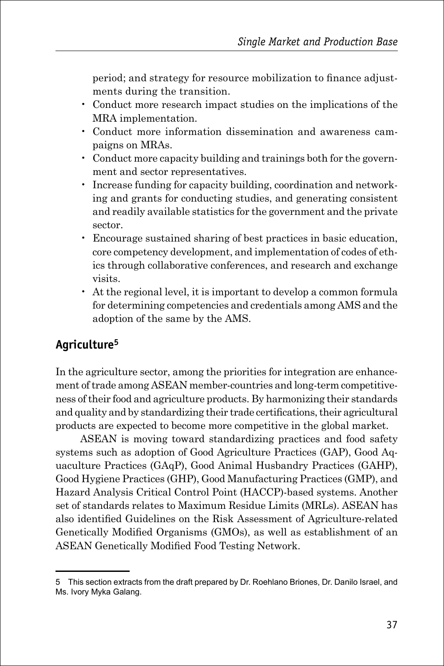period; and strategy for resource mobilization to finance adjustments during the transition.

- Conduct more research impact studies on the implications of the MRA implementation.
- Conduct more information dissemination and awareness campaigns on MRAs.
- Conduct more capacity building and trainings both for the government and sector representatives.
- Increase funding for capacity building, coordination and networking and grants for conducting studies, and generating consistent and readily available statistics for the government and the private sector.
- Encourage sustained sharing of best practices in basic education, core competency development, and implementation of codes of ethics through collaborative conferences, and research and exchange visits.
- At the regional level, it is important to develop a common formula for determining competencies and credentials among AMS and the adoption of the same by the AMS.

#### **Agriculture5**

In the agriculture sector, among the priorities for integration are enhancement of trade among ASEAN member-countries and long-term competitiveness of their food and agriculture products. By harmonizing their standards and quality and by standardizing their trade certifications, their agricultural products are expected to become more competitive in the global market.

ASEAN is moving toward standardizing practices and food safety systems such as adoption of Good Agriculture Practices (GAP), Good Aquaculture Practices (GAqP), Good Animal Husbandry Practices (GAHP), Good Hygiene Practices (GHP), Good Manufacturing Practices (GMP), and Hazard Analysis Critical Control Point (HACCP)-based systems. Another set of standards relates to Maximum Residue Limits (MRLs). ASEAN has also identified Guidelines on the Risk Assessment of Agriculture-related Genetically Modified Organisms (GMOs), as well as establishment of an ASEAN Genetically Modified Food Testing Network.

<sup>5</sup> This section extracts from the draft prepared by Dr. Roehlano Briones, Dr. Danilo Israel, and Ms. Ivory Myka Galang.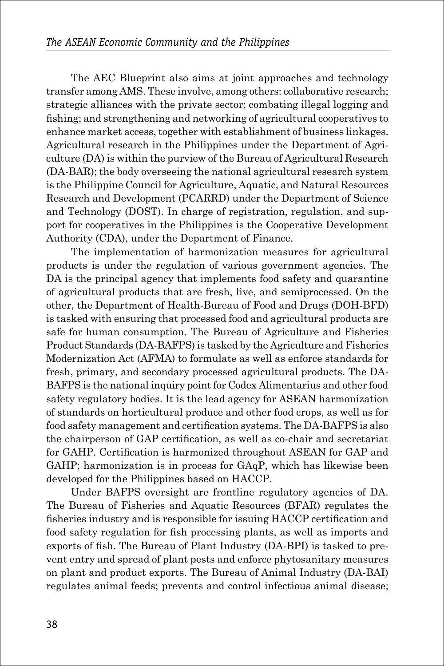The AEC Blueprint also aims at joint approaches and technology transfer among AMS. These involve, among others: collaborative research; strategic alliances with the private sector; combating illegal logging and fishing; and strengthening and networking of agricultural cooperatives to enhance market access, together with establishment of business linkages. Agricultural research in the Philippines under the Department of Agriculture (DA) is within the purview of the Bureau of Agricultural Research (DA-BAR); the body overseeing the national agricultural research system is the Philippine Council for Agriculture, Aquatic, and Natural Resources Research and Development (PCARRD) under the Department of Science and Technology (DOST). In charge of registration, regulation, and support for cooperatives in the Philippines is the Cooperative Development Authority (CDA), under the Department of Finance.

The implementation of harmonization measures for agricultural products is under the regulation of various government agencies. The DA is the principal agency that implements food safety and quarantine of agricultural products that are fresh, live, and semiprocessed. On the other, the Department of Health-Bureau of Food and Drugs (DOH-BFD) is tasked with ensuring that processed food and agricultural products are safe for human consumption. The Bureau of Agriculture and Fisheries Product Standards (DA-BAFPS) is tasked by the Agriculture and Fisheries Modernization Act (AFMA) to formulate as well as enforce standards for fresh, primary, and secondary processed agricultural products. The DA-BAFPS is the national inquiry point for Codex Alimentarius and other food safety regulatory bodies. It is the lead agency for ASEAN harmonization of standards on horticultural produce and other food crops, as well as for food safety management and certification systems. The DA-BAFPS is also the chairperson of GAP certification, as well as co-chair and secretariat for GAHP. Certification is harmonized throughout ASEAN for GAP and GAHP; harmonization is in process for GAqP, which has likewise been developed for the Philippines based on HACCP.

Under BAFPS oversight are frontline regulatory agencies of DA. The Bureau of Fisheries and Aquatic Resources (BFAR) regulates the fisheries industry and is responsible for issuing HACCP certification and food safety regulation for fish processing plants, as well as imports and exports of fish. The Bureau of Plant Industry (DA-BPI) is tasked to prevent entry and spread of plant pests and enforce phytosanitary measures on plant and product exports. The Bureau of Animal Industry (DA-BAI) regulates animal feeds; prevents and control infectious animal disease;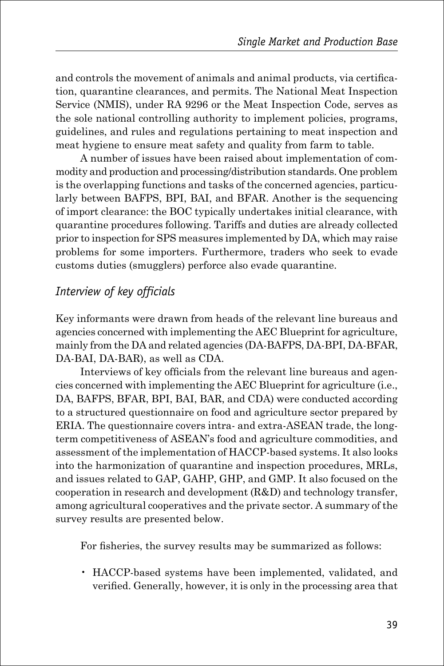and controls the movement of animals and animal products, via certification, quarantine clearances, and permits. The National Meat Inspection Service (NMIS), under RA 9296 or the Meat Inspection Code, serves as the sole national controlling authority to implement policies, programs, guidelines, and rules and regulations pertaining to meat inspection and meat hygiene to ensure meat safety and quality from farm to table.

A number of issues have been raised about implementation of commodity and production and processing/distribution standards. One problem is the overlapping functions and tasks of the concerned agencies, particularly between BAFPS, BPI, BAI, and BFAR. Another is the sequencing of import clearance: the BOC typically undertakes initial clearance, with quarantine procedures following. Tariffs and duties are already collected prior to inspection for SPS measures implemented by DA, which may raise problems for some importers. Furthermore, traders who seek to evade customs duties (smugglers) perforce also evade quarantine.

#### *Interview of key officials*

Key informants were drawn from heads of the relevant line bureaus and agencies concerned with implementing the AEC Blueprint for agriculture, mainly from the DA and related agencies (DA-BAFPS, DA-BPI, DA-BFAR, DA-BAI, DA-BAR), as well as CDA.

Interviews of key officials from the relevant line bureaus and agencies concerned with implementing the AEC Blueprint for agriculture (i.e., DA, BAFPS, BFAR, BPI, BAI, BAR, and CDA) were conducted according to a structured questionnaire on food and agriculture sector prepared by ERIA. The questionnaire covers intra- and extra-ASEAN trade, the longterm competitiveness of ASEAN's food and agriculture commodities, and assessment of the implementation of HACCP-based systems. It also looks into the harmonization of quarantine and inspection procedures, MRLs, and issues related to GAP, GAHP, GHP, and GMP. It also focused on the cooperation in research and development (R&D) and technology transfer, among agricultural cooperatives and the private sector. A summary of the survey results are presented below.

For fisheries, the survey results may be summarized as follows:

• HACCP-based systems have been implemented, validated, and verified. Generally, however, it is only in the processing area that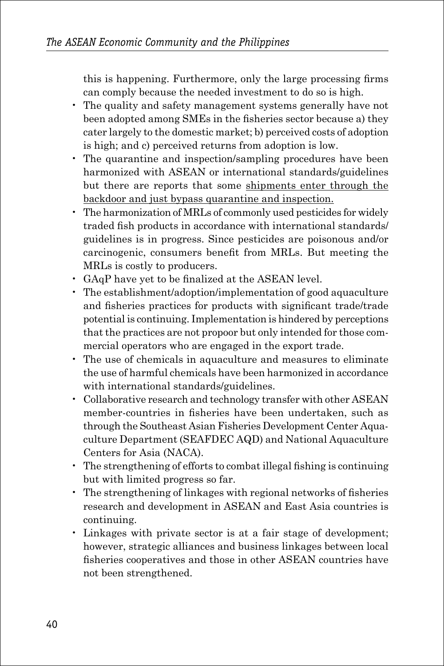this is happening. Furthermore, only the large processing firms can comply because the needed investment to do so is high.

- The quality and safety management systems generally have not been adopted among SMEs in the fisheries sector because a) they cater largely to the domestic market; b) perceived costs of adoption is high; and c) perceived returns from adoption is low.
- The quarantine and inspection/sampling procedures have been harmonized with ASEAN or international standards/guidelines but there are reports that some shipments enter through the backdoor and just bypass quarantine and inspection.
- The harmonization of MRLs of commonly used pesticides for widely traded fish products in accordance with international standards/ guidelines is in progress. Since pesticides are poisonous and/or carcinogenic, consumers benefit from MRLs. But meeting the MRLs is costly to producers.
- GAqP have yet to be finalized at the ASEAN level.
- The establishment/adoption/implementation of good aquaculture and fisheries practices for products with significant trade/trade potential is continuing. Implementation is hindered by perceptions that the practices are not propoor but only intended for those commercial operators who are engaged in the export trade.
- The use of chemicals in aquaculture and measures to eliminate the use of harmful chemicals have been harmonized in accordance with international standards/guidelines.
- Collaborative research and technology transfer with other ASEAN member-countries in fisheries have been undertaken, such as through the Southeast Asian Fisheries Development Center Aquaculture Department (SEAFDEC AQD) and National Aquaculture Centers for Asia (NACA).
- The strengthening of efforts to combat illegal fishing is continuing but with limited progress so far.
- The strengthening of linkages with regional networks of fisheries research and development in ASEAN and East Asia countries is continuing.
- Linkages with private sector is at a fair stage of development; however, strategic alliances and business linkages between local fisheries cooperatives and those in other ASEAN countries have not been strengthened.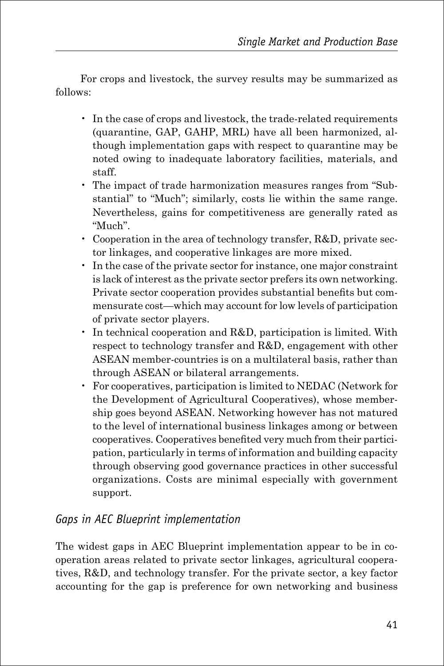For crops and livestock, the survey results may be summarized as follows:

- In the case of crops and livestock, the trade-related requirements (quarantine, GAP, GAHP, MRL) have all been harmonized, although implementation gaps with respect to quarantine may be noted owing to inadequate laboratory facilities, materials, and staff.
- The impact of trade harmonization measures ranges from "Substantial" to "Much"; similarly, costs lie within the same range. Nevertheless, gains for competitiveness are generally rated as "Much".
- Cooperation in the area of technology transfer, R&D, private sector linkages, and cooperative linkages are more mixed.
- In the case of the private sector for instance, one major constraint is lack of interest as the private sector prefers its own networking. Private sector cooperation provides substantial benefits but commensurate cost—which may account for low levels of participation of private sector players.
- In technical cooperation and R&D, participation is limited. With respect to technology transfer and R&D, engagement with other ASEAN member-countries is on a multilateral basis, rather than through ASEAN or bilateral arrangements.
- For cooperatives, participation is limited to NEDAC (Network for the Development of Agricultural Cooperatives), whose membership goes beyond ASEAN. Networking however has not matured to the level of international business linkages among or between cooperatives. Cooperatives benefited very much from their participation, particularly in terms of information and building capacity through observing good governance practices in other successful organizations. Costs are minimal especially with government support.

#### *Gaps in AEC Blueprint implementation*

The widest gaps in AEC Blueprint implementation appear to be in cooperation areas related to private sector linkages, agricultural cooperatives, R&D, and technology transfer. For the private sector, a key factor accounting for the gap is preference for own networking and business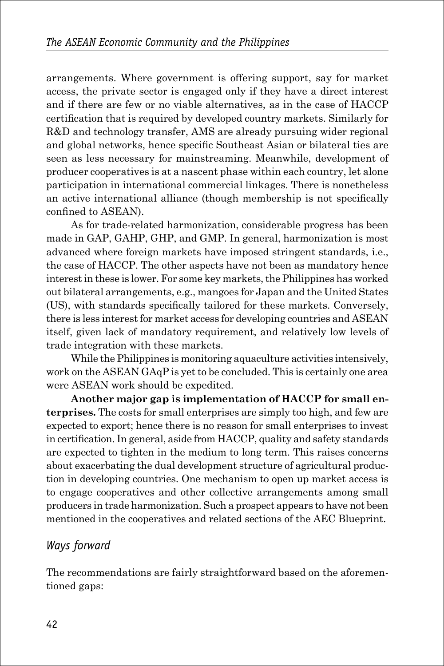arrangements. Where government is offering support, say for market access, the private sector is engaged only if they have a direct interest and if there are few or no viable alternatives, as in the case of HACCP certification that is required by developed country markets. Similarly for R&D and technology transfer, AMS are already pursuing wider regional and global networks, hence specific Southeast Asian or bilateral ties are seen as less necessary for mainstreaming. Meanwhile, development of producer cooperatives is at a nascent phase within each country, let alone participation in international commercial linkages. There is nonetheless an active international alliance (though membership is not specifically confined to ASEAN).

As for trade-related harmonization, considerable progress has been made in GAP, GAHP, GHP, and GMP. In general, harmonization is most advanced where foreign markets have imposed stringent standards, i.e., the case of HACCP. The other aspects have not been as mandatory hence interest in these is lower. For some key markets, the Philippines has worked out bilateral arrangements, e.g., mangoes for Japan and the United States (US), with standards specifically tailored for these markets. Conversely, there is less interest for market access for developing countries and ASEAN itself, given lack of mandatory requirement, and relatively low levels of trade integration with these markets.

While the Philippines is monitoring aquaculture activities intensively, work on the ASEAN GAqP is yet to be concluded. This is certainly one area were ASEAN work should be expedited.

**Another major gap is implementation of HACCP for small enterprises.** The costs for small enterprises are simply too high, and few are expected to export; hence there is no reason for small enterprises to invest in certification. In general, aside from HACCP, quality and safety standards are expected to tighten in the medium to long term. This raises concerns about exacerbating the dual development structure of agricultural production in developing countries. One mechanism to open up market access is to engage cooperatives and other collective arrangements among small producers in trade harmonization. Such a prospect appears to have not been mentioned in the cooperatives and related sections of the AEC Blueprint.

#### *Ways forward*

The recommendations are fairly straightforward based on the aforementioned gaps: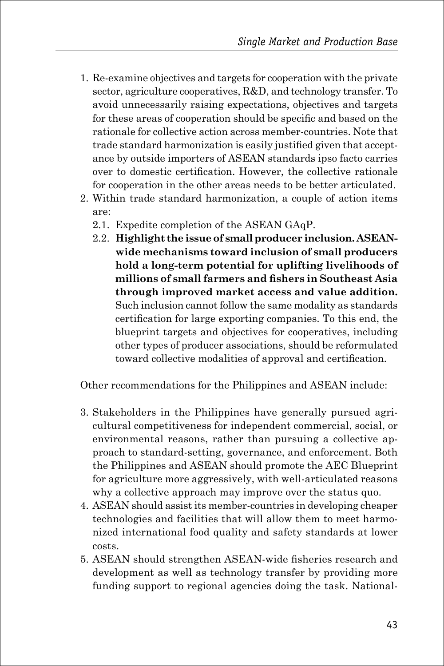- 1. Re-examine objectives and targets for cooperation with the private sector, agriculture cooperatives, R&D, and technology transfer. To avoid unnecessarily raising expectations, objectives and targets for these areas of cooperation should be specific and based on the rationale for collective action across member-countries. Note that trade standard harmonization is easily justified given that acceptance by outside importers of ASEAN standards ipso facto carries over to domestic certification. However, the collective rationale for cooperation in the other areas needs to be better articulated.
- 2. Within trade standard harmonization, a couple of action items are:
	- 2.1. Expedite completion of the ASEAN GAqP.
	- 2.2. **Highlight the issue of small producer inclusion. ASEANwide mechanisms toward inclusion of small producers hold a long-term potential for uplifting livelihoods of millions of small farmers and fishers in Southeast Asia through improved market access and value addition.** Such inclusion cannot follow the same modality as standards certification for large exporting companies. To this end, the blueprint targets and objectives for cooperatives, including other types of producer associations, should be reformulated toward collective modalities of approval and certification.

Other recommendations for the Philippines and ASEAN include:

- 3. Stakeholders in the Philippines have generally pursued agricultural competitiveness for independent commercial, social, or environmental reasons, rather than pursuing a collective approach to standard-setting, governance, and enforcement. Both the Philippines and ASEAN should promote the AEC Blueprint for agriculture more aggressively, with well-articulated reasons why a collective approach may improve over the status quo.
- 4. ASEAN should assist its member-countries in developing cheaper technologies and facilities that will allow them to meet harmonized international food quality and safety standards at lower costs.
- 5. ASEAN should strengthen ASEAN-wide fisheries research and development as well as technology transfer by providing more funding support to regional agencies doing the task. National-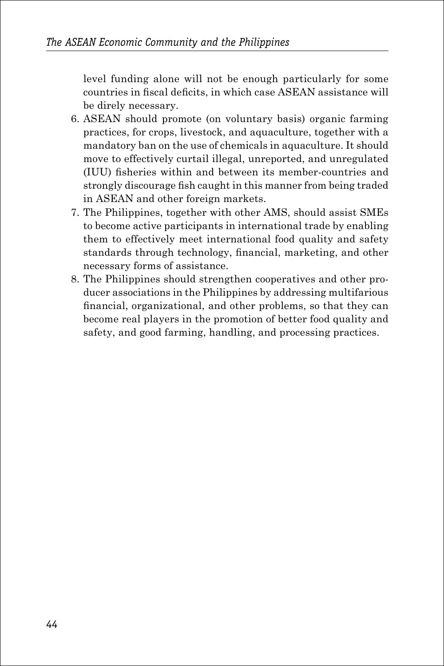level funding alone will not be enough particularly for some countries in fiscal deficits, in which case ASEAN assistance will be direly necessary.

- 6. ASEAN should promote (on voluntary basis) organic farming practices, for crops, livestock, and aquaculture, together with a mandatory ban on the use of chemicals in aquaculture. It should move to effectively curtail illegal, unreported, and unregulated (IUU) fisheries within and between its member-countries and strongly discourage fish caught in this manner from being traded in ASEAN and other foreign markets.
- 7. The Philippines, together with other AMS, should assist SMEs to become active participants in international trade by enabling them to effectively meet international food quality and safety standards through technology, financial, marketing, and other necessary forms of assistance.
- 8. The Philippines should strengthen cooperatives and other producer associations in the Philippines by addressing multifarious financial, organizational, and other problems, so that they can become real players in the promotion of better food quality and safety, and good farming, handling, and processing practices.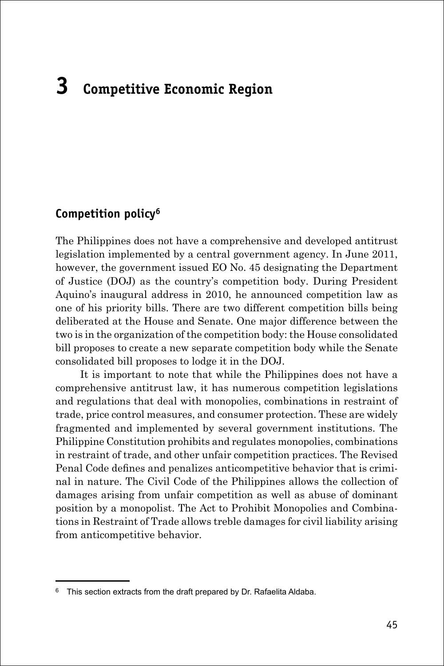# **3 Competitive Economic Region**

#### **Competition policy6**

The Philippines does not have a comprehensive and developed antitrust legislation implemented by a central government agency. In June 2011, however, the government issued EO No. 45 designating the Department of Justice (DOJ) as the country's competition body. During President Aquino's inaugural address in 2010, he announced competition law as one of his priority bills. There are two different competition bills being deliberated at the House and Senate. One major difference between the two is in the organization of the competition body: the House consolidated bill proposes to create a new separate competition body while the Senate consolidated bill proposes to lodge it in the DOJ.

It is important to note that while the Philippines does not have a comprehensive antitrust law, it has numerous competition legislations and regulations that deal with monopolies, combinations in restraint of trade, price control measures, and consumer protection. These are widely fragmented and implemented by several government institutions. The Philippine Constitution prohibits and regulates monopolies, combinations in restraint of trade, and other unfair competition practices. The Revised Penal Code defines and penalizes anticompetitive behavior that is criminal in nature. The Civil Code of the Philippines allows the collection of damages arising from unfair competition as well as abuse of dominant position by a monopolist. The Act to Prohibit Monopolies and Combinations in Restraint of Trade allows treble damages for civil liability arising from anticompetitive behavior.

<sup>&</sup>lt;sup>6</sup> This section extracts from the draft prepared by Dr. Rafaelita Aldaba.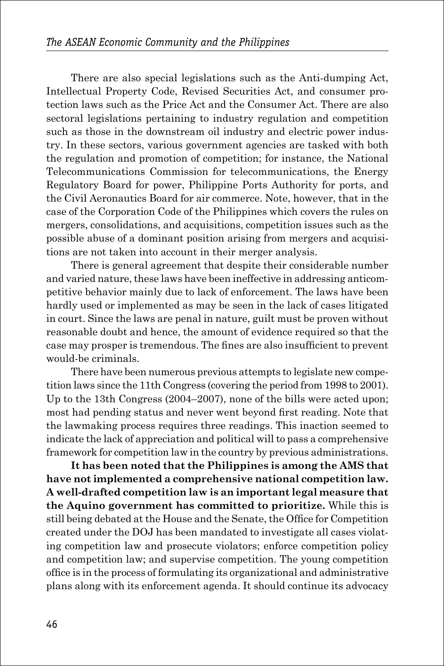There are also special legislations such as the Anti-dumping Act, Intellectual Property Code, Revised Securities Act, and consumer protection laws such as the Price Act and the Consumer Act. There are also sectoral legislations pertaining to industry regulation and competition such as those in the downstream oil industry and electric power industry. In these sectors, various government agencies are tasked with both the regulation and promotion of competition; for instance, the National Telecommunications Commission for telecommunications, the Energy Regulatory Board for power, Philippine Ports Authority for ports, and the Civil Aeronautics Board for air commerce. Note, however, that in the case of the Corporation Code of the Philippines which covers the rules on mergers, consolidations, and acquisitions, competition issues such as the possible abuse of a dominant position arising from mergers and acquisitions are not taken into account in their merger analysis.

There is general agreement that despite their considerable number and varied nature, these laws have been ineffective in addressing anticompetitive behavior mainly due to lack of enforcement. The laws have been hardly used or implemented as may be seen in the lack of cases litigated in court. Since the laws are penal in nature, guilt must be proven without reasonable doubt and hence, the amount of evidence required so that the case may prosper is tremendous. The fines are also insufficient to prevent would-be criminals.

There have been numerous previous attempts to legislate new competition laws since the 11th Congress (covering the period from 1998 to 2001). Up to the 13th Congress (2004–2007), none of the bills were acted upon; most had pending status and never went beyond first reading. Note that the lawmaking process requires three readings. This inaction seemed to indicate the lack of appreciation and political will to pass a comprehensive framework for competition law in the country by previous administrations.

**It has been noted that the Philippines is among the AMS that have not implemented a comprehensive national competition law. A well-drafted competition law is an important legal measure that the Aquino government has committed to prioritize.** While this is still being debated at the House and the Senate, the Office for Competition created under the DOJ has been mandated to investigate all cases violating competition law and prosecute violators; enforce competition policy and competition law; and supervise competition. The young competition office is in the process of formulating its organizational and administrative plans along with its enforcement agenda. It should continue its advocacy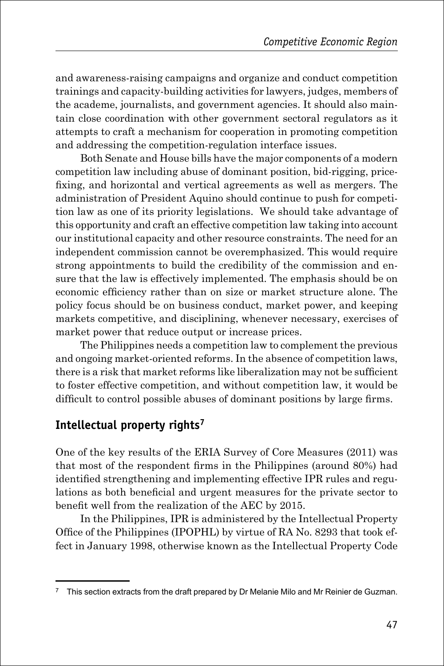and awareness-raising campaigns and organize and conduct competition trainings and capacity-building activities for lawyers, judges, members of the academe, journalists, and government agencies. It should also maintain close coordination with other government sectoral regulators as it attempts to craft a mechanism for cooperation in promoting competition and addressing the competition-regulation interface issues.

Both Senate and House bills have the major components of a modern competition law including abuse of dominant position, bid-rigging, pricefixing, and horizontal and vertical agreements as well as mergers. The administration of President Aquino should continue to push for competition law as one of its priority legislations. We should take advantage of this opportunity and craft an effective competition law taking into account our institutional capacity and other resource constraints. The need for an independent commission cannot be overemphasized. This would require strong appointments to build the credibility of the commission and ensure that the law is effectively implemented. The emphasis should be on economic efficiency rather than on size or market structure alone. The policy focus should be on business conduct, market power, and keeping markets competitive, and disciplining, whenever necessary, exercises of market power that reduce output or increase prices.

The Philippines needs a competition law to complement the previous and ongoing market-oriented reforms. In the absence of competition laws, there is a risk that market reforms like liberalization may not be sufficient to foster effective competition, and without competition law, it would be difficult to control possible abuses of dominant positions by large firms.

#### **Intellectual property rights7**

One of the key results of the ERIA Survey of Core Measures (2011) was that most of the respondent firms in the Philippines (around 80%) had identified strengthening and implementing effective IPR rules and regulations as both beneficial and urgent measures for the private sector to benefit well from the realization of the AEC by 2015.

In the Philippines, IPR is administered by the Intellectual Property Office of the Philippines (IPOPHL) by virtue of RA No. 8293 that took effect in January 1998, otherwise known as the Intellectual Property Code

<sup>&</sup>lt;sup>7</sup> This section extracts from the draft prepared by Dr Melanie Milo and Mr Reinier de Guzman.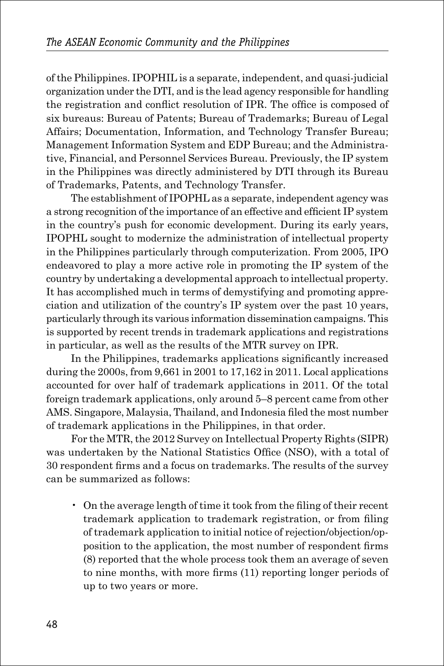of the Philippines. IPOPHIL is a separate, independent, and quasi-judicial organization under the DTI, and is the lead agency responsible for handling the registration and conflict resolution of IPR. The office is composed of six bureaus: Bureau of Patents; Bureau of Trademarks; Bureau of Legal Affairs; Documentation, Information, and Technology Transfer Bureau; Management Information System and EDP Bureau; and the Administrative, Financial, and Personnel Services Bureau. Previously, the IP system in the Philippines was directly administered by DTI through its Bureau of Trademarks, Patents, and Technology Transfer.

The establishment of IPOPHL as a separate, independent agency was a strong recognition of the importance of an effective and efficient IP system in the country's push for economic development. During its early years, IPOPHL sought to modernize the administration of intellectual property in the Philippines particularly through computerization. From 2005, IPO endeavored to play a more active role in promoting the IP system of the country by undertaking a developmental approach to intellectual property. It has accomplished much in terms of demystifying and promoting appreciation and utilization of the country's IP system over the past 10 years, particularly through its various information dissemination campaigns. This is supported by recent trends in trademark applications and registrations in particular, as well as the results of the MTR survey on IPR.

In the Philippines, trademarks applications significantly increased during the 2000s, from 9,661 in 2001 to 17,162 in 2011. Local applications accounted for over half of trademark applications in 2011. Of the total foreign trademark applications, only around 5–8 percent came from other AMS. Singapore, Malaysia, Thailand, and Indonesia filed the most number of trademark applications in the Philippines, in that order.

For the MTR, the 2012 Survey on Intellectual Property Rights (SIPR) was undertaken by the National Statistics Office (NSO), with a total of 30 respondent firms and a focus on trademarks. The results of the survey can be summarized as follows:

• On the average length of time it took from the filing of their recent trademark application to trademark registration, or from filing of trademark application to initial notice of rejection/objection/opposition to the application, the most number of respondent firms (8) reported that the whole process took them an average of seven to nine months, with more firms (11) reporting longer periods of up to two years or more.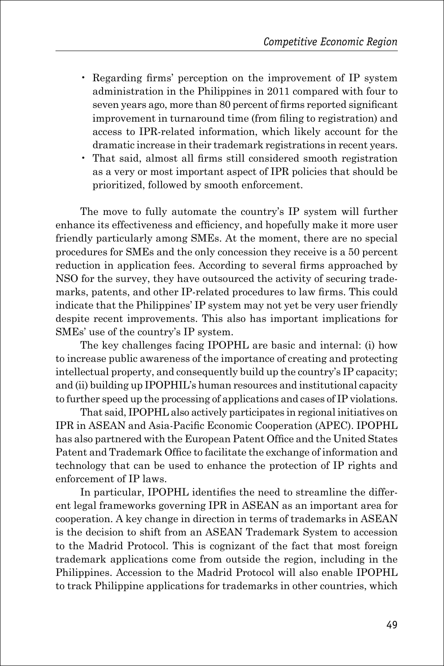- Regarding firms' perception on the improvement of IP system administration in the Philippines in 2011 compared with four to seven years ago, more than 80 percent of firms reported significant improvement in turnaround time (from filing to registration) and access to IPR-related information, which likely account for the dramatic increase in their trademark registrations in recent years.
- That said, almost all firms still considered smooth registration as a very or most important aspect of IPR policies that should be prioritized, followed by smooth enforcement.

The move to fully automate the country's IP system will further enhance its effectiveness and efficiency, and hopefully make it more user friendly particularly among SMEs. At the moment, there are no special procedures for SMEs and the only concession they receive is a 50 percent reduction in application fees. According to several firms approached by NSO for the survey, they have outsourced the activity of securing trademarks, patents, and other IP-related procedures to law firms. This could indicate that the Philippines' IP system may not yet be very user friendly despite recent improvements. This also has important implications for SMEs' use of the country's IP system.

The key challenges facing IPOPHL are basic and internal: (i) how to increase public awareness of the importance of creating and protecting intellectual property, and consequently build up the country's IP capacity; and (ii) building up IPOPHIL's human resources and institutional capacity to further speed up the processing of applications and cases of IP violations.

That said, IPOPHL also actively participates in regional initiatives on IPR in ASEAN and Asia-Pacific Economic Cooperation (APEC). IPOPHL has also partnered with the European Patent Office and the United States Patent and Trademark Office to facilitate the exchange of information and technology that can be used to enhance the protection of IP rights and enforcement of IP laws.

In particular, IPOPHL identifies the need to streamline the different legal frameworks governing IPR in ASEAN as an important area for cooperation. A key change in direction in terms of trademarks in ASEAN is the decision to shift from an ASEAN Trademark System to accession to the Madrid Protocol. This is cognizant of the fact that most foreign trademark applications come from outside the region, including in the Philippines. Accession to the Madrid Protocol will also enable IPOPHL to track Philippine applications for trademarks in other countries, which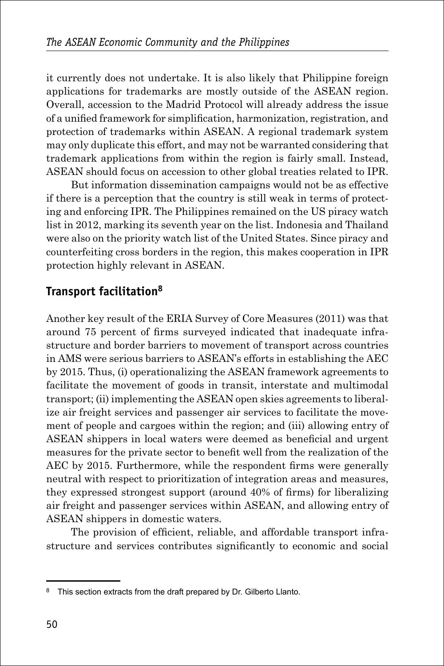it currently does not undertake. It is also likely that Philippine foreign applications for trademarks are mostly outside of the ASEAN region. Overall, accession to the Madrid Protocol will already address the issue of a unified framework for simplification, harmonization, registration, and protection of trademarks within ASEAN. A regional trademark system may only duplicate this effort, and may not be warranted considering that trademark applications from within the region is fairly small. Instead, ASEAN should focus on accession to other global treaties related to IPR.

But information dissemination campaigns would not be as effective if there is a perception that the country is still weak in terms of protecting and enforcing IPR. The Philippines remained on the US piracy watch list in 2012, marking its seventh year on the list. Indonesia and Thailand were also on the priority watch list of the United States. Since piracy and counterfeiting cross borders in the region, this makes cooperation in IPR protection highly relevant in ASEAN.

### **Transport facilitation8**

Another key result of the ERIA Survey of Core Measures (2011) was that around 75 percent of firms surveyed indicated that inadequate infrastructure and border barriers to movement of transport across countries in AMS were serious barriers to ASEAN's efforts in establishing the AEC by 2015. Thus, (i) operationalizing the ASEAN framework agreements to facilitate the movement of goods in transit, interstate and multimodal transport; (ii) implementing the ASEAN open skies agreements to liberalize air freight services and passenger air services to facilitate the movement of people and cargoes within the region; and (iii) allowing entry of ASEAN shippers in local waters were deemed as beneficial and urgent measures for the private sector to benefit well from the realization of the AEC by 2015. Furthermore, while the respondent firms were generally neutral with respect to prioritization of integration areas and measures, they expressed strongest support (around 40% of firms) for liberalizing air freight and passenger services within ASEAN, and allowing entry of ASEAN shippers in domestic waters.

The provision of efficient, reliable, and affordable transport infrastructure and services contributes significantly to economic and social

<sup>&</sup>lt;sup>8</sup> This section extracts from the draft prepared by Dr. Gilberto Llanto.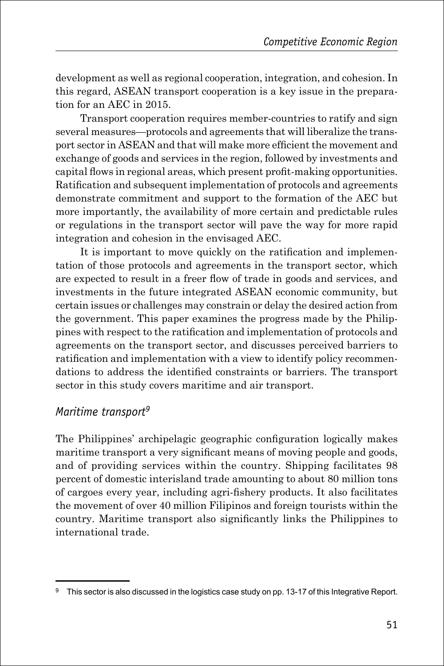development as well as regional cooperation, integration, and cohesion. In this regard, ASEAN transport cooperation is a key issue in the preparation for an AEC in 2015.

Transport cooperation requires member-countries to ratify and sign several measures—protocols and agreements that will liberalize the transport sector in ASEAN and that will make more efficient the movement and exchange of goods and services in the region, followed by investments and capital flows in regional areas, which present profit-making opportunities. Ratification and subsequent implementation of protocols and agreements demonstrate commitment and support to the formation of the AEC but more importantly, the availability of more certain and predictable rules or regulations in the transport sector will pave the way for more rapid integration and cohesion in the envisaged AEC.

It is important to move quickly on the ratification and implementation of those protocols and agreements in the transport sector, which are expected to result in a freer flow of trade in goods and services, and investments in the future integrated ASEAN economic community, but certain issues or challenges may constrain or delay the desired action from the government. This paper examines the progress made by the Philippines with respect to the ratification and implementation of protocols and agreements on the transport sector, and discusses perceived barriers to ratification and implementation with a view to identify policy recommendations to address the identified constraints or barriers. The transport sector in this study covers maritime and air transport.

#### *Maritime transport9*

The Philippines' archipelagic geographic configuration logically makes maritime transport a very significant means of moving people and goods, and of providing services within the country. Shipping facilitates 98 percent of domestic interisland trade amounting to about 80 million tons of cargoes every year, including agri-fishery products. It also facilitates the movement of over 40 million Filipinos and foreign tourists within the country. Maritime transport also significantly links the Philippines to international trade.

<sup>9</sup> This sector is also discussed in the logistics case study on pp. 13-17 of this Integrative Report.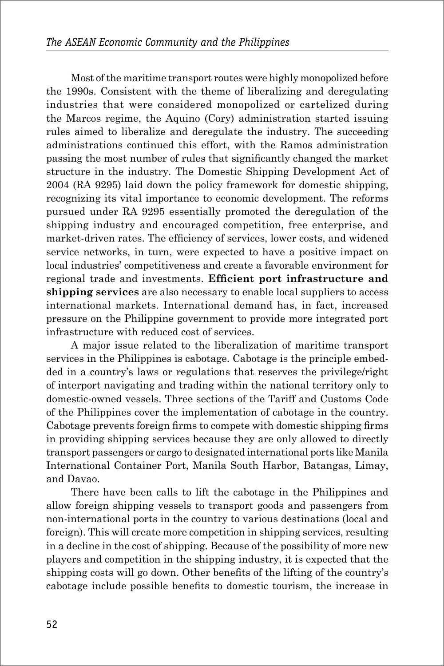Most of the maritime transport routes were highly monopolized before the 1990s. Consistent with the theme of liberalizing and deregulating industries that were considered monopolized or cartelized during the Marcos regime, the Aquino (Cory) administration started issuing rules aimed to liberalize and deregulate the industry. The succeeding administrations continued this effort, with the Ramos administration passing the most number of rules that significantly changed the market structure in the industry. The Domestic Shipping Development Act of 2004 (RA 9295) laid down the policy framework for domestic shipping, recognizing its vital importance to economic development. The reforms pursued under RA 9295 essentially promoted the deregulation of the shipping industry and encouraged competition, free enterprise, and market-driven rates. The efficiency of services, lower costs, and widened service networks, in turn, were expected to have a positive impact on local industries' competitiveness and create a favorable environment for regional trade and investments. **Efficient port infrastructure and shipping services** are also necessary to enable local suppliers to access international markets. International demand has, in fact, increased pressure on the Philippine government to provide more integrated port infrastructure with reduced cost of services.

A major issue related to the liberalization of maritime transport services in the Philippines is cabotage. Cabotage is the principle embedded in a country's laws or regulations that reserves the privilege/right of interport navigating and trading within the national territory only to domestic-owned vessels. Three sections of the Tariff and Customs Code of the Philippines cover the implementation of cabotage in the country. Cabotage prevents foreign firms to compete with domestic shipping firms in providing shipping services because they are only allowed to directly transport passengers or cargo to designated international ports like Manila International Container Port, Manila South Harbor, Batangas, Limay, and Davao.

There have been calls to lift the cabotage in the Philippines and allow foreign shipping vessels to transport goods and passengers from non-international ports in the country to various destinations (local and foreign). This will create more competition in shipping services, resulting in a decline in the cost of shipping. Because of the possibility of more new players and competition in the shipping industry, it is expected that the shipping costs will go down. Other benefits of the lifting of the country's cabotage include possible benefits to domestic tourism, the increase in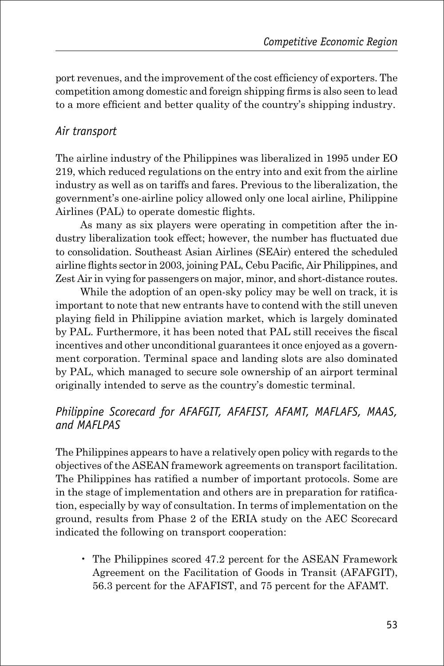port revenues, and the improvement of the cost efficiency of exporters. The competition among domestic and foreign shipping firms is also seen to lead to a more efficient and better quality of the country's shipping industry.

#### *Air transport*

The airline industry of the Philippines was liberalized in 1995 under EO 219, which reduced regulations on the entry into and exit from the airline industry as well as on tariffs and fares. Previous to the liberalization, the government's one-airline policy allowed only one local airline, Philippine Airlines (PAL) to operate domestic flights.

As many as six players were operating in competition after the industry liberalization took effect; however, the number has fluctuated due to consolidation. Southeast Asian Airlines (SEAir) entered the scheduled airline flights sector in 2003, joining PAL, Cebu Pacific, Air Philippines, and Zest Air in vying for passengers on major, minor, and short-distance routes.

While the adoption of an open-sky policy may be well on track, it is important to note that new entrants have to contend with the still uneven playing field in Philippine aviation market, which is largely dominated by PAL. Furthermore, it has been noted that PAL still receives the fiscal incentives and other unconditional guarantees it once enjoyed as a government corporation. Terminal space and landing slots are also dominated by PAL, which managed to secure sole ownership of an airport terminal originally intended to serve as the country's domestic terminal.

#### *Philippine Scorecard for AFAFGIT, AFAFIST, AFAMT, MAFLAFS, MAAS, and MAFLPAS*

The Philippines appears to have a relatively open policy with regards to the objectives of the ASEAN framework agreements on transport facilitation. The Philippines has ratified a number of important protocols. Some are in the stage of implementation and others are in preparation for ratification, especially by way of consultation. In terms of implementation on the ground, results from Phase 2 of the ERIA study on the AEC Scorecard indicated the following on transport cooperation:

• The Philippines scored 47.2 percent for the ASEAN Framework Agreement on the Facilitation of Goods in Transit (AFAFGIT), 56.3 percent for the AFAFIST, and 75 percent for the AFAMT.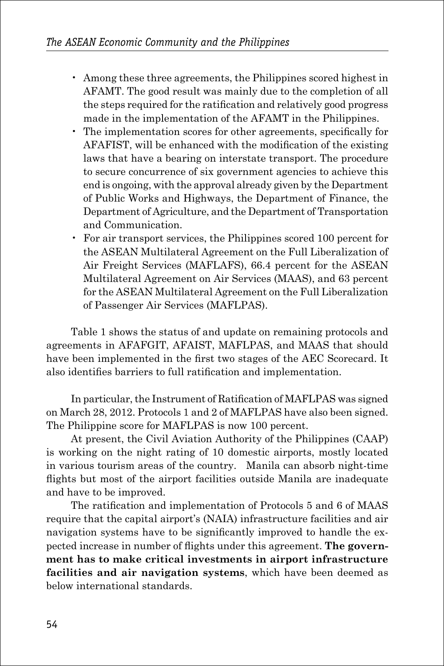- Among these three agreements, the Philippines scored highest in AFAMT. The good result was mainly due to the completion of all the steps required for the ratification and relatively good progress made in the implementation of the AFAMT in the Philippines.
- The implementation scores for other agreements, specifically for AFAFIST, will be enhanced with the modification of the existing laws that have a bearing on interstate transport. The procedure to secure concurrence of six government agencies to achieve this end is ongoing, with the approval already given by the Department of Public Works and Highways, the Department of Finance, the Department of Agriculture, and the Department of Transportation and Communication.
- For air transport services, the Philippines scored 100 percent for the ASEAN Multilateral Agreement on the Full Liberalization of Air Freight Services (MAFLAFS), 66.4 percent for the ASEAN Multilateral Agreement on Air Services (MAAS), and 63 percent for the ASEAN Multilateral Agreement on the Full Liberalization of Passenger Air Services (MAFLPAS).

Table 1 shows the status of and update on remaining protocols and agreements in AFAFGIT, AFAIST, MAFLPAS, and MAAS that should have been implemented in the first two stages of the AEC Scorecard. It also identifies barriers to full ratification and implementation.

In particular, the Instrument of Ratification of MAFLPAS was signed on March 28, 2012. Protocols 1 and 2 of MAFLPAS have also been signed. The Philippine score for MAFLPAS is now 100 percent.

At present, the Civil Aviation Authority of the Philippines (CAAP) is working on the night rating of 10 domestic airports, mostly located in various tourism areas of the country. Manila can absorb night-time flights but most of the airport facilities outside Manila are inadequate and have to be improved.

The ratification and implementation of Protocols 5 and 6 of MAAS require that the capital airport's (NAIA) infrastructure facilities and air navigation systems have to be significantly improved to handle the expected increase in number of flights under this agreement. **The government has to make critical investments in airport infrastructure facilities and air navigation systems**, which have been deemed as below international standards.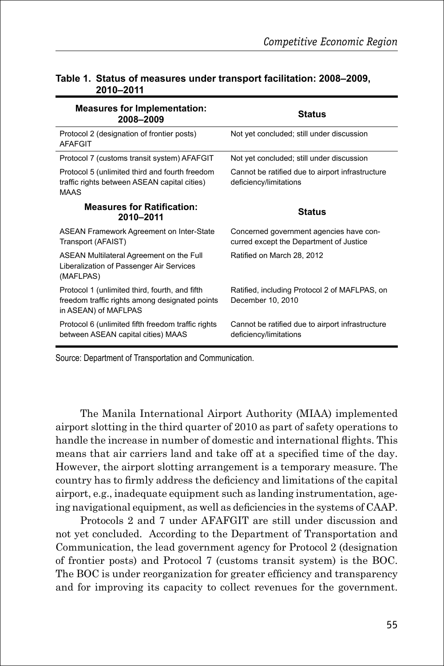| <b>Measures for Implementation:</b><br>2008-2009                                                                         | <b>Status</b>                                                                      |
|--------------------------------------------------------------------------------------------------------------------------|------------------------------------------------------------------------------------|
| Protocol 2 (designation of frontier posts)<br><b>AFAFGIT</b>                                                             | Not yet concluded; still under discussion                                          |
| Protocol 7 (customs transit system) AFAFGIT                                                                              | Not yet concluded; still under discussion                                          |
| Protocol 5 (unlimited third and fourth freedom<br>traffic rights between ASEAN capital cities)<br><b>MAAS</b>            | Cannot be ratified due to airport infrastructure<br>deficiency/limitations         |
| <b>Measures for Ratification:</b><br>2010-2011                                                                           | <b>Status</b>                                                                      |
| ASEAN Framework Agreement on Inter-State<br>Transport (AFAIST)                                                           | Concerned government agencies have con-<br>curred except the Department of Justice |
| ASEAN Multilateral Agreement on the Full<br>Liberalization of Passenger Air Services<br>(MAFLPAS)                        | Ratified on March 28, 2012                                                         |
| Protocol 1 (unlimited third, fourth, and fifth<br>freedom traffic rights among designated points<br>in ASEAN) of MAFLPAS | Ratified, including Protocol 2 of MAFLPAS, on<br>December 10, 2010                 |
| Protocol 6 (unlimited fifth freedom traffic rights<br>between ASEAN capital cities) MAAS                                 | Cannot be ratified due to airport infrastructure<br>deficiency/limitations         |

#### **Table 1. Status of measures under transport facilitation: 2008–2009, 2010–2011**

Source: Department of Transportation and Communication.

The Manila International Airport Authority (MIAA) implemented airport slotting in the third quarter of 2010 as part of safety operations to handle the increase in number of domestic and international flights. This means that air carriers land and take off at a specified time of the day. However, the airport slotting arrangement is a temporary measure. The country has to firmly address the deficiency and limitations of the capital airport, e.g., inadequate equipment such as landing instrumentation, ageing navigational equipment, as well as deficiencies in the systems of CAAP.

Protocols 2 and 7 under AFAFGIT are still under discussion and not yet concluded. According to the Department of Transportation and Communication, the lead government agency for Protocol 2 (designation of frontier posts) and Protocol 7 (customs transit system) is the BOC. The BOC is under reorganization for greater efficiency and transparency and for improving its capacity to collect revenues for the government.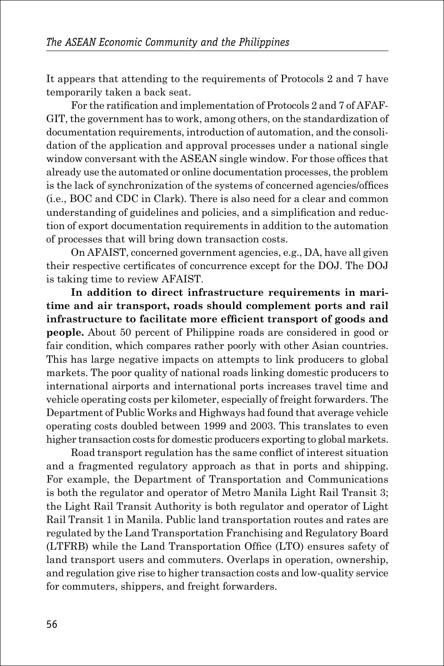It appears that attending to the requirements of Protocols 2 and 7 have temporarily taken a back seat.

For the ratification and implementation of Protocols 2 and 7 of AFAF-GIT, the government has to work, among others, on the standardization of documentation requirements, introduction of automation, and the consolidation of the application and approval processes under a national single window conversant with the ASEAN single window. For those offices that already use the automated or online documentation processes, the problem is the lack of synchronization of the systems of concerned agencies/offices (i.e., BOC and CDC in Clark). There is also need for a clear and common understanding of guidelines and policies, and a simplification and reduction of export documentation requirements in addition to the automation of processes that will bring down transaction costs.

On AFAIST, concerned government agencies, e.g., DA, have all given their respective certificates of concurrence except for the DOJ. The DOJ is taking time to review AFAIST.

**In addition to direct infrastructure requirements in maritime and air transport, roads should complement ports and rail infrastructure to facilitate more efficient transport of goods and people.** About 50 percent of Philippine roads are considered in good or fair condition, which compares rather poorly with other Asian countries. This has large negative impacts on attempts to link producers to global markets. The poor quality of national roads linking domestic producers to international airports and international ports increases travel time and vehicle operating costs per kilometer, especially of freight forwarders. The Department of Public Works and Highways had found that average vehicle operating costs doubled between 1999 and 2003. This translates to even higher transaction costs for domestic producers exporting to global markets.

Road transport regulation has the same conflict of interest situation and a fragmented regulatory approach as that in ports and shipping. For example, the Department of Transportation and Communications is both the regulator and operator of Metro Manila Light Rail Transit 3; the Light Rail Transit Authority is both regulator and operator of Light Rail Transit 1 in Manila. Public land transportation routes and rates are regulated by the Land Transportation Franchising and Regulatory Board (LTFRB) while the Land Transportation Office (LTO) ensures safety of land transport users and commuters. Overlaps in operation, ownership, and regulation give rise to higher transaction costs and low-quality service for commuters, shippers, and freight forwarders.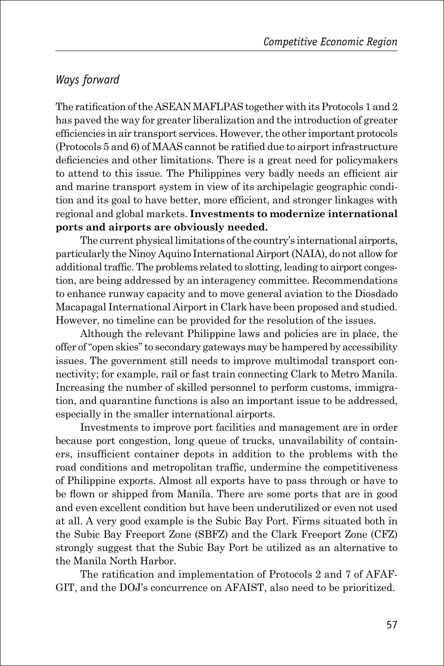#### *Ways forward*

The ratification of the ASEAN MAFLPAS together with its Protocols 1 and 2 has paved the way for greater liberalization and the introduction of greater efficiencies in air transport services. However, the other important protocols (Protocols 5 and 6) of MAAS cannot be ratified due to airport infrastructure deficiencies and other limitations. There is a great need for policymakers to attend to this issue. The Philippines very badly needs an efficient air and marine transport system in view of its archipelagic geographic condition and its goal to have better, more efficient, and stronger linkages with regional and global markets. **Investments to modernize international ports and airports are obviously needed.**

The current physical limitations of the country's international airports, particularly the Ninoy Aquino International Airport (NAIA), do not allow for additional traffic. The problems related to slotting, leading to airport congestion, are being addressed by an interagency committee. Recommendations to enhance runway capacity and to move general aviation to the Diosdado Macapagal International Airport in Clark have been proposed and studied. However, no timeline can be provided for the resolution of the issues.

Although the relevant Philippine laws and policies are in place, the offer of "open skies" to secondary gateways may be hampered by accessibility issues. The government still needs to improve multimodal transport connectivity; for example, rail or fast train connecting Clark to Metro Manila. Increasing the number of skilled personnel to perform customs, immigration, and quarantine functions is also an important issue to be addressed, especially in the smaller international airports.

Investments to improve port facilities and management are in order because port congestion, long queue of trucks, unavailability of containers, insufficient container depots in addition to the problems with the road conditions and metropolitan traffic, undermine the competitiveness of Philippine exports. Almost all exports have to pass through or have to be flown or shipped from Manila. There are some ports that are in good and even excellent condition but have been underutilized or even not used at all. A very good example is the Subic Bay Port. Firms situated both in the Subic Bay Freeport Zone (SBFZ) and the Clark Freeport Zone (CFZ) strongly suggest that the Subic Bay Port be utilized as an alternative to the Manila North Harbor.

The ratification and implementation of Protocols 2 and 7 of AFAF-GIT, and the DOJ's concurrence on AFAIST, also need to be prioritized.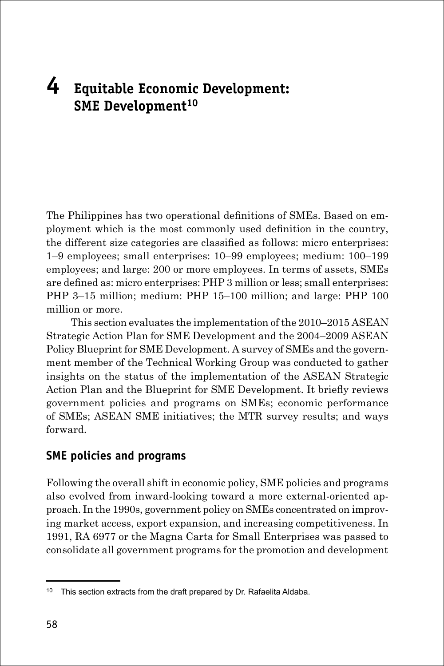## **4 Equitable Economic Development: SME Development10**

The Philippines has two operational definitions of SMEs. Based on employment which is the most commonly used definition in the country, the different size categories are classified as follows: micro enterprises: 1–9 employees; small enterprises: 10–99 employees; medium: 100–199 employees; and large: 200 or more employees. In terms of assets, SMEs are defined as: micro enterprises: PHP 3 million or less; small enterprises: PHP 3–15 million; medium: PHP 15–100 million; and large: PHP 100 million or more.

This section evaluates the implementation of the 2010–2015 ASEAN Strategic Action Plan for SME Development and the 2004–2009 ASEAN Policy Blueprint for SME Development. A survey of SMEs and the government member of the Technical Working Group was conducted to gather insights on the status of the implementation of the ASEAN Strategic Action Plan and the Blueprint for SME Development. It briefly reviews government policies and programs on SMEs; economic performance of SMEs; ASEAN SME initiatives; the MTR survey results; and ways forward.

#### **SME policies and programs**

Following the overall shift in economic policy, SME policies and programs also evolved from inward-looking toward a more external-oriented approach. In the 1990s, government policy on SMEs concentrated on improving market access, export expansion, and increasing competitiveness. In 1991, RA 6977 or the Magna Carta for Small Enterprises was passed to consolidate all government programs for the promotion and development

<sup>&</sup>lt;sup>10</sup> This section extracts from the draft prepared by Dr. Rafaelita Aldaba.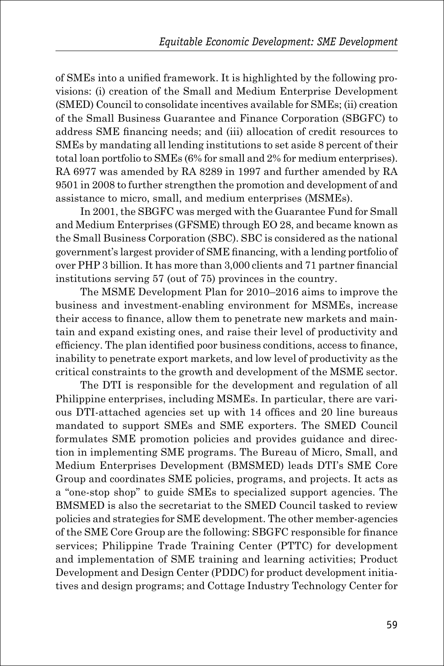of SMEs into a unified framework. It is highlighted by the following provisions: (i) creation of the Small and Medium Enterprise Development (SMED) Council to consolidate incentives available for SMEs; (ii) creation of the Small Business Guarantee and Finance Corporation (SBGFC) to address SME financing needs; and (iii) allocation of credit resources to SMEs by mandating all lending institutions to set aside 8 percent of their total loan portfolio to SMEs (6% for small and 2% for medium enterprises). RA 6977 was amended by RA 8289 in 1997 and further amended by RA 9501 in 2008 to further strengthen the promotion and development of and assistance to micro, small, and medium enterprises (MSMEs).

In 2001, the SBGFC was merged with the Guarantee Fund for Small and Medium Enterprises (GFSME) through EO 28, and became known as the Small Business Corporation (SBC). SBC is considered as the national government's largest provider of SME financing, with a lending portfolio of over PHP 3 billion. It has more than 3,000 clients and 71 partner financial institutions serving 57 (out of 75) provinces in the country.

The MSME Development Plan for 2010–2016 aims to improve the business and investment-enabling environment for MSMEs, increase their access to finance, allow them to penetrate new markets and maintain and expand existing ones, and raise their level of productivity and efficiency. The plan identified poor business conditions, access to finance, inability to penetrate export markets, and low level of productivity as the critical constraints to the growth and development of the MSME sector.

The DTI is responsible for the development and regulation of all Philippine enterprises, including MSMEs. In particular, there are various DTI-attached agencies set up with 14 offices and 20 line bureaus mandated to support SMEs and SME exporters. The SMED Council formulates SME promotion policies and provides guidance and direction in implementing SME programs. The Bureau of Micro, Small, and Medium Enterprises Development (BMSMED) leads DTI's SME Core Group and coordinates SME policies, programs, and projects. It acts as a "one-stop shop" to guide SMEs to specialized support agencies. The BMSMED is also the secretariat to the SMED Council tasked to review policies and strategies for SME development. The other member-agencies of the SME Core Group are the following: SBGFC responsible for finance services; Philippine Trade Training Center (PTTC) for development and implementation of SME training and learning activities; Product Development and Design Center (PDDC) for product development initiatives and design programs; and Cottage Industry Technology Center for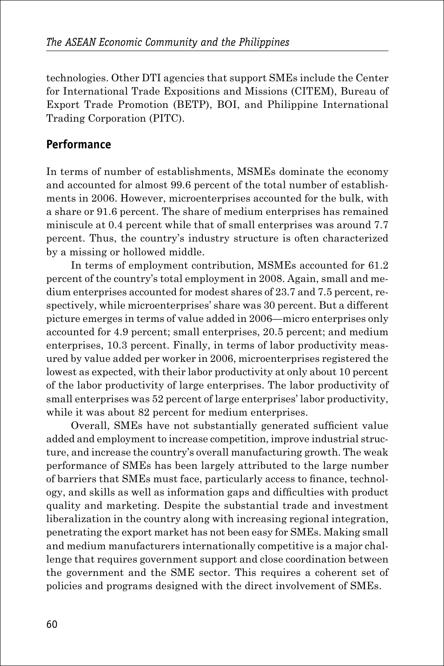technologies. Other DTI agencies that support SMEs include the Center for International Trade Expositions and Missions (CITEM), Bureau of Export Trade Promotion (BETP), BOI, and Philippine International Trading Corporation (PITC).

#### **Performance**

In terms of number of establishments, MSMEs dominate the economy and accounted for almost 99.6 percent of the total number of establishments in 2006. However, microenterprises accounted for the bulk, with a share or 91.6 percent. The share of medium enterprises has remained miniscule at 0.4 percent while that of small enterprises was around 7.7 percent. Thus, the country's industry structure is often characterized by a missing or hollowed middle.

In terms of employment contribution, MSMEs accounted for 61.2 percent of the country's total employment in 2008. Again, small and medium enterprises accounted for modest shares of 23.7 and 7.5 percent, respectively, while microenterprises' share was 30 percent. But a different picture emerges in terms of value added in 2006—micro enterprises only accounted for 4.9 percent; small enterprises, 20.5 percent; and medium enterprises, 10.3 percent. Finally, in terms of labor productivity measured by value added per worker in 2006, microenterprises registered the lowest as expected, with their labor productivity at only about 10 percent of the labor productivity of large enterprises. The labor productivity of small enterprises was 52 percent of large enterprises' labor productivity, while it was about 82 percent for medium enterprises.

Overall, SMEs have not substantially generated sufficient value added and employment to increase competition, improve industrial structure, and increase the country's overall manufacturing growth. The weak performance of SMEs has been largely attributed to the large number of barriers that SMEs must face, particularly access to finance, technology, and skills as well as information gaps and difficulties with product quality and marketing. Despite the substantial trade and investment liberalization in the country along with increasing regional integration, penetrating the export market has not been easy for SMEs. Making small and medium manufacturers internationally competitive is a major challenge that requires government support and close coordination between the government and the SME sector. This requires a coherent set of policies and programs designed with the direct involvement of SMEs.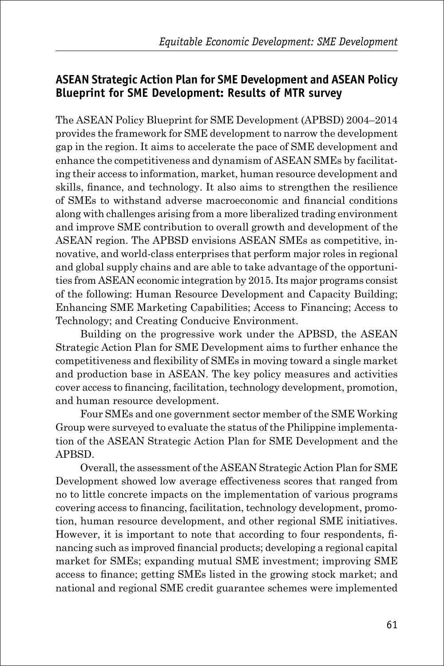#### **ASEAN Strategic Action Plan for SME Development and ASEAN Policy Blueprint for SME Development: Results of MTR survey**

The ASEAN Policy Blueprint for SME Development (APBSD) 2004–2014 provides the framework for SME development to narrow the development gap in the region. It aims to accelerate the pace of SME development and enhance the competitiveness and dynamism of ASEAN SMEs by facilitating their access to information, market, human resource development and skills, finance, and technology. It also aims to strengthen the resilience of SMEs to withstand adverse macroeconomic and financial conditions along with challenges arising from a more liberalized trading environment and improve SME contribution to overall growth and development of the ASEAN region. The APBSD envisions ASEAN SMEs as competitive, innovative, and world-class enterprises that perform major roles in regional and global supply chains and are able to take advantage of the opportunities from ASEAN economic integration by 2015. Its major programs consist of the following: Human Resource Development and Capacity Building; Enhancing SME Marketing Capabilities; Access to Financing; Access to Technology; and Creating Conducive Environment.

Building on the progressive work under the APBSD, the ASEAN Strategic Action Plan for SME Development aims to further enhance the competitiveness and flexibility of SMEs in moving toward a single market and production base in ASEAN. The key policy measures and activities cover access to financing, facilitation, technology development, promotion, and human resource development.

Four SMEs and one government sector member of the SME Working Group were surveyed to evaluate the status of the Philippine implementation of the ASEAN Strategic Action Plan for SME Development and the APBSD.

Overall, the assessment of the ASEAN Strategic Action Plan for SME Development showed low average effectiveness scores that ranged from no to little concrete impacts on the implementation of various programs covering access to financing, facilitation, technology development, promotion, human resource development, and other regional SME initiatives. However, it is important to note that according to four respondents, financing such as improved financial products; developing a regional capital market for SMEs; expanding mutual SME investment; improving SME access to finance; getting SMEs listed in the growing stock market; and national and regional SME credit guarantee schemes were implemented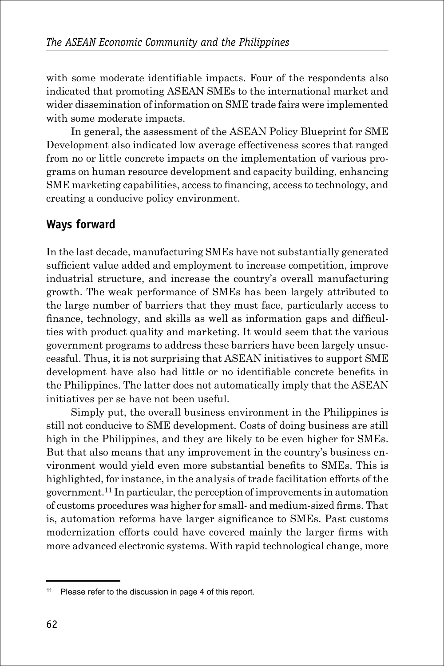with some moderate identifiable impacts. Four of the respondents also indicated that promoting ASEAN SMEs to the international market and wider dissemination of information on SME trade fairs were implemented with some moderate impacts.

In general, the assessment of the ASEAN Policy Blueprint for SME Development also indicated low average effectiveness scores that ranged from no or little concrete impacts on the implementation of various programs on human resource development and capacity building, enhancing SME marketing capabilities, access to financing, access to technology, and creating a conducive policy environment.

### **Ways forward**

In the last decade, manufacturing SMEs have not substantially generated sufficient value added and employment to increase competition, improve industrial structure, and increase the country's overall manufacturing growth. The weak performance of SMEs has been largely attributed to the large number of barriers that they must face, particularly access to finance, technology, and skills as well as information gaps and difficulties with product quality and marketing. It would seem that the various government programs to address these barriers have been largely unsuccessful. Thus, it is not surprising that ASEAN initiatives to support SME development have also had little or no identifiable concrete benefits in the Philippines. The latter does not automatically imply that the ASEAN initiatives per se have not been useful.

Simply put, the overall business environment in the Philippines is still not conducive to SME development. Costs of doing business are still high in the Philippines, and they are likely to be even higher for SMEs. But that also means that any improvement in the country's business environment would yield even more substantial benefits to SMEs. This is highlighted, for instance, in the analysis of trade facilitation efforts of the government.11 In particular, the perception of improvements in automation of customs procedures was higher for small- and medium-sized firms. That is, automation reforms have larger significance to SMEs. Past customs modernization efforts could have covered mainly the larger firms with more advanced electronic systems. With rapid technological change, more

<sup>11</sup> Please refer to the discussion in page 4 of this report.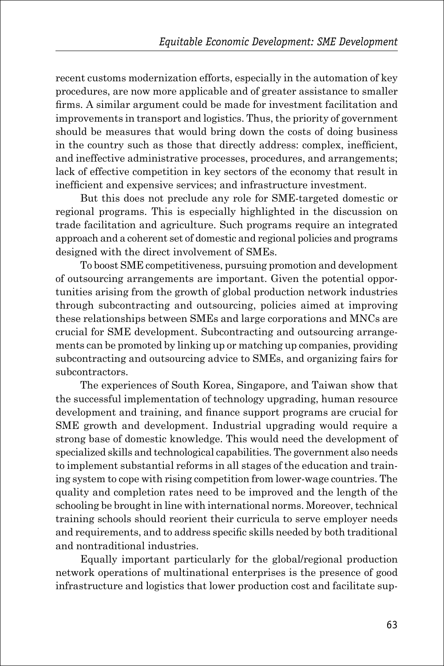recent customs modernization efforts, especially in the automation of key procedures, are now more applicable and of greater assistance to smaller firms. A similar argument could be made for investment facilitation and improvements in transport and logistics. Thus, the priority of government should be measures that would bring down the costs of doing business in the country such as those that directly address: complex, inefficient, and ineffective administrative processes, procedures, and arrangements; lack of effective competition in key sectors of the economy that result in inefficient and expensive services; and infrastructure investment.

But this does not preclude any role for SME-targeted domestic or regional programs. This is especially highlighted in the discussion on trade facilitation and agriculture. Such programs require an integrated approach and a coherent set of domestic and regional policies and programs designed with the direct involvement of SMEs.

To boost SME competitiveness, pursuing promotion and development of outsourcing arrangements are important. Given the potential opportunities arising from the growth of global production network industries through subcontracting and outsourcing, policies aimed at improving these relationships between SMEs and large corporations and MNCs are crucial for SME development. Subcontracting and outsourcing arrangements can be promoted by linking up or matching up companies, providing subcontracting and outsourcing advice to SMEs, and organizing fairs for subcontractors.

The experiences of South Korea, Singapore, and Taiwan show that the successful implementation of technology upgrading, human resource development and training, and finance support programs are crucial for SME growth and development. Industrial upgrading would require a strong base of domestic knowledge. This would need the development of specialized skills and technological capabilities. The government also needs to implement substantial reforms in all stages of the education and training system to cope with rising competition from lower-wage countries. The quality and completion rates need to be improved and the length of the schooling be brought in line with international norms. Moreover, technical training schools should reorient their curricula to serve employer needs and requirements, and to address specific skills needed by both traditional and nontraditional industries.

Equally important particularly for the global/regional production network operations of multinational enterprises is the presence of good infrastructure and logistics that lower production cost and facilitate sup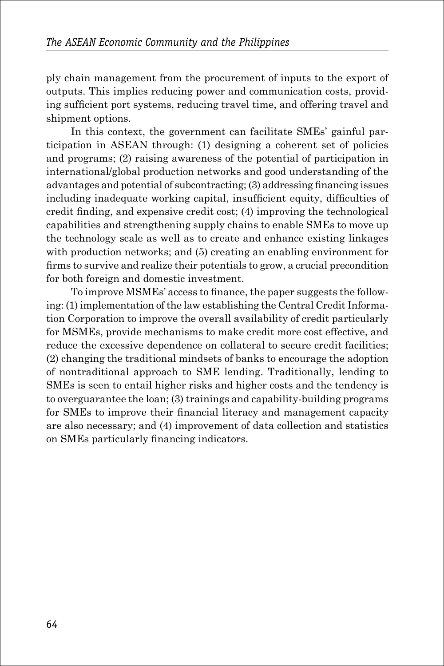ply chain management from the procurement of inputs to the export of outputs. This implies reducing power and communication costs, providing sufficient port systems, reducing travel time, and offering travel and shipment options.

In this context, the government can facilitate SMEs' gainful participation in ASEAN through: (1) designing a coherent set of policies and programs; (2) raising awareness of the potential of participation in international/global production networks and good understanding of the advantages and potential of subcontracting; (3) addressing financing issues including inadequate working capital, insufficient equity, difficulties of credit finding, and expensive credit cost; (4) improving the technological capabilities and strengthening supply chains to enable SMEs to move up the technology scale as well as to create and enhance existing linkages with production networks; and  $(5)$  creating an enabling environment for firms to survive and realize their potentials to grow, a crucial precondition for both foreign and domestic investment.

To improve MSMEs' access to finance, the paper suggests the following: (1) implementation of the law establishing the Central Credit Information Corporation to improve the overall availability of credit particularly for MSMEs, provide mechanisms to make credit more cost effective, and reduce the excessive dependence on collateral to secure credit facilities; (2) changing the traditional mindsets of banks to encourage the adoption of nontraditional approach to SME lending. Traditionally, lending to SMEs is seen to entail higher risks and higher costs and the tendency is to overguarantee the loan; (3) trainings and capability-building programs for SMEs to improve their financial literacy and management capacity are also necessary; and (4) improvement of data collection and statistics on SMEs particularly financing indicators.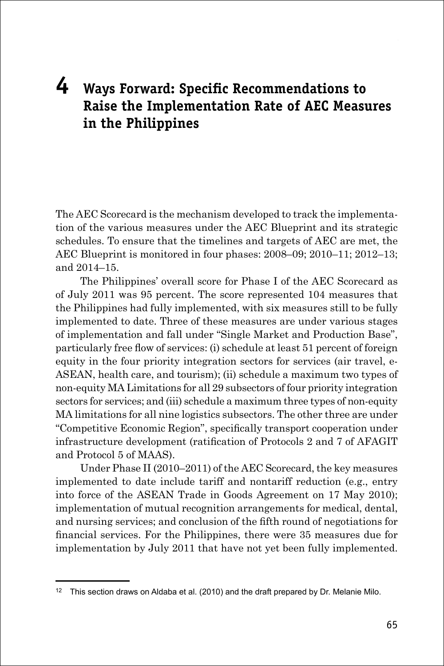# **4 Ways Forward: Specific Recommendations to Raise the Implementation Rate of AEC Measures in the Philippines**

The AEC Scorecard is the mechanism developed to track the implementation of the various measures under the AEC Blueprint and its strategic schedules. To ensure that the timelines and targets of AEC are met, the AEC Blueprint is monitored in four phases: 2008–09; 2010–11; 2012–13; and 2014–15.

The Philippines' overall score for Phase I of the AEC Scorecard as of July 2011 was 95 percent. The score represented 104 measures that the Philippines had fully implemented, with six measures still to be fully implemented to date. Three of these measures are under various stages of implementation and fall under "Single Market and Production Base", particularly free flow of services: (i) schedule at least 51 percent of foreign equity in the four priority integration sectors for services (air travel, e-ASEAN, health care, and tourism); (ii) schedule a maximum two types of non-equity MA Limitations for all 29 subsectors of four priority integration sectors for services; and (iii) schedule a maximum three types of non-equity MA limitations for all nine logistics subsectors. The other three are under "Competitive Economic Region", specifically transport cooperation under infrastructure development (ratification of Protocols 2 and 7 of AFAGIT and Protocol 5 of MAAS).

Under Phase II (2010–2011) of the AEC Scorecard, the key measures implemented to date include tariff and nontariff reduction (e.g., entry into force of the ASEAN Trade in Goods Agreement on 17 May 2010); implementation of mutual recognition arrangements for medical, dental, and nursing services; and conclusion of the fifth round of negotiations for financial services. For the Philippines, there were 35 measures due for implementation by July 2011 that have not yet been fully implemented.

<sup>&</sup>lt;sup>12</sup> This section draws on Aldaba et al. (2010) and the draft prepared by Dr. Melanie Milo.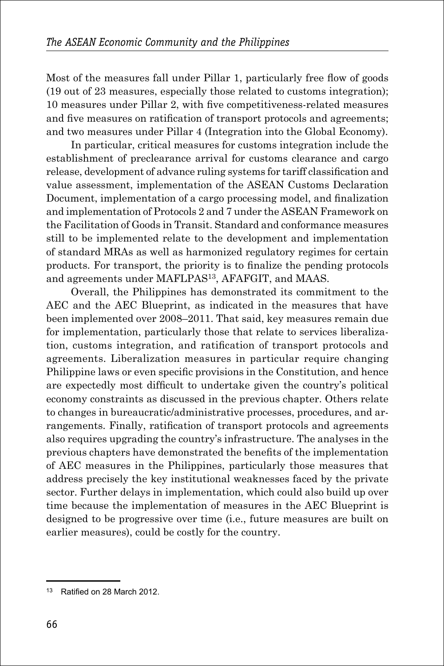Most of the measures fall under Pillar 1, particularly free flow of goods (19 out of 23 measures, especially those related to customs integration); 10 measures under Pillar 2, with five competitiveness-related measures and five measures on ratification of transport protocols and agreements; and two measures under Pillar 4 (Integration into the Global Economy).

In particular, critical measures for customs integration include the establishment of preclearance arrival for customs clearance and cargo release, development of advance ruling systems for tariff classification and value assessment, implementation of the ASEAN Customs Declaration Document, implementation of a cargo processing model, and finalization and implementation of Protocols 2 and 7 under the ASEAN Framework on the Facilitation of Goods in Transit. Standard and conformance measures still to be implemented relate to the development and implementation of standard MRAs as well as harmonized regulatory regimes for certain products. For transport, the priority is to finalize the pending protocols and agreements under MAFLPAS13, AFAFGIT, and MAAS.

Overall, the Philippines has demonstrated its commitment to the AEC and the AEC Blueprint, as indicated in the measures that have been implemented over 2008–2011. That said, key measures remain due for implementation, particularly those that relate to services liberalization, customs integration, and ratification of transport protocols and agreements. Liberalization measures in particular require changing Philippine laws or even specific provisions in the Constitution, and hence are expectedly most difficult to undertake given the country's political economy constraints as discussed in the previous chapter. Others relate to changes in bureaucratic/administrative processes, procedures, and arrangements. Finally, ratification of transport protocols and agreements also requires upgrading the country's infrastructure. The analyses in the previous chapters have demonstrated the benefits of the implementation of AEC measures in the Philippines, particularly those measures that address precisely the key institutional weaknesses faced by the private sector. Further delays in implementation, which could also build up over time because the implementation of measures in the AEC Blueprint is designed to be progressive over time (i.e., future measures are built on earlier measures), could be costly for the country.

<sup>13</sup> Ratified on 28 March 2012.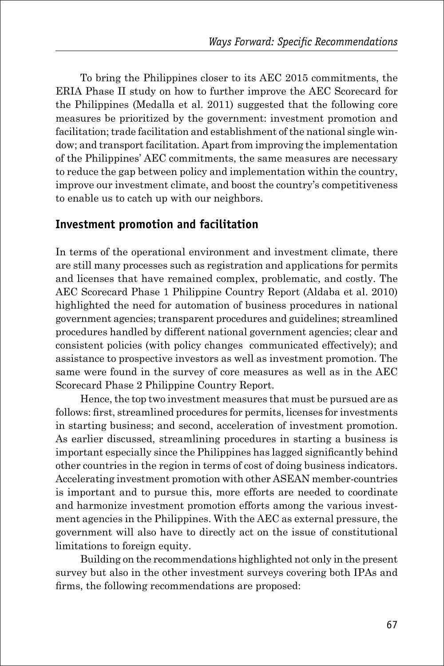To bring the Philippines closer to its AEC 2015 commitments, the ERIA Phase II study on how to further improve the AEC Scorecard for the Philippines (Medalla et al. 2011) suggested that the following core measures be prioritized by the government: investment promotion and facilitation; trade facilitation and establishment of the national single window; and transport facilitation. Apart from improving the implementation of the Philippines' AEC commitments, the same measures are necessary to reduce the gap between policy and implementation within the country, improve our investment climate, and boost the country's competitiveness to enable us to catch up with our neighbors.

#### **Investment promotion and facilitation**

In terms of the operational environment and investment climate, there are still many processes such as registration and applications for permits and licenses that have remained complex, problematic, and costly. The AEC Scorecard Phase 1 Philippine Country Report (Aldaba et al. 2010) highlighted the need for automation of business procedures in national government agencies; transparent procedures and guidelines; streamlined procedures handled by different national government agencies; clear and consistent policies (with policy changes communicated effectively); and assistance to prospective investors as well as investment promotion. The same were found in the survey of core measures as well as in the AEC Scorecard Phase 2 Philippine Country Report.

Hence, the top two investment measures that must be pursued are as follows: first, streamlined procedures for permits, licenses for investments in starting business; and second, acceleration of investment promotion. As earlier discussed, streamlining procedures in starting a business is important especially since the Philippines has lagged significantly behind other countries in the region in terms of cost of doing business indicators. Accelerating investment promotion with other ASEAN member-countries is important and to pursue this, more efforts are needed to coordinate and harmonize investment promotion efforts among the various investment agencies in the Philippines. With the AEC as external pressure, the government will also have to directly act on the issue of constitutional limitations to foreign equity.

Building on the recommendations highlighted not only in the present survey but also in the other investment surveys covering both IPAs and firms, the following recommendations are proposed: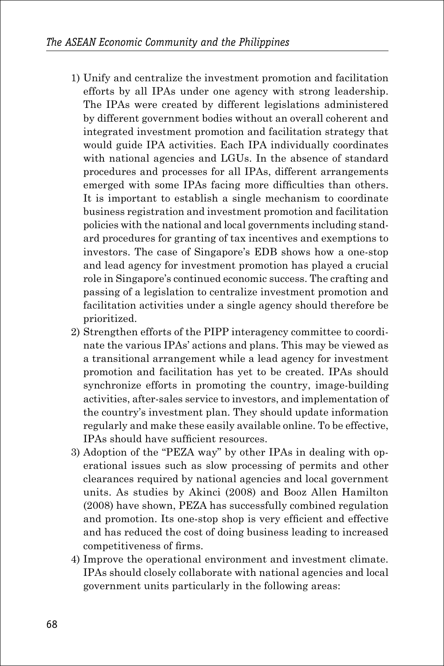- 1) Unify and centralize the investment promotion and facilitation efforts by all IPAs under one agency with strong leadership. The IPAs were created by different legislations administered by different government bodies without an overall coherent and integrated investment promotion and facilitation strategy that would guide IPA activities. Each IPA individually coordinates with national agencies and LGUs. In the absence of standard procedures and processes for all IPAs, different arrangements emerged with some IPAs facing more difficulties than others. It is important to establish a single mechanism to coordinate business registration and investment promotion and facilitation policies with the national and local governments including standard procedures for granting of tax incentives and exemptions to investors. The case of Singapore's EDB shows how a one-stop and lead agency for investment promotion has played a crucial role in Singapore's continued economic success. The crafting and passing of a legislation to centralize investment promotion and facilitation activities under a single agency should therefore be prioritized.
- 2) Strengthen efforts of the PIPP interagency committee to coordinate the various IPAs' actions and plans. This may be viewed as a transitional arrangement while a lead agency for investment promotion and facilitation has yet to be created. IPAs should synchronize efforts in promoting the country, image-building activities, after-sales service to investors, and implementation of the country's investment plan. They should update information regularly and make these easily available online. To be effective, IPAs should have sufficient resources.
- 3) Adoption of the "PEZA way" by other IPAs in dealing with operational issues such as slow processing of permits and other clearances required by national agencies and local government units. As studies by Akinci (2008) and Booz Allen Hamilton (2008) have shown, PEZA has successfully combined regulation and promotion. Its one-stop shop is very efficient and effective and has reduced the cost of doing business leading to increased competitiveness of firms.
- 4) Improve the operational environment and investment climate. IPAs should closely collaborate with national agencies and local government units particularly in the following areas: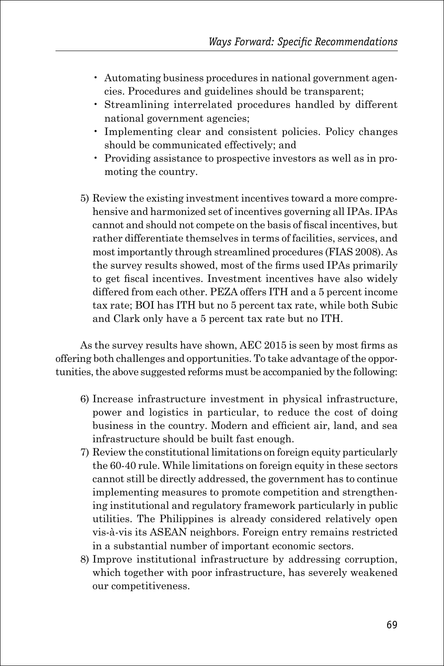- Automating business procedures in national government agencies. Procedures and guidelines should be transparent;
- Streamlining interrelated procedures handled by different national government agencies;
- Implementing clear and consistent policies. Policy changes should be communicated effectively; and
- Providing assistance to prospective investors as well as in promoting the country.
- 5) Review the existing investment incentives toward a more comprehensive and harmonized set of incentives governing all IPAs. IPAs cannot and should not compete on the basis of fiscal incentives, but rather differentiate themselves in terms of facilities, services, and most importantly through streamlined procedures (FIAS 2008). As the survey results showed, most of the firms used IPAs primarily to get fiscal incentives. Investment incentives have also widely differed from each other. PEZA offers ITH and a 5 percent income tax rate; BOI has ITH but no 5 percent tax rate, while both Subic and Clark only have a 5 percent tax rate but no ITH.

As the survey results have shown, AEC 2015 is seen by most firms as offering both challenges and opportunities. To take advantage of the opportunities, the above suggested reforms must be accompanied by the following:

- 6) Increase infrastructure investment in physical infrastructure, power and logistics in particular, to reduce the cost of doing business in the country. Modern and efficient air, land, and sea infrastructure should be built fast enough.
- 7) Review the constitutional limitations on foreign equity particularly the 60-40 rule. While limitations on foreign equity in these sectors cannot still be directly addressed, the government has to continue implementing measures to promote competition and strengthening institutional and regulatory framework particularly in public utilities. The Philippines is already considered relatively open vis-à-vis its ASEAN neighbors. Foreign entry remains restricted in a substantial number of important economic sectors.
- 8) Improve institutional infrastructure by addressing corruption, which together with poor infrastructure, has severely weakened our competitiveness.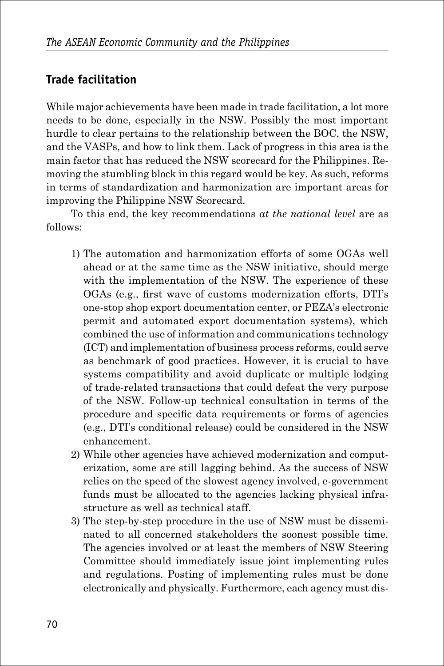# **Trade facilitation**

While major achievements have been made in trade facilitation, a lot more needs to be done, especially in the NSW. Possibly the most important hurdle to clear pertains to the relationship between the BOC, the NSW, and the VASPs, and how to link them. Lack of progress in this area is the main factor that has reduced the NSW scorecard for the Philippines. Removing the stumbling block in this regard would be key. As such, reforms in terms of standardization and harmonization are important areas for improving the Philippine NSW Scorecard.

To this end, the key recommendations *at the national level* are as follows:

- 1) The automation and harmonization efforts of some OGAs well ahead or at the same time as the NSW initiative, should merge with the implementation of the NSW. The experience of these OGAs (e.g., first wave of customs modernization efforts, DTI's one-stop shop export documentation center, or PEZA's electronic permit and automated export documentation systems), which combined the use of information and communications technology (ICT) and implementation of business process reforms, could serve as benchmark of good practices. However, it is crucial to have systems compatibility and avoid duplicate or multiple lodging of trade-related transactions that could defeat the very purpose of the NSW. Follow-up technical consultation in terms of the procedure and specific data requirements or forms of agencies (e.g., DTI's conditional release) could be considered in the NSW enhancement.
- 2) While other agencies have achieved modernization and computerization, some are still lagging behind. As the success of NSW relies on the speed of the slowest agency involved, e-government funds must be allocated to the agencies lacking physical infrastructure as well as technical staff.
- 3) The step-by-step procedure in the use of NSW must be disseminated to all concerned stakeholders the soonest possible time. The agencies involved or at least the members of NSW Steering Committee should immediately issue joint implementing rules and regulations. Posting of implementing rules must be done electronically and physically. Furthermore, each agency must dis-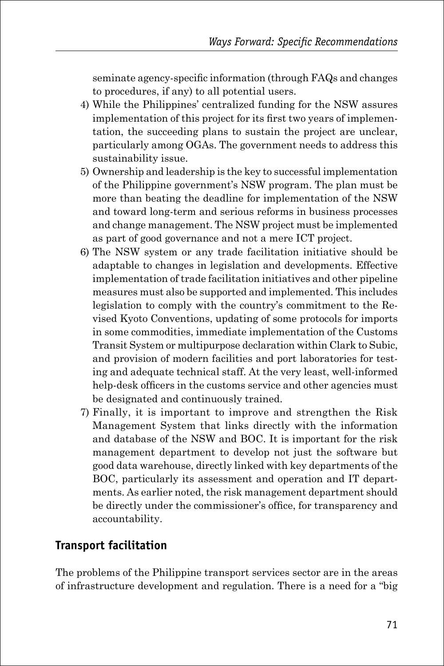seminate agency-specific information (through FAQs and changes to procedures, if any) to all potential users.

- 4) While the Philippines' centralized funding for the NSW assures implementation of this project for its first two years of implementation, the succeeding plans to sustain the project are unclear, particularly among OGAs. The government needs to address this sustainability issue.
- 5) Ownership and leadership is the key to successful implementation of the Philippine government's NSW program. The plan must be more than beating the deadline for implementation of the NSW and toward long-term and serious reforms in business processes and change management. The NSW project must be implemented as part of good governance and not a mere ICT project.
- 6) The NSW system or any trade facilitation initiative should be adaptable to changes in legislation and developments. Effective implementation of trade facilitation initiatives and other pipeline measures must also be supported and implemented. This includes legislation to comply with the country's commitment to the Revised Kyoto Conventions, updating of some protocols for imports in some commodities, immediate implementation of the Customs Transit System or multipurpose declaration within Clark to Subic, and provision of modern facilities and port laboratories for testing and adequate technical staff. At the very least, well-informed help-desk officers in the customs service and other agencies must be designated and continuously trained.
- 7) Finally, it is important to improve and strengthen the Risk Management System that links directly with the information and database of the NSW and BOC. It is important for the risk management department to develop not just the software but good data warehouse, directly linked with key departments of the BOC, particularly its assessment and operation and IT departments. As earlier noted, the risk management department should be directly under the commissioner's office, for transparency and accountability.

## **Transport facilitation**

The problems of the Philippine transport services sector are in the areas of infrastructure development and regulation. There is a need for a "big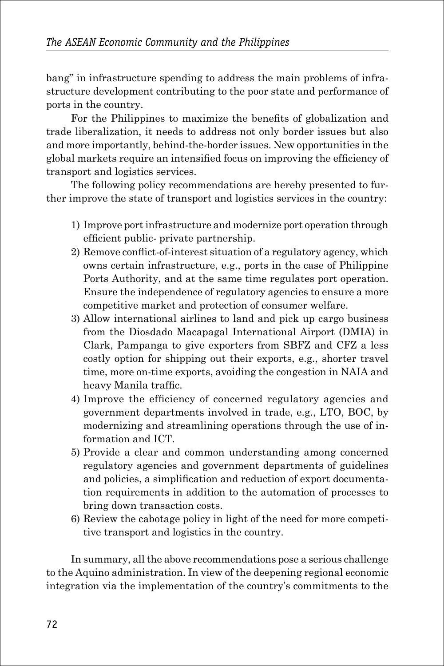bang" in infrastructure spending to address the main problems of infrastructure development contributing to the poor state and performance of ports in the country.

For the Philippines to maximize the benefits of globalization and trade liberalization, it needs to address not only border issues but also and more importantly, behind-the-border issues. New opportunities in the global markets require an intensified focus on improving the efficiency of transport and logistics services.

The following policy recommendations are hereby presented to further improve the state of transport and logistics services in the country:

- 1) Improve port infrastructure and modernize port operation through efficient public- private partnership.
- 2) Remove conflict-of-interest situation of a regulatory agency, which owns certain infrastructure, e.g., ports in the case of Philippine Ports Authority, and at the same time regulates port operation. Ensure the independence of regulatory agencies to ensure a more competitive market and protection of consumer welfare.
- 3) Allow international airlines to land and pick up cargo business from the Diosdado Macapagal International Airport (DMIA) in Clark, Pampanga to give exporters from SBFZ and CFZ a less costly option for shipping out their exports, e.g., shorter travel time, more on-time exports, avoiding the congestion in NAIA and heavy Manila traffic.
- 4) Improve the efficiency of concerned regulatory agencies and government departments involved in trade, e.g., LTO, BOC, by modernizing and streamlining operations through the use of information and ICT.
- 5) Provide a clear and common understanding among concerned regulatory agencies and government departments of guidelines and policies, a simplification and reduction of export documentation requirements in addition to the automation of processes to bring down transaction costs.
- 6) Review the cabotage policy in light of the need for more competitive transport and logistics in the country.

In summary, all the above recommendations pose a serious challenge to the Aquino administration. In view of the deepening regional economic integration via the implementation of the country's commitments to the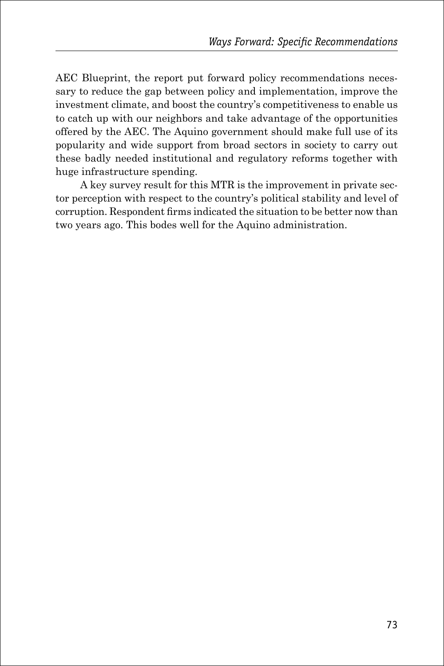AEC Blueprint, the report put forward policy recommendations necessary to reduce the gap between policy and implementation, improve the investment climate, and boost the country's competitiveness to enable us to catch up with our neighbors and take advantage of the opportunities offered by the AEC. The Aquino government should make full use of its popularity and wide support from broad sectors in society to carry out these badly needed institutional and regulatory reforms together with huge infrastructure spending.

A key survey result for this MTR is the improvement in private sector perception with respect to the country's political stability and level of corruption. Respondent firms indicated the situation to be better now than two years ago. This bodes well for the Aquino administration.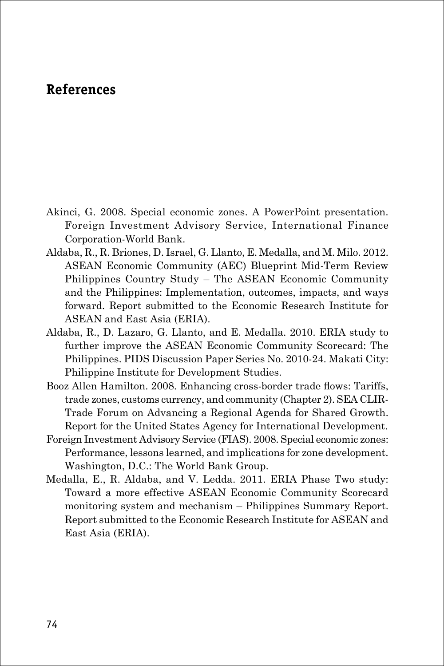## **References**

- Akinci, G. 2008. Special economic zones. A PowerPoint presentation. Foreign Investment Advisory Service, International Finance Corporation-World Bank.
- Aldaba, R., R. Briones, D. Israel, G. Llanto, E. Medalla, and M. Milo. 2012. ASEAN Economic Community (AEC) Blueprint Mid-Term Review Philippines Country Study – The ASEAN Economic Community and the Philippines: Implementation, outcomes, impacts, and ways forward. Report submitted to the Economic Research Institute for ASEAN and East Asia (ERIA).
- Aldaba, R., D. Lazaro, G. Llanto, and E. Medalla. 2010. ERIA study to further improve the ASEAN Economic Community Scorecard: The Philippines. PIDS Discussion Paper Series No. 2010-24. Makati City: Philippine Institute for Development Studies.
- Booz Allen Hamilton. 2008. Enhancing cross-border trade flows: Tariffs, trade zones, customs currency, and community (Chapter 2). SEA CLIR-Trade Forum on Advancing a Regional Agenda for Shared Growth. Report for the United States Agency for International Development.
- Foreign Investment Advisory Service (FIAS). 2008. Special economic zones: Performance, lessons learned, and implications for zone development. Washington, D.C.: The World Bank Group.
- Medalla, E., R. Aldaba, and V. Ledda. 2011. ERIA Phase Two study: Toward a more effective ASEAN Economic Community Scorecard monitoring system and mechanism – Philippines Summary Report. Report submitted to the Economic Research Institute for ASEAN and East Asia (ERIA).